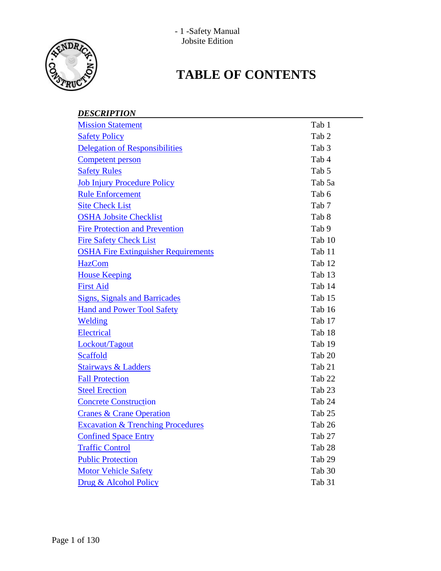

# **TABLE OF CONTENTS**

| <b>DESCRIPTION</b>                           |                   |
|----------------------------------------------|-------------------|
| <b>Mission Statement</b>                     | Tab 1             |
| <b>Safety Policy</b>                         | Tab <sub>2</sub>  |
| <b>Delegation of Responsibilities</b>        | Tab <sub>3</sub>  |
| Competent person                             | Tab 4             |
| <b>Safety Rules</b>                          | Tab <sub>5</sub>  |
| <b>Job Injury Procedure Policy</b>           | Tab 5a            |
| <b>Rule Enforcement</b>                      | Tab 6             |
| <b>Site Check List</b>                       | Tab 7             |
| <b>OSHA Jobsite Checklist</b>                | Tab 8             |
| <b>Fire Protection and Prevention</b>        | Tab 9             |
| <b>Fire Safety Check List</b>                | Tab 10            |
| <b>OSHA Fire Extinguisher Requirements</b>   | Tab 11            |
| <b>HazCom</b>                                | Tab 12            |
| <b>House Keeping</b>                         | Tab 13            |
| <b>First Aid</b>                             | Tab 14            |
| <b>Signs, Signals and Barricades</b>         | Tab 15            |
| <b>Hand and Power Tool Safety</b>            | Tab 16            |
| Welding                                      | Tab 17            |
| Electrical                                   | Tab 18            |
| Lockout/Tagout                               | Tab 19            |
| <b>Scaffold</b>                              | Tab 20            |
| Stairways & Ladders                          | Tab 21            |
| <b>Fall Protection</b>                       | Tab 22            |
| <b>Steel Erection</b>                        | Tab <sub>23</sub> |
| <b>Concrete Construction</b>                 | Tab 24            |
| <b>Cranes &amp; Crane Operation</b>          | Tab 25            |
| <b>Excavation &amp; Trenching Procedures</b> | Tab 26            |
| <b>Confined Space Entry</b>                  | Tab 27            |
| <b>Traffic Control</b>                       | Tab 28            |
| <b>Public Protection</b>                     | Tab 29            |
| <b>Motor Vehicle Safety</b>                  | Tab 30            |
| Drug & Alcohol Policy                        | Tab 31            |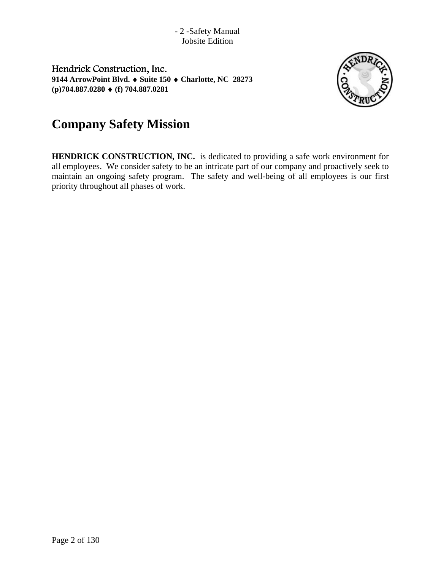- 2 -Safety Manual Jobsite Edition

Hendrick Construction, Inc. **9144 ArrowPoint Blvd.** ♦ **Suite 150** ♦ **Charlotte, NC 28273 (p)704.887.0280** ♦ **(f) 704.887.0281** 



# **Company Safety Mission**

**HENDRICK CONSTRUCTION, INC.** is dedicated to providing a safe work environment for all employees. We consider safety to be an intricate part of our company and proactively seek to maintain an ongoing safety program. The safety and well-being of all employees is our first priority throughout all phases of work.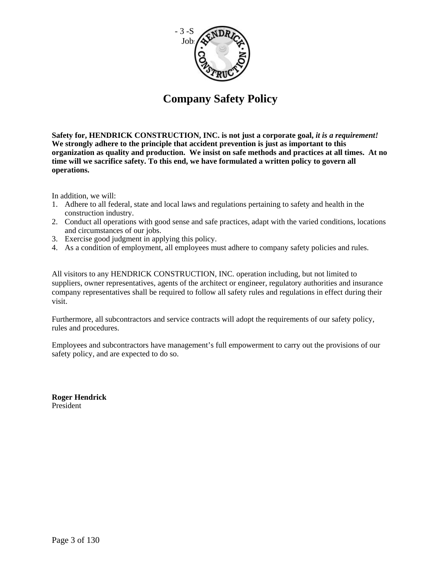

# **Company Safety Policy**

**Safety for, HENDRICK CONSTRUCTION, INC. is not just a corporate goal,** *it is a requirement!*  **We strongly adhere to the principle that accident prevention is just as important to this organization as quality and production. We insist on safe methods and practices at all times. At no time will we sacrifice safety. To this end, we have formulated a written policy to govern all operations.** 

In addition, we will:

- 1. Adhere to all federal, state and local laws and regulations pertaining to safety and health in the construction industry.
- 2. Conduct all operations with good sense and safe practices, adapt with the varied conditions, locations and circumstances of our jobs.
- 3. Exercise good judgment in applying this policy.
- 4. As a condition of employment, all employees must adhere to company safety policies and rules.

All visitors to any HENDRICK CONSTRUCTION, INC. operation including, but not limited to suppliers, owner representatives, agents of the architect or engineer, regulatory authorities and insurance company representatives shall be required to follow all safety rules and regulations in effect during their visit.

Furthermore, all subcontractors and service contracts will adopt the requirements of our safety policy, rules and procedures.

Employees and subcontractors have management's full empowerment to carry out the provisions of our safety policy, and are expected to do so.

**Roger Hendrick**  President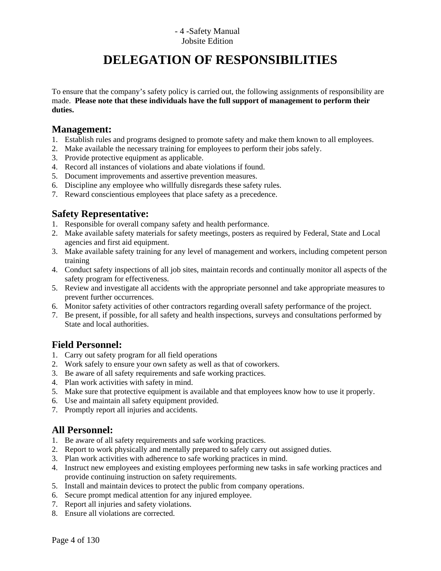# **DELEGATION OF RESPONSIBILITIES**

To ensure that the company's safety policy is carried out, the following assignments of responsibility are made. **Please note that these individuals have the full support of management to perform their duties.** 

### **Management:**

- 1. Establish rules and programs designed to promote safety and make them known to all employees.
- 2. Make available the necessary training for employees to perform their jobs safely.
- 3. Provide protective equipment as applicable.
- 4. Record all instances of violations and abate violations if found.
- 5. Document improvements and assertive prevention measures.
- 6. Discipline any employee who willfully disregards these safety rules.
- 7. Reward conscientious employees that place safety as a precedence.

### **Safety Representative:**

- 1. Responsible for overall company safety and health performance.
- 2. Make available safety materials for safety meetings, posters as required by Federal, State and Local agencies and first aid equipment.
- 3. Make available safety training for any level of management and workers, including competent person training
- 4. Conduct safety inspections of all job sites, maintain records and continually monitor all aspects of the safety program for effectiveness.
- 5. Review and investigate all accidents with the appropriate personnel and take appropriate measures to prevent further occurrences.
- 6. Monitor safety activities of other contractors regarding overall safety performance of the project.
- 7. Be present, if possible, for all safety and health inspections, surveys and consultations performed by State and local authorities.

### **Field Personnel:**

- 1. Carry out safety program for all field operations
- 2. Work safely to ensure your own safety as well as that of coworkers.
- 3. Be aware of all safety requirements and safe working practices.
- 4. Plan work activities with safety in mind.
- 5. Make sure that protective equipment is available and that employees know how to use it properly.
- 6. Use and maintain all safety equipment provided.
- 7. Promptly report all injuries and accidents.

### **All Personnel:**

- 1. Be aware of all safety requirements and safe working practices.
- 2. Report to work physically and mentally prepared to safely carry out assigned duties.
- 3. Plan work activities with adherence to safe working practices in mind.
- 4. Instruct new employees and existing employees performing new tasks in safe working practices and provide continuing instruction on safety requirements.
- 5. Install and maintain devices to protect the public from company operations.
- 6. Secure prompt medical attention for any injured employee.
- 7. Report all injuries and safety violations.
- 8. Ensure all violations are corrected.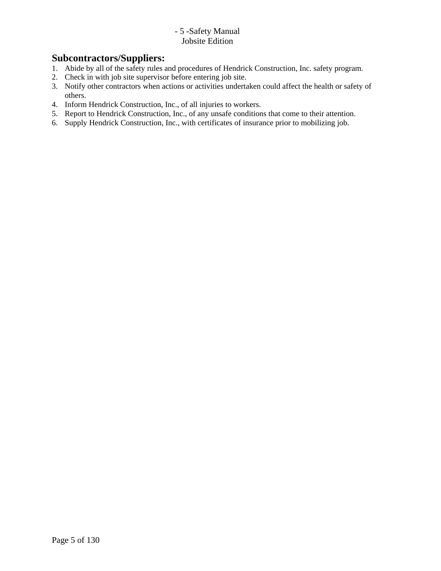### - 5 -Safety Manual Jobsite Edition

### **Subcontractors/Suppliers:**

- 1. Abide by all of the safety rules and procedures of Hendrick Construction, Inc. safety program.
- 2. Check in with job site supervisor before entering job site.
- 3. Notify other contractors when actions or activities undertaken could affect the health or safety of others.
- 4. Inform Hendrick Construction, Inc., of all injuries to workers.
- 5. Report to Hendrick Construction, Inc., of any unsafe conditions that come to their attention.
- 6. Supply Hendrick Construction, Inc., with certificates of insurance prior to mobilizing job.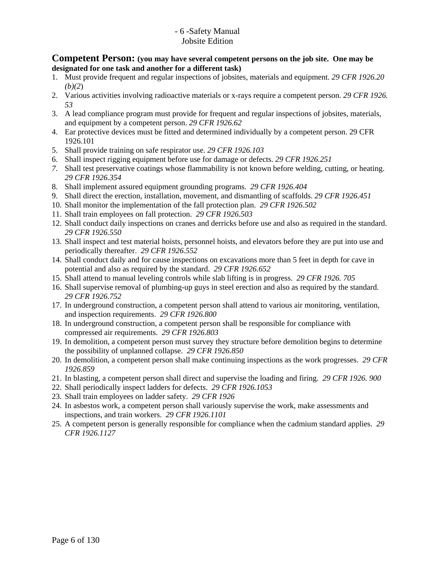### - 6 -Safety Manual Jobsite Edition

### **Competent Person: (you may have several competent persons on the job site. One may be designated for one task and another for a different task)**

- 1. Must provide frequent and regular inspections of jobsites, materials and equipment. *29 CFR 1926.20 (b)(2*)
- 2. Various activities involving radioactive materials or x-rays require a competent person. *29 CFR 1926. 53*
- 3. A lead compliance program must provide for frequent and regular inspections of jobsites, materials, and equipment by a competent person. *29 CFR 1926.62*
- 4. Ear protective devices must be fitted and determined individually by a competent person. 29 CFR 1926.101
- 5. Shall provide training on safe respirator use. *29 CFR 1926.103*
- 6. Shall inspect rigging equipment before use for damage or defects. *29 CFR 1926.251*
- *7.* Shall test preservative coatings whose flammability is not known before welding, cutting, or heating. *29 CFR 1926.354*
- 8. Shall implement assured equipment grounding programs. *29 CFR 1926.404*
- 9. Shall direct the erection, installation, movement, and dismantling of scaffolds. *29 CFR 1926.451*
- 10. Shall monitor the implementation of the fall protection plan. *29 CFR 1926.502*
- 11. Shall train employees on fall protection. *29 CFR 1926.503*
- 12. Shall conduct daily inspections on cranes and derricks before use and also as required in the standard. *29 CFR 1926.550*
- 13. Shall inspect and test material hoists, personnel hoists, and elevators before they are put into use and periodically thereafter. *29 CFR 1926.552*
- 14. Shall conduct daily and for cause inspections on excavations more than 5 feet in depth for cave in potential and also as required by the standard. *29 CFR 1926.652*
- 15. Shall attend to manual leveling controls while slab lifting is in progress. *29 CFR 1926. 705*
- 16. Shall supervise removal of plumbing-up guys in steel erection and also as required by the standard. *29 CFR 1926.752*
- 17. In underground construction, a competent person shall attend to various air monitoring, ventilation, and inspection requirements. *29 CFR 1926.800*
- 18. In underground construction, a competent person shall be responsible for compliance with compressed air requirements. *29 CFR 1926.803*
- 19. In demolition, a competent person must survey they structure before demolition begins to determine the possibility of unplanned collapse. *29 CFR 1926.850*
- 20. In demolition, a competent person shall make continuing inspections as the work progresses. *29 CFR 1926.859*
- 21. In blasting, a competent person shall direct and supervise the loading and firing. *29 CFR 1926. 900*
- 22. Shall periodically inspect ladders for defects. *29 CFR 1926.1053*
- 23. Shall train employees on ladder safety. *29 CFR 1926*
- 24. In asbestos work, a competent person shall variously supervise the work, make assessments and inspections, and train workers. *29 CFR 1926.1101*
- 25. A competent person is generally responsible for compliance when the cadmium standard applies. *29 CFR 1926.1127*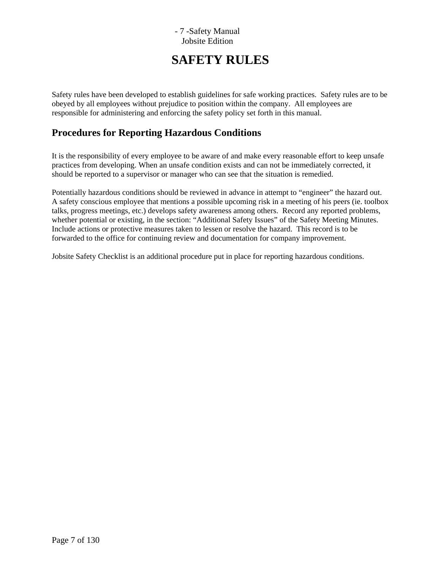### - 7 -Safety Manual Jobsite Edition

# **SAFETY RULES**

Safety rules have been developed to establish guidelines for safe working practices. Safety rules are to be obeyed by all employees without prejudice to position within the company. All employees are responsible for administering and enforcing the safety policy set forth in this manual.

### **Procedures for Reporting Hazardous Conditions**

It is the responsibility of every employee to be aware of and make every reasonable effort to keep unsafe practices from developing. When an unsafe condition exists and can not be immediately corrected, it should be reported to a supervisor or manager who can see that the situation is remedied.

Potentially hazardous conditions should be reviewed in advance in attempt to "engineer" the hazard out. A safety conscious employee that mentions a possible upcoming risk in a meeting of his peers (ie. toolbox talks, progress meetings, etc.) develops safety awareness among others. Record any reported problems, whether potential or existing, in the section: "Additional Safety Issues" of the Safety Meeting Minutes. Include actions or protective measures taken to lessen or resolve the hazard. This record is to be forwarded to the office for continuing review and documentation for company improvement.

Jobsite Safety Checklist is an additional procedure put in place for reporting hazardous conditions.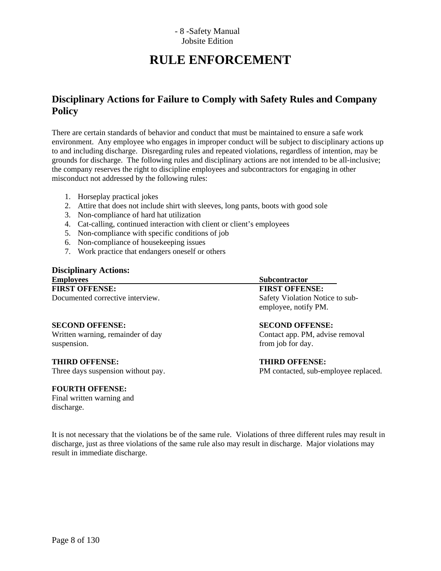### - 8 -Safety Manual Jobsite Edition

# **RULE ENFORCEMENT**

### **Disciplinary Actions for Failure to Comply with Safety Rules and Company Policy**

There are certain standards of behavior and conduct that must be maintained to ensure a safe work environment. Any employee who engages in improper conduct will be subject to disciplinary actions up to and including discharge. Disregarding rules and repeated violations, regardless of intention, may be grounds for discharge. The following rules and disciplinary actions are not intended to be all-inclusive; the company reserves the right to discipline employees and subcontractors for engaging in other misconduct not addressed by the following rules:

- 1. Horseplay practical jokes
- 2. Attire that does not include shirt with sleeves, long pants, boots with good sole
- 3. Non-compliance of hard hat utilization
- 4. Cat-calling, continued interaction with client or client's employees
- 5. Non-compliance with specific conditions of job
- 6. Non-compliance of housekeeping issues
- 7. Work practice that endangers oneself or others

### **Disciplinary Actions:**

### **Employees Subcontractor**

**FIRST OFFENSE:** FIRST OFFENSE: Documented corrective interview. Safety Violation Notice to sub-

#### **SECOND OFFENSE:** SECOND OFFENSE:

Written warning, remainder of day Contact app. PM, advise removal suspension. from job for day.

#### **THIRD OFFENSE:** THIRD OFFENSE:

#### **FOURTH OFFENSE:**

Final written warning and discharge.

employee, notify PM.

Three days suspension without pay. PM contacted, sub-employee replaced.

It is not necessary that the violations be of the same rule. Violations of three different rules may result in discharge, just as three violations of the same rule also may result in discharge. Major violations may result in immediate discharge.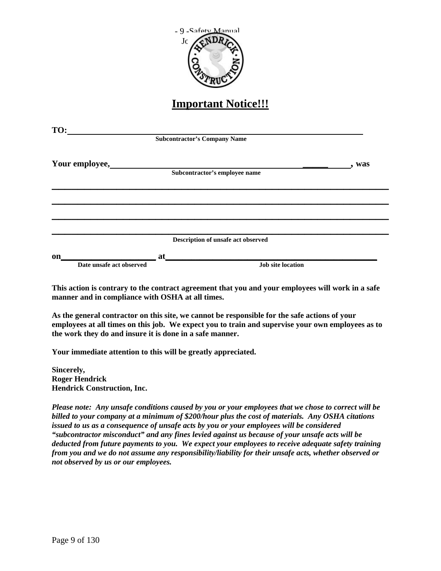

# **Important Notice!!!**

| TO:                      | <b>Subcontractor's Company Name</b> |       |
|--------------------------|-------------------------------------|-------|
| Your employee,           |                                     | . was |
|                          | Subcontractor's employee name       |       |
|                          |                                     |       |
|                          |                                     |       |
|                          |                                     |       |
|                          | Description of unsafe act observed  |       |
| on                       | at                                  |       |
| Date unsafe act observed | <b>Job site location</b>            |       |

**This action is contrary to the contract agreement that you and your employees will work in a safe manner and in compliance with OSHA at all times.** 

**As the general contractor on this site, we cannot be responsible for the safe actions of your employees at all times on this job. We expect you to train and supervise your own employees as to the work they do and insure it is done in a safe manner.** 

**Your immediate attention to this will be greatly appreciated.** 

**Sincerely, Roger Hendrick Hendrick Construction, Inc.** 

*Please note: Any unsafe conditions caused by you or your employees that we chose to correct will be billed to your company at a minimum of \$200/hour plus the cost of materials. Any OSHA citations issued to us as a consequence of unsafe acts by you or your employees will be considered "subcontractor misconduct" and any fines levied against us because of your unsafe acts will be deducted from future payments to you. We expect your employees to receive adequate safety training from you and we do not assume any responsibility/liability for their unsafe acts, whether observed or not observed by us or our employees.*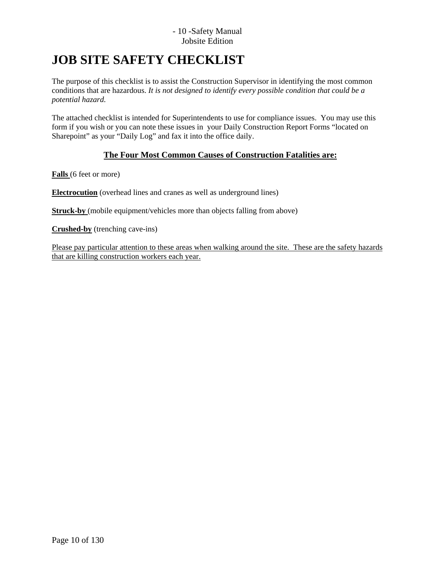### - 10 -Safety Manual Jobsite Edition

# **JOB SITE SAFETY CHECKLIST**

The purpose of this checklist is to assist the Construction Supervisor in identifying the most common conditions that are hazardous. *It is not designed to identify every possible condition that could be a potential hazard.* 

The attached checklist is intended for Superintendents to use for compliance issues. You may use this form if you wish or you can note these issues in your Daily Construction Report Forms "located on Sharepoint" as your "Daily Log" and fax it into the office daily.

### **The Four Most Common Causes of Construction Fatalities are:**

**Falls** (6 feet or more)

**Electrocution** (overhead lines and cranes as well as underground lines)

**Struck-by** (mobile equipment/vehicles more than objects falling from above)

**Crushed-by** (trenching cave-ins)

Please pay particular attention to these areas when walking around the site. These are the safety hazards that are killing construction workers each year.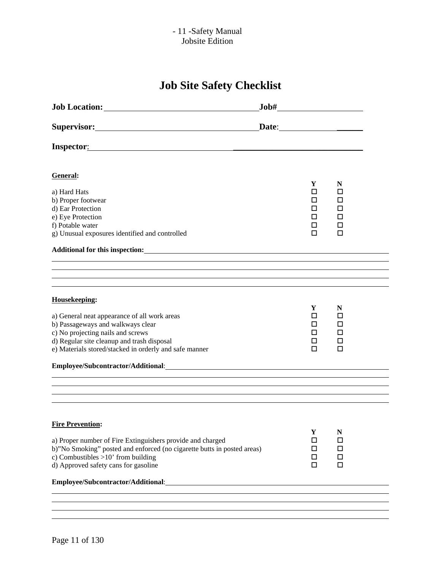# **Job Site Safety Checklist**

| Supervisor: <u>New York: New York: New York: New York: New York: New York: New York: New York: New York: New York: New York: New York: New York: New York: New York: New York: New York: New York: New York: New York: New York:</u>             |                                                                    |  |
|--------------------------------------------------------------------------------------------------------------------------------------------------------------------------------------------------------------------------------------------------|--------------------------------------------------------------------|--|
| Inspector: <u>contract the contract of the contract of the contract of the contract of the contract of the contract of the contract of the contract of the contract of the contract of the contract of the contract of the contr</u>             |                                                                    |  |
| General:                                                                                                                                                                                                                                         |                                                                    |  |
| a) Hard Hats<br>b) Proper footwear<br>d) Ear Protection<br>e) Eye Protection<br>f) Potable water<br>g) Unusual exposures identified and controlled                                                                                               | Y<br>N<br>□<br>□<br>□<br>□<br>□<br>п<br>□<br>п<br>□<br>п<br>□<br>□ |  |
|                                                                                                                                                                                                                                                  |                                                                    |  |
|                                                                                                                                                                                                                                                  |                                                                    |  |
| Housekeeping:<br>a) General neat appearance of all work areas<br>b) Passageways and walkways clear<br>c) No projecting nails and screws<br>d) Regular site cleanup and trash disposal<br>e) Materials stored/stacked in orderly and safe manner  | Y<br>N<br>□<br>□<br>п<br>□<br>п<br>□<br>□<br>П<br>□<br>□           |  |
|                                                                                                                                                                                                                                                  |                                                                    |  |
| <b>Fire Prevention:</b><br>a) Proper number of Fire Extinguishers provide and charged<br>b)"No Smoking" posted and enforced (no cigarette butts in posted areas)<br>c) Combustibles $>10'$ from building<br>d) Approved safety cans for gasoline | Y<br>N<br>□<br>П<br>п<br>□<br>□<br>□<br>□<br>□                     |  |
|                                                                                                                                                                                                                                                  |                                                                    |  |
|                                                                                                                                                                                                                                                  |                                                                    |  |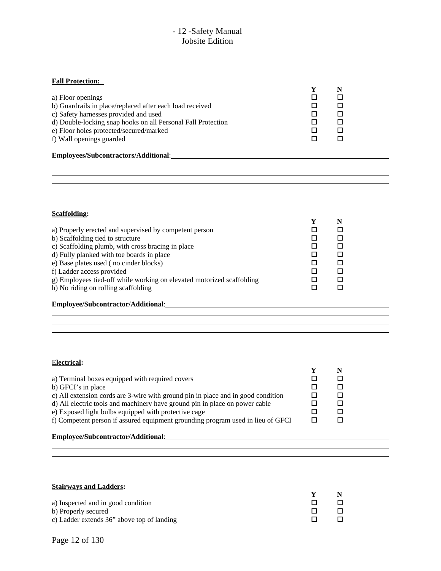### - 12 -Safety Manual Jobsite Edition

#### **Fall Protection:**

l l

| a) Floor openings                                            |  |
|--------------------------------------------------------------|--|
| b) Guardrails in place/replaced after each load received     |  |
| c) Safety harnesses provided and used                        |  |
| d) Double-locking snap hooks on all Personal Fall Protection |  |
| e) Floor holes protected/secured/marked                      |  |
| f) Wall openings guarded                                     |  |

### **Employees/Subcontractors/Additional**:

| Scaffolding:                                                          |  |
|-----------------------------------------------------------------------|--|
|                                                                       |  |
| a) Properly erected and supervised by competent person                |  |
| b) Scaffolding tied to structure                                      |  |
| c) Scaffolding plumb, with cross bracing in place                     |  |
| d) Fully planked with toe boards in place                             |  |
| e) Base plates used (no cinder blocks)                                |  |
| f) Ladder access provided                                             |  |
| g) Employees tied-off while working on elevated motorized scaffolding |  |
| h) No riding on rolling scaffolding                                   |  |

<u> 1989 - Johann Stoff, amerikansk politiker (d. 1989)</u>

<u> 1989 - Johann Stoff, die staatskriuw fan de Amerikaansk kommunister († 1958)</u>

### **Employee/Subcontractor/Additional**:

#### E**lectrical:**

l l

l

| a) Terminal boxes equipped with required covers                                  |  |  |
|----------------------------------------------------------------------------------|--|--|
| b) GFCI's in place                                                               |  |  |
| c) All extension cords are 3-wire with ground pin in place and in good condition |  |  |
| d) All electric tools and machinery have ground pin in place on power cable      |  |  |
| e) Exposed light bulbs equipped with protective cage                             |  |  |
| f) Competent person if assured equipment grounding program used in lieu of GFCI  |  |  |
| Employee/Subcontractor/Additional:                                               |  |  |
|                                                                                  |  |  |
|                                                                                  |  |  |

| <b>Stairways and Ladders:</b>              |   |  |
|--------------------------------------------|---|--|
|                                            | Y |  |
| a) Inspected and in good condition         |   |  |
| b) Properly secured                        |   |  |
| c) Ladder extends 36" above top of landing |   |  |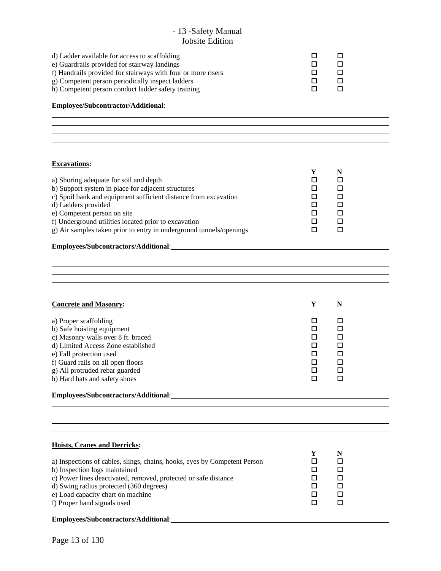### - 13 -Safety Manual Jobsite Edition

| d) Ladder available for access to scaffolding                |  |  |
|--------------------------------------------------------------|--|--|
| e) Guardrails provided for stairway landings                 |  |  |
| f) Handrails provided for stairways with four or more risers |  |  |
| g) Competent person periodically inspect ladders             |  |  |
| h) Competent person conduct ladder safety training           |  |  |
|                                                              |  |  |

<u> 1989 - Andrea San Andrew Maria (h. 1989).</u>

<u> 1980 - Johann Barnett, fransk politik (f. 1980)</u> <u> 1989 - Andrea Santa Andrea Santa Andrea Santa Andrea Santa Andrea Santa Andrea Santa Andrea Santa Andrea San</u>

<u> 1989 - Johann Barn, mars and deutscher Schwarzer und der Schwarzer und der Schwarzer und der Schwarzer und d</u> <u> 1989 - Johann Stoff, amerikansk politiker (d. 1989)</u>

### **Employee/Subcontractor/Additional**:

| <b>Excavations:</b> |  |
|---------------------|--|
|                     |  |

l

l

l

l

l

| a) Shoring adequate for soil and depth                              |  |
|---------------------------------------------------------------------|--|
| b) Support system in place for adjacent structures                  |  |
| c) Spoil bank and equipment sufficient distance from excavation     |  |
| d) Ladders provided                                                 |  |
| e) Competent person on site                                         |  |
| f) Underground utilities located prior to excavation                |  |
| g) Air samples taken prior to entry in underground tunnels/openings |  |

#### **Employees/Subcontractors/Additional**:

| <b>Concrete and Masonry:</b>                                                                                                                                                                                                                                       |  |
|--------------------------------------------------------------------------------------------------------------------------------------------------------------------------------------------------------------------------------------------------------------------|--|
| a) Proper scaffolding<br>b) Safe hoisting equipment<br>c) Masonry walls over 8 ft. braced<br>d) Limited Access Zone established<br>e) Fall protection used<br>f) Guard rails on all open floors<br>g) All protruded rebar guarded<br>h) Hard hats and safety shoes |  |

#### **Employees/Subcontractors/Additional**:

| <b>Hoists, Cranes and Derricks:</b>                                       |   |   |  |
|---------------------------------------------------------------------------|---|---|--|
|                                                                           | Y | N |  |
| a) Inspections of cables, slings, chains, hooks, eyes by Competent Person |   |   |  |
| b) Inspection logs maintained                                             |   |   |  |
| c) Power lines deactivated, removed, protected or safe distance           |   |   |  |
| d) Swing radius protected (360 degrees)                                   |   |   |  |
| e) Load capacity chart on machine                                         |   |   |  |
| f) Proper hand signals used                                               |   |   |  |
| <b>Employees/Subcontractors/Additional:</b>                               |   |   |  |

<u> 1989 - Johann Stoff, amerikansk politiker (\* 1908)</u>

<u> 1989 - Johann Barn, amerikan besteman besteman besteman besteman besteman besteman besteman besteman bestema</u>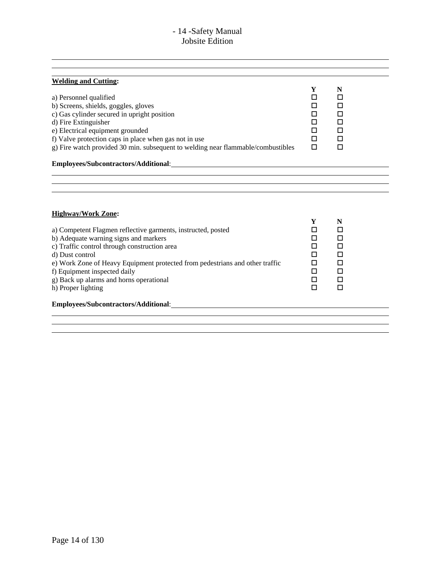### - 14 -Safety Manual Jobsite Edition

| <b>Welding and Cutting:</b>                                                      |   |   |  |
|----------------------------------------------------------------------------------|---|---|--|
|                                                                                  | Y | N |  |
| a) Personnel qualified                                                           |   |   |  |
| b) Screens, shields, goggles, gloves                                             |   |   |  |
| c) Gas cylinder secured in upright position                                      |   |   |  |
| d) Fire Extinguisher                                                             |   |   |  |
| e) Electrical equipment grounded                                                 |   |   |  |
| f) Valve protection caps in place when gas not in use                            |   |   |  |
| g) Fire watch provided 30 min. subsequent to welding near flammable/combustibles | ப |   |  |
| <b>Employees/Subcontractors/Additional:</b>                                      |   |   |  |

and the control of the control of the control of the control of the control of the control of the control of the 

<u> 1989 - Johann Barn, mars ann an t-Amhain an t-Amhain an t-Amhain an t-Amhain an t-Amhain an t-Amhain an t-Amh</u>

#### **Highway/Work Zone: Y N**  a) Competent Flagmen reflective garments, instructed, posted  $\square$   $\square$ b) Adequate warning signs and markers  $\square$   $\square$ <br>c) Traffic control through construction area  $\square$ c) Traffic control through construction area  $\Box$   $\Box$   $\Box$ d) Dust control  $\square$   $\square$ <br>
e) Work Zone of Heavy Equipment protected from pedestrians and other traffic  $\square$   $\square$ e) Work Zone of Heavy Equipment protected from pedestrians and other traffic  $\Box$  $\Box$ f) Equipment inspected daily g) Back up alarms and horns operational  $\square$ h) Proper lighting  $\square$ **Employees/Subcontractors/Additional**: <u> 1989 - Johann Barn, mars ann an t-Amhainn an t-Amhainn an t-Amhainn an t-Amhainn an t-Amhainn an t-Amhainn a</u> l <u> 1980 - Johann Stoff, deutscher Stoffen und der Stoffen und der Stoffen und der Stoffen und der Stoffen und de</u> l

l

l

l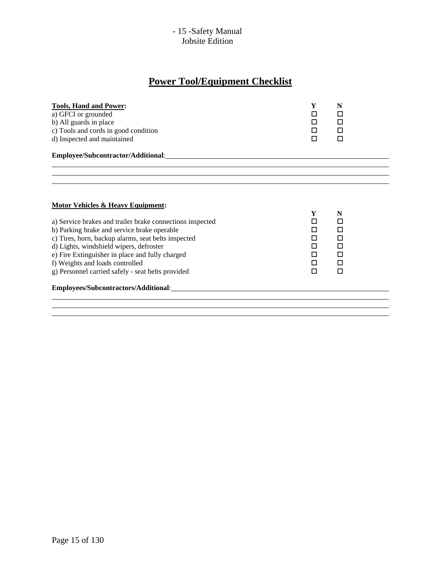### - 15 -Safety Manual Jobsite Edition

# **Power Tool/Equipment Checklist**

| <b>Tools, Hand and Power:</b>                                                                                                                                                                                                 | Y | N      |  |
|-------------------------------------------------------------------------------------------------------------------------------------------------------------------------------------------------------------------------------|---|--------|--|
| a) GFCI or grounded                                                                                                                                                                                                           | п | □      |  |
| b) All guards in place                                                                                                                                                                                                        | п | □      |  |
| c) Tools and cords in good condition                                                                                                                                                                                          | п | □      |  |
| d) Inspected and maintained                                                                                                                                                                                                   | п | $\Box$ |  |
|                                                                                                                                                                                                                               |   |        |  |
|                                                                                                                                                                                                                               |   |        |  |
| <b>Motor Vehicles &amp; Heavy Equipment:</b>                                                                                                                                                                                  | Y | N      |  |
| a) Service brakes and trailer brake connections inspected                                                                                                                                                                     | п | □      |  |
| b) Parking brake and service brake operable                                                                                                                                                                                   | п | □      |  |
| c) Tires, horn, backup alarms, seat belts inspected                                                                                                                                                                           | □ | □      |  |
| d) Lights, windshield wipers, defroster                                                                                                                                                                                       | п | □      |  |
| e) Fire Extinguisher in place and fully charged                                                                                                                                                                               | п | □      |  |
| f) Weights and loads controlled                                                                                                                                                                                               | п | □      |  |
| g) Personnel carried safely - seat belts provided                                                                                                                                                                             | □ | □      |  |
| Employees/Subcontractors/Additional: National Control of the Control of the Control of the Control of the Control of the Control of the Control of the Control of the Control of the Control of the Control of the Control of |   |        |  |
|                                                                                                                                                                                                                               |   |        |  |
|                                                                                                                                                                                                                               |   |        |  |
|                                                                                                                                                                                                                               |   |        |  |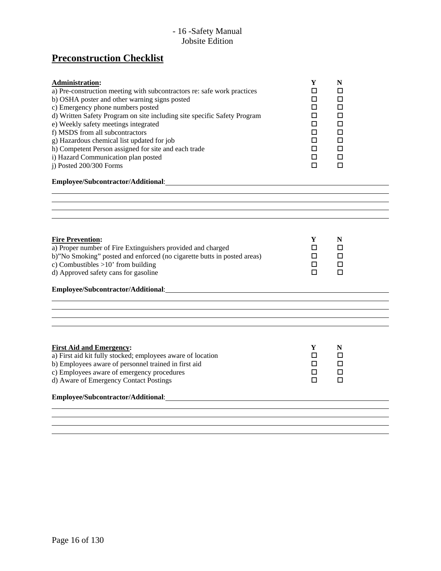### - 16 -Safety Manual Jobsite Edition

# **Preconstruction Checklist**

| Administration:<br>a) Pre-construction meeting with subcontractors re: safe work practices | $\mathbf Y$<br>□ | N<br>□ |
|--------------------------------------------------------------------------------------------|------------------|--------|
| b) OSHA poster and other warning signs posted                                              | □                | □      |
| c) Emergency phone numbers posted                                                          | □                | □      |
| d) Written Safety Program on site including site specific Safety Program                   | □                | □      |
| e) Weekly safety meetings integrated                                                       | □                | □      |
| f) MSDS from all subcontractors                                                            | □                | □      |
| g) Hazardous chemical list updated for job                                                 | □                | $\Box$ |
| h) Competent Person assigned for site and each trade                                       | □                | □      |
| i) Hazard Communication plan posted                                                        | □                | □      |
| j) Posted 200/300 Forms                                                                    | □                | $\Box$ |
|                                                                                            |                  |        |
|                                                                                            |                  |        |
|                                                                                            |                  |        |
|                                                                                            |                  |        |
|                                                                                            |                  |        |
| <b>Fire Prevention:</b>                                                                    | Y                | N      |
| a) Proper number of Fire Extinguishers provided and charged                                | □                | □      |
| b)"No Smoking" posted and enforced (no cigarette butts in posted areas)                    | □                | □      |
| c) Combustibles $>10'$ from building                                                       | □                | □      |
| d) Approved safety cans for gasoline                                                       | □                | □      |
|                                                                                            |                  |        |
| <b>Employee/Subcontractor/Additional:</b>                                                  |                  |        |
|                                                                                            |                  |        |
|                                                                                            |                  |        |
|                                                                                            |                  |        |
| <b>First Aid and Emergency:</b>                                                            | Y                | N      |
| a) First aid kit fully stocked; employees aware of location                                | □                | □      |
| b) Employees aware of personnel trained in first aid                                       | □                | □      |
| c) Employees aware of emergency procedures                                                 | □                | $\Box$ |
| d) Aware of Emergency Contact Postings                                                     |                  | $\Box$ |
|                                                                                            |                  |        |
|                                                                                            | □                |        |
|                                                                                            |                  |        |

e<br>He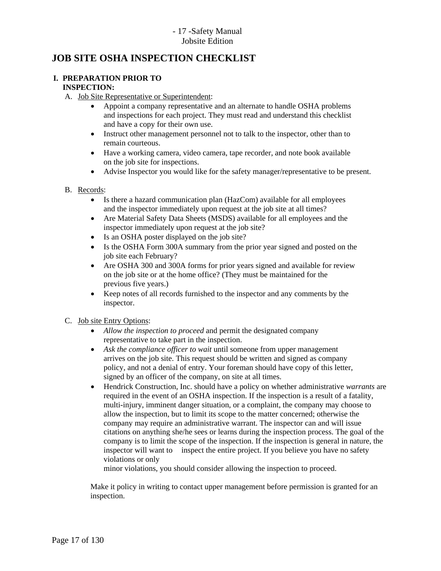### - 17 -Safety Manual Jobsite Edition

### **JOB SITE OSHA INSPECTION CHECKLIST**

### **I. PREPARATION PRIOR TO**

### **INSPECTION:**

- A. Job Site Representative or Superintendent:
	- Appoint a company representative and an alternate to handle OSHA problems and inspections for each project. They must read and understand this checklist and have a copy for their own use.
	- Instruct other management personnel not to talk to the inspector, other than to remain courteous.
	- Have a working camera, video camera, tape recorder, and note book available on the job site for inspections.
	- Advise Inspector you would like for the safety manager/representative to be present.
- B. Records:
	- Is there a hazard communication plan (HazCom) available for all employees and the inspector immediately upon request at the job site at all times?
	- Are Material Safety Data Sheets (MSDS) available for all employees and the inspector immediately upon request at the job site?
	- Is an OSHA poster displayed on the job site?
	- Is the OSHA Form 300A summary from the prior year signed and posted on the job site each February?
	- Are OSHA 300 and 300A forms for prior years signed and available for review on the job site or at the home office? (They must be maintained for the previous five years.)
	- Keep notes of all records furnished to the inspector and any comments by the inspector.
- C. Job site Entry Options:
	- *Allow the inspection to proceed* and permit the designated company representative to take part in the inspection.
	- Ask the compliance officer to wait until someone from upper management arrives on the job site. This request should be written and signed as company policy, and not a denial of entry. Your foreman should have copy of this letter, signed by an officer of the company, on site at all times.
	- Hendrick Construction, Inc. should have a policy on whether administrative *warrants* are required in the event of an OSHA inspection. If the inspection is a result of a fatality, multi-injury, imminent danger situation, or a complaint, the company may choose to allow the inspection, but to limit its scope to the matter concerned; otherwise the company may require an administrative warrant. The inspector can and will issue citations on anything she/he sees or learns during the inspection process. The goal of the company is to limit the scope of the inspection. If the inspection is general in nature, the inspector will want to inspect the entire project. If you believe you have no safety violations or only

minor violations, you should consider allowing the inspection to proceed.

Make it policy in writing to contact upper management before permission is granted for an inspection.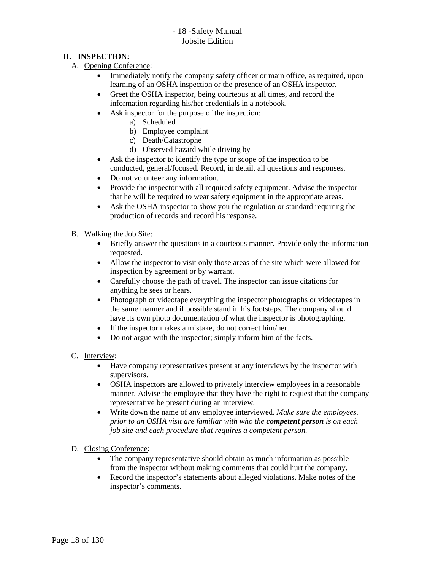### - 18 -Safety Manual Jobsite Edition

### **II. INSPECTION:**

- A. Opening Conference:
	- Immediately notify the company safety officer or main office, as required, upon learning of an OSHA inspection or the presence of an OSHA inspector.
	- Greet the OSHA inspector, being courteous at all times, and record the information regarding his/her credentials in a notebook.
	- Ask inspector for the purpose of the inspection:
		- a) Scheduled
		- b) Employee complaint
		- c) Death/Catastrophe
		- d) Observed hazard while driving by
	- Ask the inspector to identify the type or scope of the inspection to be conducted, general/focused. Record, in detail, all questions and responses.
	- Do not volunteer any information.
	- Provide the inspector with all required safety equipment. Advise the inspector that he will be required to wear safety equipment in the appropriate areas.
	- Ask the OSHA inspector to show you the regulation or standard requiring the production of records and record his response.
- B. Walking the Job Site:
	- Briefly answer the questions in a courteous manner. Provide only the information requested.
	- Allow the inspector to visit only those areas of the site which were allowed for inspection by agreement or by warrant.
	- Carefully choose the path of travel. The inspector can issue citations for anything he sees or hears.
	- Photograph or videotape everything the inspector photographs or videotapes in the same manner and if possible stand in his footsteps. The company should have its own photo documentation of what the inspector is photographing.
	- If the inspector makes a mistake, do not correct him/her.
	- Do not argue with the inspector; simply inform him of the facts.
- C. Interview:
	- Have company representatives present at any interviews by the inspector with supervisors.
	- OSHA inspectors are allowed to privately interview employees in a reasonable manner. Advise the employee that they have the right to request that the company representative be present during an interview.
	- Write down the name of any employee interviewed. *Make sure the employees. prior to an OSHA visit are familiar with who the competent person is on each job site and each procedure that requires a competent person.*
- D. Closing Conference:
	- The company representative should obtain as much information as possible from the inspector without making comments that could hurt the company.
	- Record the inspector's statements about alleged violations. Make notes of the inspector's comments.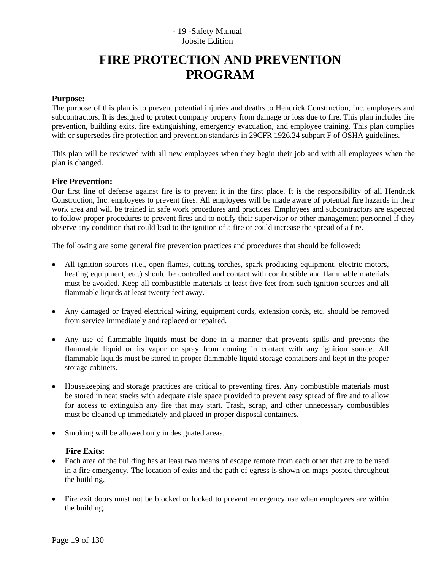### - 19 -Safety Manual Jobsite Edition

# **FIRE PROTECTION AND PREVENTION PROGRAM**

### **Purpose:**

The purpose of this plan is to prevent potential injuries and deaths to Hendrick Construction, Inc. employees and subcontractors. It is designed to protect company property from damage or loss due to fire. This plan includes fire prevention, building exits, fire extinguishing, emergency evacuation, and employee training. This plan complies with or supersedes fire protection and prevention standards in 29CFR 1926.24 subpart F of OSHA guidelines.

This plan will be reviewed with all new employees when they begin their job and with all employees when the plan is changed.

### **Fire Prevention:**

Our first line of defense against fire is to prevent it in the first place. It is the responsibility of all Hendrick Construction, Inc. employees to prevent fires. All employees will be made aware of potential fire hazards in their work area and will be trained in safe work procedures and practices. Employees and subcontractors are expected to follow proper procedures to prevent fires and to notify their supervisor or other management personnel if they observe any condition that could lead to the ignition of a fire or could increase the spread of a fire.

The following are some general fire prevention practices and procedures that should be followed:

- All ignition sources (i.e., open flames, cutting torches, spark producing equipment, electric motors, heating equipment, etc.) should be controlled and contact with combustible and flammable materials must be avoided. Keep all combustible materials at least five feet from such ignition sources and all flammable liquids at least twenty feet away.
- Any damaged or frayed electrical wiring, equipment cords, extension cords, etc. should be removed from service immediately and replaced or repaired.
- Any use of flammable liquids must be done in a manner that prevents spills and prevents the flammable liquid or its vapor or spray from coming in contact with any ignition source. All flammable liquids must be stored in proper flammable liquid storage containers and kept in the proper storage cabinets.
- Housekeeping and storage practices are critical to preventing fires. Any combustible materials must be stored in neat stacks with adequate aisle space provided to prevent easy spread of fire and to allow for access to extinguish any fire that may start. Trash, scrap, and other unnecessary combustibles must be cleaned up immediately and placed in proper disposal containers.
- Smoking will be allowed only in designated areas.

#### **Fire Exits:**

- Each area of the building has at least two means of escape remote from each other that are to be used in a fire emergency. The location of exits and the path of egress is shown on maps posted throughout the building.
- Fire exit doors must not be blocked or locked to prevent emergency use when employees are within the building.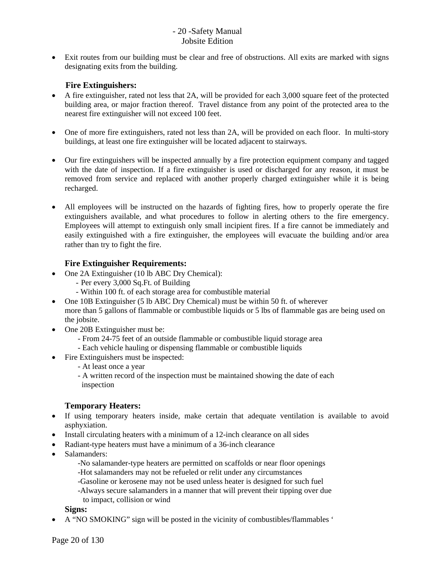### - 20 -Safety Manual Jobsite Edition

• Exit routes from our building must be clear and free of obstructions. All exits are marked with signs designating exits from the building.

### **Fire Extinguishers:**

- A fire extinguisher, rated not less that 2A, will be provided for each 3,000 square feet of the protected building area, or major fraction thereof. Travel distance from any point of the protected area to the nearest fire extinguisher will not exceed 100 feet.
- One of more fire extinguishers, rated not less than 2A, will be provided on each floor. In multi-story buildings, at least one fire extinguisher will be located adjacent to stairways.
- Our fire extinguishers will be inspected annually by a fire protection equipment company and tagged with the date of inspection. If a fire extinguisher is used or discharged for any reason, it must be removed from service and replaced with another properly charged extinguisher while it is being recharged.
- All employees will be instructed on the hazards of fighting fires, how to properly operate the fire extinguishers available, and what procedures to follow in alerting others to the fire emergency. Employees will attempt to extinguish only small incipient fires. If a fire cannot be immediately and easily extinguished with a fire extinguisher, the employees will evacuate the building and/or area rather than try to fight the fire.

### **Fire Extinguisher Requirements:**

- One 2A Extinguisher (10 lb ABC Dry Chemical):
	- Per every 3,000 Sq.Ft. of Building
	- Within 100 ft. of each storage area for combustible material
- One 10B Extinguisher (5 lb ABC Dry Chemical) must be within 50 ft. of wherever

more than 5 gallons of flammable or combustible liquids or 5 lbs of flammable gas are being used on the jobsite.

- One 20B Extinguisher must be:
	- From 24-75 feet of an outside flammable or combustible liquid storage area
	- Each vehicle hauling or dispensing flammable or combustible liquids
- Fire Extinguishers must be inspected:
	- At least once a year
	- A written record of the inspection must be maintained showing the date of each inspection

### **Temporary Heaters:**

- If using temporary heaters inside, make certain that adequate ventilation is available to avoid asphyxiation.
- Install circulating heaters with a minimum of a 12-inch clearance on all sides
- Radiant-type heaters must have a minimum of a 36-inch clearance
- Salamanders:
	- -No salamander-type heaters are permitted on scaffolds or near floor openings -Hot salamanders may not be refueled or relit under any circumstances
	- -Gasoline or kerosene may not be used unless heater is designed for such fuel
	- -Always secure salamanders in a manner that will prevent their tipping over due
	- to impact, collision or wind

### **Signs:**

• A "NO SMOKING" sign will be posted in the vicinity of combustibles/flammables '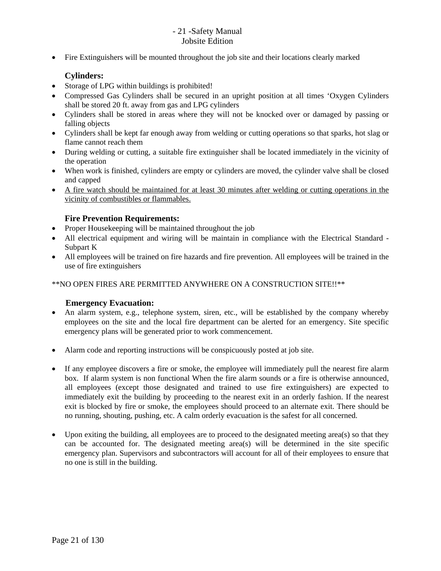### - 21 -Safety Manual Jobsite Edition

• Fire Extinguishers will be mounted throughout the job site and their locations clearly marked

### **Cylinders:**

- Storage of LPG within buildings is prohibited!
- Compressed Gas Cylinders shall be secured in an upright position at all times 'Oxygen Cylinders shall be stored 20 ft. away from gas and LPG cylinders
- Cylinders shall be stored in areas where they will not be knocked over or damaged by passing or falling objects
- Cylinders shall be kept far enough away from welding or cutting operations so that sparks, hot slag or flame cannot reach them
- During welding or cutting, a suitable fire extinguisher shall be located immediately in the vicinity of the operation
- When work is finished, cylinders are empty or cylinders are moved, the cylinder valve shall be closed and capped
- A fire watch should be maintained for at least 30 minutes after welding or cutting operations in the vicinity of combustibles or flammables.

### **Fire Prevention Requirements:**

- Proper Housekeeping will be maintained throughout the job
- All electrical equipment and wiring will be maintain in compliance with the Electrical Standard Subpart K
- All employees will be trained on fire hazards and fire prevention. All employees will be trained in the use of fire extinguishers

### \*\*NO OPEN FIRES ARE PERMITTED ANYWHERE ON A CONSTRUCTION SITE!!\*\*

### **Emergency Evacuation:**

- An alarm system, e.g., telephone system, siren, etc., will be established by the company whereby employees on the site and the local fire department can be alerted for an emergency. Site specific emergency plans will be generated prior to work commencement.
- Alarm code and reporting instructions will be conspicuously posted at job site.
- If any employee discovers a fire or smoke, the employee will immediately pull the nearest fire alarm box. If alarm system is non functional When the fire alarm sounds or a fire is otherwise announced, all employees (except those designated and trained to use fire extinguishers) are expected to immediately exit the building by proceeding to the nearest exit in an orderly fashion. If the nearest exit is blocked by fire or smoke, the employees should proceed to an alternate exit. There should be no running, shouting, pushing, etc. A calm orderly evacuation is the safest for all concerned.
- Upon exiting the building, all employees are to proceed to the designated meeting area(s) so that they can be accounted for. The designated meeting area(s) will be determined in the site specific emergency plan. Supervisors and subcontractors will account for all of their employees to ensure that no one is still in the building.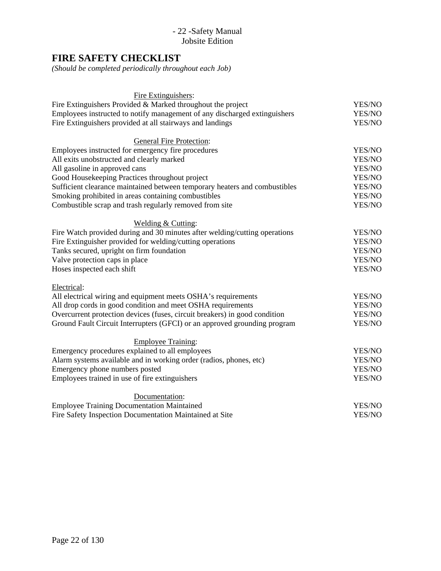### - 22 -Safety Manual Jobsite Edition

## **FIRE SAFETY CHECKLIST**

*(Should be completed periodically throughout each Job)* 

| Fire Extinguishers:                                                        |        |
|----------------------------------------------------------------------------|--------|
| Fire Extinguishers Provided & Marked throughout the project                | YES/NO |
| Employees instructed to notify management of any discharged extinguishers  | YES/NO |
| Fire Extinguishers provided at all stairways and landings                  | YES/NO |
| <b>General Fire Protection:</b>                                            |        |
| Employees instructed for emergency fire procedures                         | YES/NO |
| All exits unobstructed and clearly marked                                  | YES/NO |
| All gasoline in approved cans                                              | YES/NO |
| Good Housekeeping Practices throughout project                             | YES/NO |
| Sufficient clearance maintained between temporary heaters and combustibles | YES/NO |
| Smoking prohibited in areas containing combustibles                        | YES/NO |
| Combustible scrap and trash regularly removed from site                    | YES/NO |
| <b>Welding &amp; Cutting:</b>                                              |        |
| Fire Watch provided during and 30 minutes after welding/cutting operations | YES/NO |
| Fire Extinguisher provided for welding/cutting operations                  | YES/NO |
| Tanks secured, upright on firm foundation                                  | YES/NO |
| Valve protection caps in place                                             | YES/NO |
| Hoses inspected each shift                                                 | YES/NO |
| Electrical:                                                                |        |
| All electrical wiring and equipment meets OSHA's requirements              | YES/NO |
| All drop cords in good condition and meet OSHA requirements                | YES/NO |
| Overcurrent protection devices (fuses, circuit breakers) in good condition | YES/NO |
| Ground Fault Circuit Interrupters (GFCI) or an approved grounding program  | YES/NO |
| <b>Employee Training:</b>                                                  |        |
| Emergency procedures explained to all employees                            | YES/NO |
| Alarm systems available and in working order (radios, phones, etc)         | YES/NO |
| Emergency phone numbers posted                                             | YES/NO |
| Employees trained in use of fire extinguishers                             | YES/NO |
| Documentation:                                                             |        |
| <b>Employee Training Documentation Maintained</b>                          | YES/NO |
| Fire Safety Inspection Documentation Maintained at Site                    | YES/NO |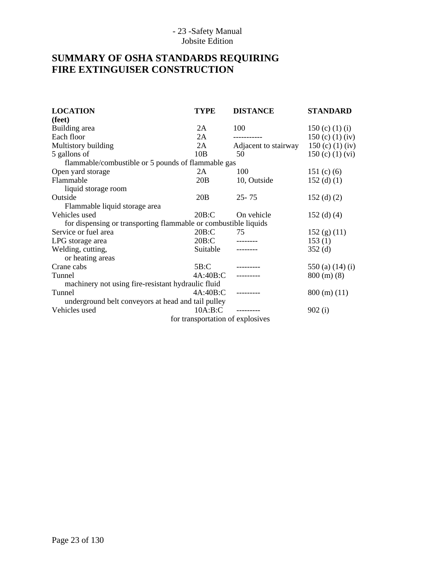### - 23 -Safety Manual Jobsite Edition

## **SUMMARY OF OSHA STANDARDS REQUIRING FIRE EXTINGUISER CONSTRUCTION**

| <b>LOCATION</b>                                                 | <b>TYPE</b> | <b>DISTANCE</b>      | <b>STANDARD</b>        |
|-----------------------------------------------------------------|-------------|----------------------|------------------------|
| (feet)                                                          |             |                      |                        |
| Building area                                                   | 2A          | 100                  | 150 (c) (1) (i)        |
| Each floor                                                      | 2A          |                      | 150 (c) (1) (iv)       |
| Multistory building                                             | 2A          | Adjacent to stairway | 150 (c) (1) (iv)       |
| 5 gallons of                                                    | 10B         | 50                   | 150 (c) $(1)$ (vi)     |
| flammable/combustible or 5 pounds of flammable gas              |             |                      |                        |
| Open yard storage                                               | 2A          | 100                  | 151 $(c)$ $(6)$        |
| Flammable                                                       | 20B         | 10, Outside          | 152 $(d)$ $(1)$        |
| liquid storage room                                             |             |                      |                        |
| Outside                                                         | 20B         | $25 - 75$            | 152 $(d)$ $(2)$        |
| Flammable liquid storage area                                   |             |                      |                        |
| Vehicles used                                                   | 20B:C       | On vehicle           | 152 $(d)$ $(4)$        |
| for dispensing or transporting flammable or combustible liquids |             |                      |                        |
| Service or fuel area                                            | 20B:C       | 75                   | $152$ (g) $(11)$       |
| LPG storage area                                                | 20B:C       |                      | 153(1)                 |
| Welding, cutting,                                               | Suitable    |                      | $352$ (d)              |
| or heating areas                                                |             |                      |                        |
| Crane cabs                                                      | 5B:C        |                      | 550 (a) $(14)$ (i)     |
| Tunnel                                                          | 4A:40B:C    |                      | $800 \; (m) \; (8)$    |
| machinery not using fire-resistant hydraulic fluid              |             |                      |                        |
| Tunnel                                                          | 4A:40B:C    | ----------           | $800 \text{ (m)} (11)$ |
| underground belt conveyors at head and tail pulley              |             |                      |                        |
| Vehicles used                                                   | 10A:B:C     |                      | 902(i)                 |
| for transportation of explosives                                |             |                      |                        |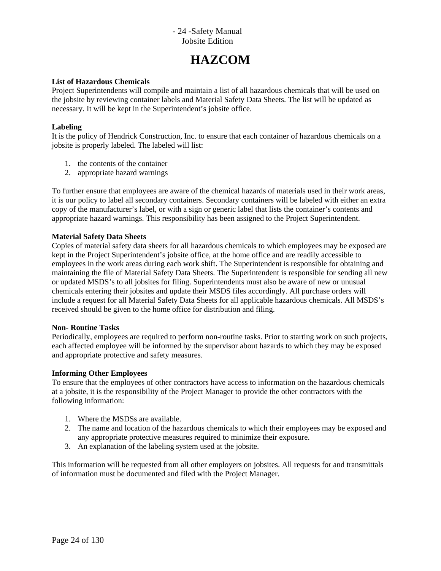### - 24 -Safety Manual Jobsite Edition

# **HAZCOM**

### **List of Hazardous Chemicals**

Project Superintendents will compile and maintain a list of all hazardous chemicals that will be used on the jobsite by reviewing container labels and Material Safety Data Sheets. The list will be updated as necessary. It will be kept in the Superintendent's jobsite office.

#### **Labeling**

It is the policy of Hendrick Construction, Inc. to ensure that each container of hazardous chemicals on a jobsite is properly labeled. The labeled will list:

- 1. the contents of the container
- 2. appropriate hazard warnings

To further ensure that employees are aware of the chemical hazards of materials used in their work areas, it is our policy to label all secondary containers. Secondary containers will be labeled with either an extra copy of the manufacturer's label, or with a sign or generic label that lists the container's contents and appropriate hazard warnings. This responsibility has been assigned to the Project Superintendent.

#### **Material Safety Data Sheets**

Copies of material safety data sheets for all hazardous chemicals to which employees may be exposed are kept in the Project Superintendent's jobsite office, at the home office and are readily accessible to employees in the work areas during each work shift. The Superintendent is responsible for obtaining and maintaining the file of Material Safety Data Sheets. The Superintendent is responsible for sending all new or updated MSDS's to all jobsites for filing. Superintendents must also be aware of new or unusual chemicals entering their jobsites and update their MSDS files accordingly. All purchase orders will include a request for all Material Safety Data Sheets for all applicable hazardous chemicals. All MSDS's received should be given to the home office for distribution and filing.

#### **Non- Routine Tasks**

Periodically, employees are required to perform non-routine tasks. Prior to starting work on such projects, each affected employee will be informed by the supervisor about hazards to which they may be exposed and appropriate protective and safety measures.

#### **Informing Other Employees**

To ensure that the employees of other contractors have access to information on the hazardous chemicals at a jobsite, it is the responsibility of the Project Manager to provide the other contractors with the following information:

- 1. Where the MSDSs are available.
- 2. The name and location of the hazardous chemicals to which their employees may be exposed and any appropriate protective measures required to minimize their exposure.
- 3. An explanation of the labeling system used at the jobsite.

This information will be requested from all other employers on jobsites. All requests for and transmittals of information must be documented and filed with the Project Manager.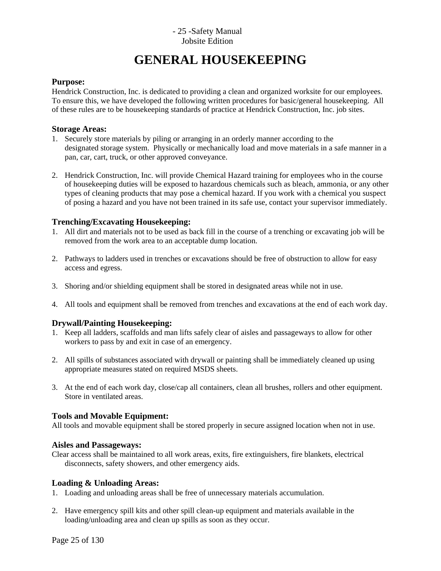### - 25 -Safety Manual Jobsite Edition

# **GENERAL HOUSEKEEPING**

### **Purpose:**

Hendrick Construction, Inc. is dedicated to providing a clean and organized worksite for our employees. To ensure this, we have developed the following written procedures for basic/general housekeeping. All of these rules are to be housekeeping standards of practice at Hendrick Construction, Inc. job sites.

### **Storage Areas:**

- 1. Securely store materials by piling or arranging in an orderly manner according to the designated storage system. Physically or mechanically load and move materials in a safe manner in a pan, car, cart, truck, or other approved conveyance.
- 2. Hendrick Construction, Inc. will provide Chemical Hazard training for employees who in the course of housekeeping duties will be exposed to hazardous chemicals such as bleach, ammonia, or any other types of cleaning products that may pose a chemical hazard. If you work with a chemical you suspect of posing a hazard and you have not been trained in its safe use, contact your supervisor immediately.

### **Trenching/Excavating Housekeeping:**

- 1. All dirt and materials not to be used as back fill in the course of a trenching or excavating job will be removed from the work area to an acceptable dump location.
- 2. Pathways to ladders used in trenches or excavations should be free of obstruction to allow for easy access and egress.
- 3. Shoring and/or shielding equipment shall be stored in designated areas while not in use.
- 4. All tools and equipment shall be removed from trenches and excavations at the end of each work day.

### **Drywall/Painting Housekeeping:**

- 1. Keep all ladders, scaffolds and man lifts safely clear of aisles and passageways to allow for other workers to pass by and exit in case of an emergency.
- 2. All spills of substances associated with drywall or painting shall be immediately cleaned up using appropriate measures stated on required MSDS sheets.
- 3. At the end of each work day, close/cap all containers, clean all brushes, rollers and other equipment. Store in ventilated areas.

### **Tools and Movable Equipment:**

All tools and movable equipment shall be stored properly in secure assigned location when not in use.

### **Aisles and Passageways:**

Clear access shall be maintained to all work areas, exits, fire extinguishers, fire blankets, electrical disconnects, safety showers, and other emergency aids.

### **Loading & Unloading Areas:**

- 1. Loading and unloading areas shall be free of unnecessary materials accumulation.
- 2. Have emergency spill kits and other spill clean-up equipment and materials available in the loading/unloading area and clean up spills as soon as they occur.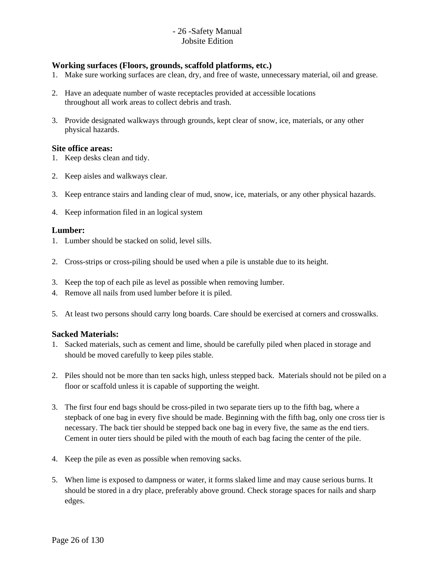### - 26 -Safety Manual Jobsite Edition

### **Working surfaces (Floors, grounds, scaffold platforms, etc.)**

- 1. Make sure working surfaces are clean, dry, and free of waste, unnecessary material, oil and grease.
- 2. Have an adequate number of waste receptacles provided at accessible locations throughout all work areas to collect debris and trash.
- 3. Provide designated walkways through grounds, kept clear of snow, ice, materials, or any other physical hazards.

### **Site office areas:**

- 1. Keep desks clean and tidy.
- 2. Keep aisles and walkways clear.
- 3. Keep entrance stairs and landing clear of mud, snow, ice, materials, or any other physical hazards.
- 4. Keep information filed in an logical system

### **Lumber:**

- 1. Lumber should be stacked on solid, level sills.
- 2. Cross-strips or cross-piling should be used when a pile is unstable due to its height.
- 3. Keep the top of each pile as level as possible when removing lumber.
- 4. Remove all nails from used lumber before it is piled.
- 5. At least two persons should carry long boards. Care should be exercised at corners and crosswalks.

### **Sacked Materials:**

- 1. Sacked materials, such as cement and lime, should be carefully piled when placed in storage and should be moved carefully to keep piles stable.
- 2. Piles should not be more than ten sacks high, unless stepped back. Materials should not be piled on a floor or scaffold unless it is capable of supporting the weight.
- 3. The first four end bags should be cross-piled in two separate tiers up to the fifth bag, where a stepback of one bag in every five should be made. Beginning with the fifth bag, only one cross tier is necessary. The back tier should be stepped back one bag in every five, the same as the end tiers. Cement in outer tiers should be piled with the mouth of each bag facing the center of the pile.
- 4. Keep the pile as even as possible when removing sacks.
- 5. When lime is exposed to dampness or water, it forms slaked lime and may cause serious burns. It should be stored in a dry place, preferably above ground. Check storage spaces for nails and sharp edges.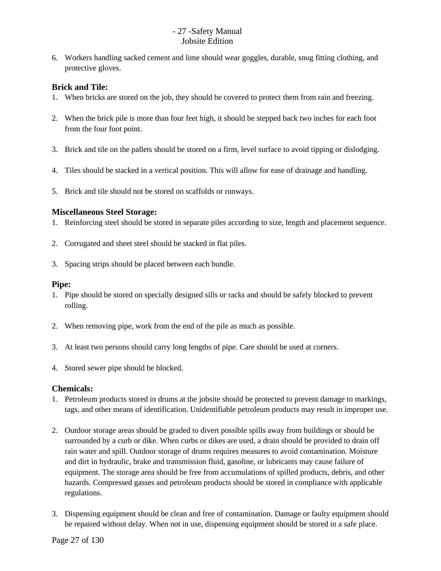### - 27 -Safety Manual Jobsite Edition

6. Workers handling sacked cement and lime should wear goggles, durable, snug fitting clothing, and protective gloves.

### **Brick and Tile:**

- 1. When bricks are stored on the job, they should be covered to protect them from rain and freezing.
- 2. When the brick pile is more than four feet high, it should be stepped back two inches for each foot from the four foot point.
- 3. Brick and tile on the pallets should be stored on a firm, level surface to avoid tipping or dislodging.
- 4. Tiles should be stacked in a vertical position. This will allow for ease of drainage and handling.
- 5. Brick and tile should not be stored on scaffolds or runways.

### **Miscellaneous Steel Storage:**

- 1. Reinforcing steel should be stored in separate piles according to size, length and placement sequence.
- 2. Corrugated and sheet steel should be stacked in flat piles.
- 3. Spacing strips should be placed between each bundle.

### **Pipe:**

- 1. Pipe should be stored on specially designed sills or racks and should be safely blocked to prevent rolling.
- 2. When removing pipe, work from the end of the pile as much as possible.
- 3. At least two persons should carry long lengths of pipe. Care should be used at corners.
- 4. Stored sewer pipe should be blocked.

### **Chemicals:**

- 1. Petroleum products stored in drums at the jobsite should be protected to prevent damage to markings, tags, and other means of identification. Unidentifiable petroleum products may result in improper use.
- 2. Outdoor storage areas should be graded to divert possible spills away from buildings or should be surrounded by a curb or dike. When curbs or dikes are used, a drain should be provided to drain off rain water and spill. Outdoor storage of drums requires measures to avoid contamination. Moisture and dirt in hydraulic, brake and transmission fluid, gasoline, or lubricants may cause failure of equipment. The storage area should be free from accumulations of spilled products, debris, and other hazards. Compressed gasses and petroleum products should be stored in compliance with applicable regulations.
- 3. Dispensing equipment should be clean and free of contamination. Damage or faulty equipment should be repaired without delay. When not in use, dispensing equipment should be stored in a safe place.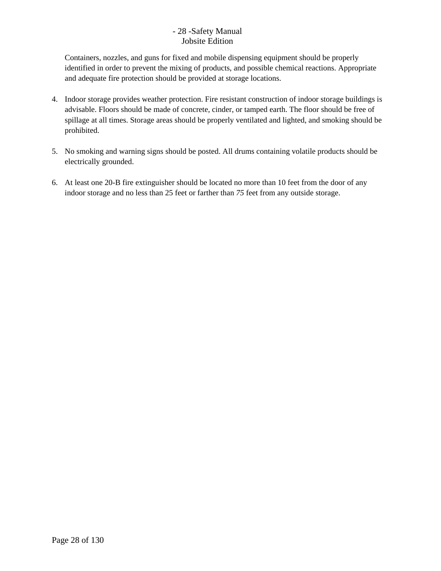### - 28 -Safety Manual Jobsite Edition

Containers, nozzles, and guns for fixed and mobile dispensing equipment should be properly identified in order to prevent the mixing of products, and possible chemical reactions. Appropriate and adequate fire protection should be provided at storage locations.

- 4. Indoor storage provides weather protection. Fire resistant construction of indoor storage buildings is advisable. Floors should be made of concrete, cinder, or tamped earth. The floor should be free of spillage at all times. Storage areas should be properly ventilated and lighted, and smoking should be prohibited.
- 5. No smoking and warning signs should be posted. All drums containing volatile products should be electrically grounded.
- 6. At least one 20-B fire extinguisher should be located no more than 10 feet from the door of any indoor storage and no less than 25 feet or farther than *75* feet from any outside storage.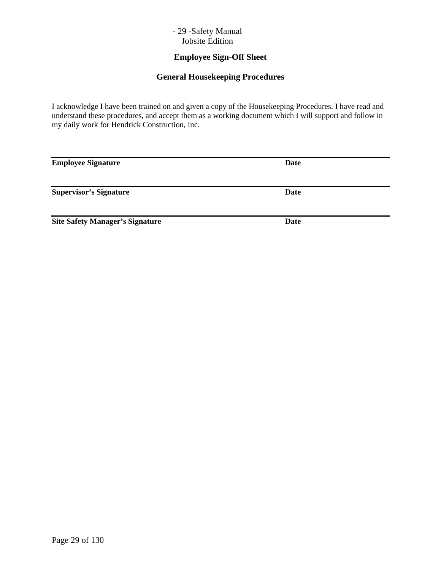### - 29 -Safety Manual Jobsite Edition

### **Employee Sign-Off Sheet**

### **General Housekeeping Procedures**

I acknowledge I have been trained on and given a copy of the Housekeeping Procedures. I have read and understand these procedures, and accept them as a working document which I will support and follow in my daily work for Hendrick Construction, Inc.

| <b>Employee Signature</b>              | Date |  |
|----------------------------------------|------|--|
|                                        |      |  |
| <b>Supervisor's Signature</b>          | Date |  |
| <b>Site Safety Manager's Signature</b> | Date |  |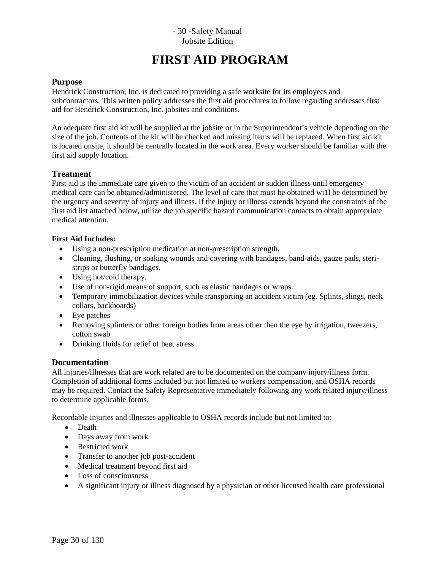### - 30 -Safety Manual Jobsite Edition

# **FIRST AID PROGRAM**

### **Purpose**

Hendrick Construction, Inc. is dedicated to providing a safe worksite for its employees and subcontractors. This written policy addresses the first aid procedures to follow regarding addresses first aid for Hendrick Construction, Inc. jobsites and conditions.

An adequate first aid kit will be supplied at the jobsite or in the Superintendent's vehicle depending on the size of the job. Contents of the kit will be checked and missing items will be replaced. When first aid kit is located onsite, it should be centrally located in the work area. Every worker should be familiar with the first aid supply location.

### **Treatment**

First aid is the immediate care given to the victim of an accident or sudden illness until emergency medical care can be obtained/administered. The level of care that must be obtained wi1l be determined by the urgency and severity of injury and illness. If the injury or illness extends beyond the constraints of the first aid list attached below, utilize the job specific hazard communication contacts to obtain appropriate medical attention.

### **First Aid Includes:**

- Using a non-prescription medication at non-prescription strength.
- Cleaning, flushing, or soaking wounds and covering with bandages, band-aids, gauze pads, steristrips or butterfly bandages.
- Using hot/cold therapy.
- Use of non-rigid means of support, such as elastic bandages or wraps.
- Temporary immobilization devices while transporting an accident victim (eg. Splints, slings, neck collars, backboards)
- Eye patches
- Removing splinters or other foreign bodies from areas other then the eye by irrigation, tweezers, cotton swab
- Drinking fluids for relief of heat stress

### **Documentation**

All injuries/illnesses that are work related are to be documented on the company injury/illness form. Completion of additional forms included but not limited to workers compensation, and OSHA records may be required. Contact the Safety Representative immediately following any work related injury/illness to determine applicable forms.

Recordable injuries and illnesses applicable to OSHA records include but not limited to:

- Death
- Days away from work
- Restricted work
- Transfer to another job post-accident
- Medical treatment beyond first aid
- Loss of consciousness
- A significant injury or illness diagnosed by a physician or other licensed health care professional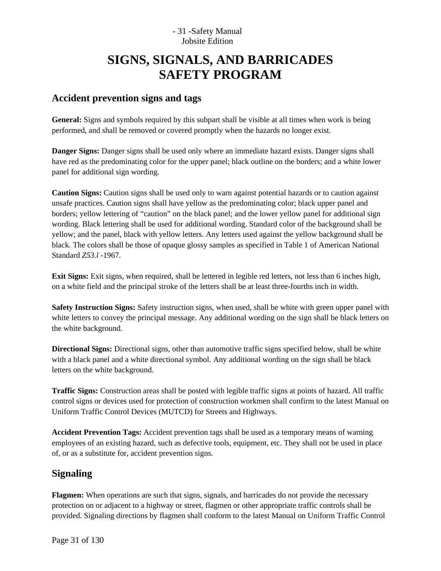### - 31 -Safety Manual Jobsite Edition

# **SIGNS, SIGNALS, AND BARRICADES SAFETY PROGRAM**

### **Accident prevention signs and tags**

**General:** Signs and symbols required by this subpart shall be visible at all times when work is being performed, and shall be removed or covered promptly when the hazards no longer exist.

**Danger Signs:** Danger signs shall be used only where an immediate hazard exists. Danger signs shall have red as the predominating color for the upper panel; black outline on the borders; and a white lower panel for additional sign wording.

**Caution Signs:** Caution signs shall be used only to warn against potential hazards or to caution against unsafe practices. Caution signs shall have yellow as the predominating color; black upper panel and borders; yellow lettering of "caution" on the black panel; and the lower yellow panel for additional sign wording. Black lettering shall be used for additional wording. Standard color of the background shall be yellow; and the panel, black with yellow letters. Any letters used against the yellow background shall be black. The colors shall be those of opaque glossy samples as specified in Table 1 of American National Standard *Z53.l* -1967.

**Exit Signs:** Exit signs, when required, shall be lettered in legible red letters, not less than 6 inches high, on a white field and the principal stroke of the letters shall be at least three-fourths inch in width.

**Safety Instruction Signs:** Safety instruction signs, when used, shall be white with green upper panel with white letters to convey the principal message. Any additional wording on the sign shall be black letters on the white background.

**Directional Signs:** Directional signs, other than automotive traffic signs specified below, shall be white with a black panel and a white directional symbol. Any additional wording on the sign shall be black letters on the white background.

**Traffic Signs:** Construction areas shall be posted with legible traffic signs at points of hazard. All traffic control signs or devices used for protection of construction workmen shall confirm to the latest Manual on Uniform Traffic Control Devices (MUTCD) for Streets and Highways.

**Accident Prevention Tags:** Accident prevention tags shall be used as a temporary means of warning employees of an existing hazard, such as defective tools, equipment, etc. They shall not be used in place of, or as a substitute for, accident prevention signs.

### **Signaling**

**Flagmen:** When operations are such that signs, signals, and barricades do not provide the necessary protection on or adjacent to a highway or street, flagmen or other appropriate traffic controls shall be provided. Signaling directions by flagmen shall conform to the latest Manual on Uniform Traffic Control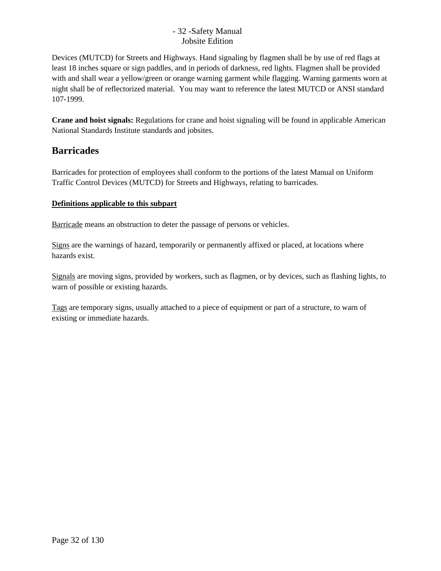### - 32 -Safety Manual Jobsite Edition

Devices (MUTCD) for Streets and Highways. Hand signaling by flagmen shall be by use of red flags at least 18 inches square or sign paddles, and in periods of darkness, red lights. Flagmen shall be provided with and shall wear a yellow/green or orange warning garment while flagging. Warning garments worn at night shall be of reflectorized material. You may want to reference the latest MUTCD or ANSI standard 107-1999.

**Crane and hoist signals:** Regulations for crane and hoist signaling will be found in applicable American National Standards Institute standards and jobsites.

### **Barricades**

Barricades for protection of employees shall conform to the portions of the latest Manual on Uniform Traffic Control Devices (MUTCD) for Streets and Highways, relating to barricades.

### **Definitions applicable to this subpart**

Barricade means an obstruction to deter the passage of persons or vehicles.

Signs are the warnings of hazard, temporarily or permanently affixed or placed, at locations where hazards exist.

Signals are moving signs, provided by workers, such as flagmen, or by devices, such as flashing lights, to warn of possible or existing hazards.

Tags are temporary signs, usually attached to a piece of equipment or part of a structure, to warn of existing or immediate hazards.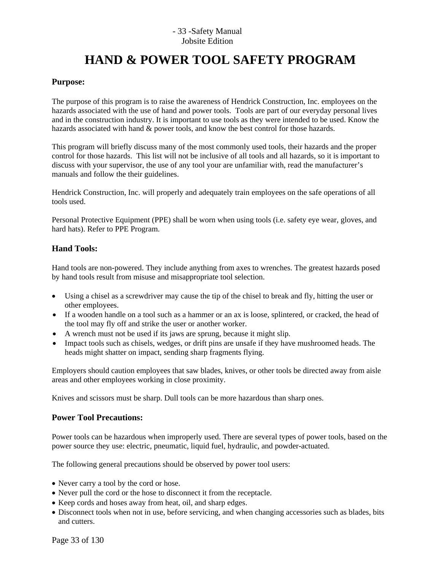### - 33 -Safety Manual Jobsite Edition

# **HAND & POWER TOOL SAFETY PROGRAM**

### **Purpose:**

The purpose of this program is to raise the awareness of Hendrick Construction, Inc. employees on the hazards associated with the use of hand and power tools. Tools are part of our everyday personal lives and in the construction industry. It is important to use tools as they were intended to be used. Know the hazards associated with hand & power tools, and know the best control for those hazards.

This program will briefly discuss many of the most commonly used tools, their hazards and the proper control for those hazards. This list will not be inclusive of all tools and all hazards, so it is important to discuss with your supervisor, the use of any tool your are unfamiliar with, read the manufacturer's manuals and follow the their guidelines.

Hendrick Construction, Inc. will properly and adequately train employees on the safe operations of all tools used.

Personal Protective Equipment (PPE) shall be worn when using tools (i.e. safety eye wear, gloves, and hard hats). Refer to PPE Program.

### **Hand Tools:**

Hand tools are non-powered. They include anything from axes to wrenches. The greatest hazards posed by hand tools result from misuse and misappropriate tool selection.

- Using a chisel as a screwdriver may cause the tip of the chisel to break and fly, hitting the user or other employees.
- If a wooden handle on a tool such as a hammer or an ax is loose, splintered, or cracked, the head of the tool may fly off and strike the user or another worker.
- A wrench must not be used if its jaws are sprung, because it might slip.
- Impact tools such as chisels, wedges, or drift pins are unsafe if they have mushroomed heads. The heads might shatter on impact, sending sharp fragments flying.

Employers should caution employees that saw blades, knives, or other tools be directed away from aisle areas and other employees working in close proximity.

Knives and scissors must be sharp. Dull tools can be more hazardous than sharp ones.

### **Power Tool Precautions:**

Power tools can be hazardous when improperly used. There are several types of power tools, based on the power source they use: electric, pneumatic, liquid fuel, hydraulic, and powder-actuated.

The following general precautions should be observed by power tool users:

- Never carry a tool by the cord or hose.
- Never pull the cord or the hose to disconnect it from the receptacle.
- Keep cords and hoses away from heat, oil, and sharp edges.
- Disconnect tools when not in use, before servicing, and when changing accessories such as blades, bits and cutters.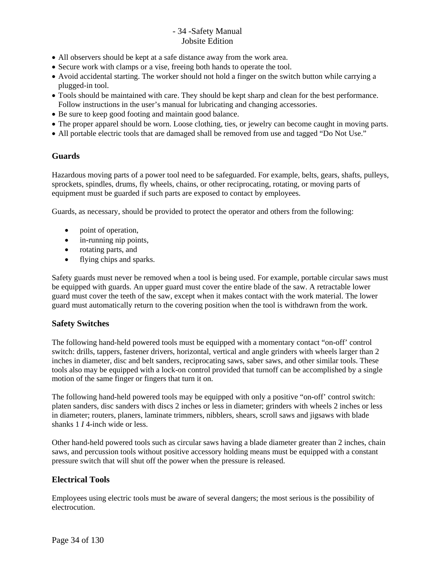### - 34 -Safety Manual Jobsite Edition

- All observers should be kept at a safe distance away from the work area.
- Secure work with clamps or a vise, freeing both hands to operate the tool.
- Avoid accidental starting. The worker should not hold a finger on the switch button while carrying a plugged-in tool.
- Tools should be maintained with care. They should be kept sharp and clean for the best performance. Follow instructions in the user's manual for lubricating and changing accessories.
- Be sure to keep good footing and maintain good balance.
- The proper apparel should be worn. Loose clothing, ties, or jewelry can become caught in moving parts.
- All portable electric tools that are damaged shall be removed from use and tagged "Do Not Use."

### **Guards**

Hazardous moving parts of a power tool need to be safeguarded. For example, belts, gears, shafts, pulleys, sprockets, spindles, drums, fly wheels, chains, or other reciprocating, rotating, or moving parts of equipment must be guarded if such parts are exposed to contact by employees.

Guards, as necessary, should be provided to protect the operator and others from the following:

- point of operation,
- in-running nip points,
- rotating parts, and
- flying chips and sparks.

Safety guards must never be removed when a tool is being used. For example, portable circular saws must be equipped with guards. An upper guard must cover the entire blade of the saw. A retractable lower guard must cover the teeth of the saw, except when it makes contact with the work material. The lower guard must automatically return to the covering position when the tool is withdrawn from the work.

### **Safety Switches**

The following hand-held powered tools must be equipped with a momentary contact "on-off' control switch: drills, tappers, fastener drivers, horizontal, vertical and angle grinders with wheels larger than 2 inches in diameter, disc and belt sanders, reciprocating saws, saber saws, and other similar tools. These tools also may be equipped with a lock-on control provided that turnoff can be accomplished by a single motion of the same finger or fingers that turn it on.

The following hand-held powered tools may be equipped with only a positive "on-off' control switch: platen sanders, disc sanders with discs 2 inches or less in diameter; grinders with wheels 2 inches or less in diameter; routers, planers, laminate trimmers, nibblers, shears, scroll saws and jigsaws with blade shanks 1 *I* 4-inch wide or less.

Other hand-held powered tools such as circular saws having a blade diameter greater than 2 inches, chain saws, and percussion tools without positive accessory holding means must be equipped with a constant pressure switch that will shut off the power when the pressure is released.

### **Electrical Tools**

Employees using electric tools must be aware of several dangers; the most serious is the possibility of electrocution.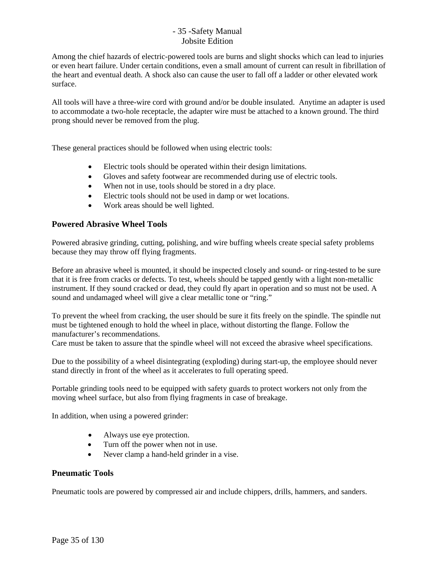### - 35 -Safety Manual Jobsite Edition

Among the chief hazards of electric-powered tools are burns and slight shocks which can lead to injuries or even heart failure. Under certain conditions, even a small amount of current can result in fibrillation of the heart and eventual death. A shock also can cause the user to fall off a ladder or other elevated work surface.

All tools will have a three-wire cord with ground and/or be double insulated. Anytime an adapter is used to accommodate a two-hole receptacle, the adapter wire must be attached to a known ground. The third prong should never be removed from the plug.

These general practices should be followed when using electric tools:

- Electric tools should be operated within their design limitations.
- Gloves and safety footwear are recommended during use of electric tools.
- When not in use, tools should be stored in a dry place.
- Electric tools should not be used in damp or wet locations.
- Work areas should be well lighted.

### **Powered Abrasive Wheel Tools**

Powered abrasive grinding, cutting, polishing, and wire buffing wheels create special safety problems because they may throw off flying fragments.

Before an abrasive wheel is mounted, it should be inspected closely and sound- or ring-tested to be sure that it is free from cracks or defects. To test, wheels should be tapped gently with a light non-metallic instrument. If they sound cracked or dead, they could fly apart in operation and so must not be used. A sound and undamaged wheel will give a clear metallic tone or "ring."

To prevent the wheel from cracking, the user should be sure it fits freely on the spindle. The spindle nut must be tightened enough to hold the wheel in place, without distorting the flange. Follow the manufacturer's recommendations.

Care must be taken to assure that the spindle wheel will not exceed the abrasive wheel specifications.

Due to the possibility of a wheel disintegrating (exploding) during start-up, the employee should never stand directly in front of the wheel as it accelerates to full operating speed.

Portable grinding tools need to be equipped with safety guards to protect workers not only from the moving wheel surface, but also from flying fragments in case of breakage.

In addition, when using a powered grinder:

- Always use eye protection.
- Turn off the power when not in use.
- Never clamp a hand-held grinder in a vise.

### **Pneumatic Tools**

Pneumatic tools are powered by compressed air and include chippers, drills, hammers, and sanders.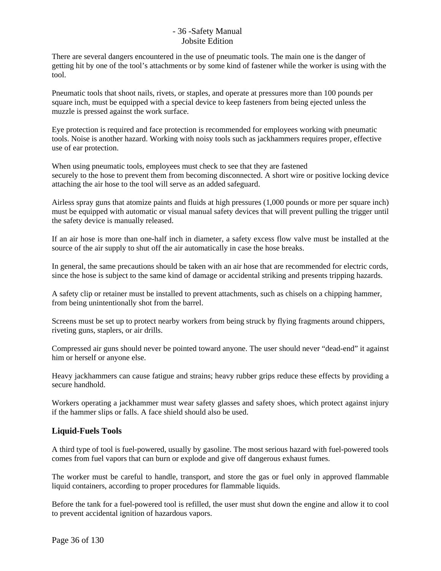### - 36 -Safety Manual Jobsite Edition

There are several dangers encountered in the use of pneumatic tools. The main one is the danger of getting hit by one of the tool's attachments or by some kind of fastener while the worker is using with the tool.

Pneumatic tools that shoot nails, rivets, or staples, and operate at pressures more than 100 pounds per square inch, must be equipped with a special device to keep fasteners from being ejected unless the muzzle is pressed against the work surface.

Eye protection is required and face protection is recommended for employees working with pneumatic tools. Noise is another hazard. Working with noisy tools such as jackhammers requires proper, effective use of ear protection.

When using pneumatic tools, employees must check to see that they are fastened securely to the hose to prevent them from becoming disconnected. A short wire or positive locking device attaching the air hose to the tool will serve as an added safeguard.

Airless spray guns that atomize paints and fluids at high pressures (1,000 pounds or more per square inch) must be equipped with automatic or visual manual safety devices that will prevent pulling the trigger until the safety device is manually released.

If an air hose is more than one-half inch in diameter, a safety excess flow valve must be installed at the source of the air supply to shut off the air automatically in case the hose breaks.

In general, the same precautions should be taken with an air hose that are recommended for electric cords, since the hose is subject to the same kind of damage or accidental striking and presents tripping hazards.

A safety clip or retainer must be installed to prevent attachments, such as chisels on a chipping hammer, from being unintentionally shot from the barrel.

Screens must be set up to protect nearby workers from being struck by flying fragments around chippers, riveting guns, staplers, or air drills.

Compressed air guns should never be pointed toward anyone. The user should never "dead-end" it against him or herself or anyone else.

Heavy jackhammers can cause fatigue and strains; heavy rubber grips reduce these effects by providing a secure handhold.

Workers operating a jackhammer must wear safety glasses and safety shoes, which protect against injury if the hammer slips or falls. A face shield should also be used.

### **Liquid-Fuels Tools**

A third type of tool is fuel-powered, usually by gasoline. The most serious hazard with fuel-powered tools comes from fuel vapors that can burn or explode and give off dangerous exhaust fumes.

The worker must be careful to handle, transport, and store the gas or fuel only in approved flammable liquid containers, according to proper procedures for flammable liquids.

Before the tank for a fuel-powered tool is refilled, the user must shut down the engine and allow it to cool to prevent accidental ignition of hazardous vapors.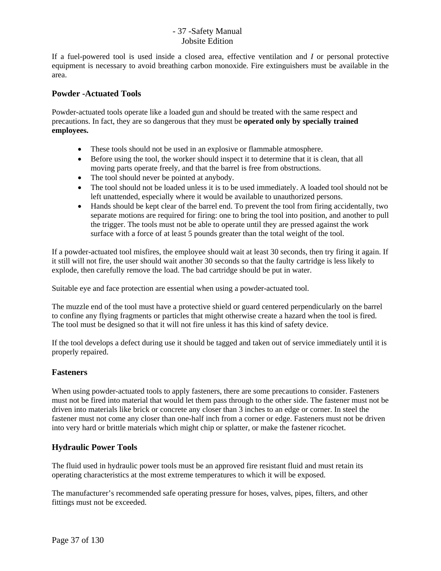## - 37 -Safety Manual Jobsite Edition

If a fuel-powered tool is used inside a closed area, effective ventilation and *I* or personal protective equipment is necessary to avoid breathing carbon monoxide. Fire extinguishers must be available in the area.

#### **Powder -Actuated Tools**

Powder-actuated tools operate like a loaded gun and should be treated with the same respect and precautions. In fact, they are so dangerous that they must be **operated only by specially trained employees.** 

- These tools should not be used in an explosive or flammable atmosphere.
- Before using the tool, the worker should inspect it to determine that it is clean, that all moving parts operate freely, and that the barrel is free from obstructions.
- The tool should never be pointed at anybody.
- The tool should not be loaded unless it is to be used immediately. A loaded tool should not be left unattended, especially where it would be available to unauthorized persons.
- Hands should be kept clear of the barrel end. To prevent the tool from firing accidentally, two separate motions are required for firing: one to bring the tool into position, and another to pull the trigger. The tools must not be able to operate until they are pressed against the work surface with a force of at least 5 pounds greater than the total weight of the tool.

If a powder-actuated tool misfires, the employee should wait at least 30 seconds, then try firing it again. If it still will not fire, the user should wait another 30 seconds so that the faulty cartridge is less likely to explode, then carefully remove the load. The bad cartridge should be put in water.

Suitable eye and face protection are essential when using a powder-actuated tool.

The muzzle end of the tool must have a protective shield or guard centered perpendicularly on the barrel to confine any flying fragments or particles that might otherwise create a hazard when the tool is fired. The tool must be designed so that it will not fire unless it has this kind of safety device.

If the tool develops a defect during use it should be tagged and taken out of service immediately until it is properly repaired.

#### **Fasteners**

When using powder-actuated tools to apply fasteners, there are some precautions to consider. Fasteners must not be fired into material that would let them pass through to the other side. The fastener must not be driven into materials like brick or concrete any closer than 3 inches to an edge or corner. In steel the fastener must not come any closer than one-half inch from a corner or edge. Fasteners must not be driven into very hard or brittle materials which might chip or splatter, or make the fastener ricochet.

#### **Hydraulic Power Tools**

The fluid used in hydraulic power tools must be an approved fire resistant fluid and must retain its operating characteristics at the most extreme temperatures to which it will be exposed.

The manufacturer's recommended safe operating pressure for hoses, valves, pipes, filters, and other fittings must not be exceeded.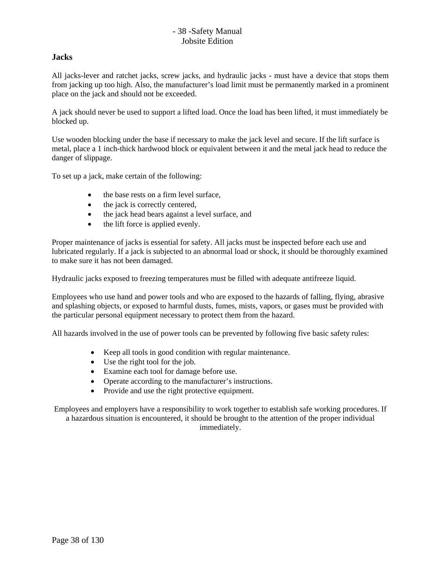#### **Jacks**

All jacks-lever and ratchet jacks, screw jacks, and hydraulic jacks - must have a device that stops them from jacking up too high. Also, the manufacturer's load limit must be permanently marked in a prominent place on the jack and should not be exceeded.

A jack should never be used to support a lifted load. Once the load has been lifted, it must immediately be blocked up.

Use wooden blocking under the base if necessary to make the jack level and secure. If the lift surface is metal, place a 1 inch-thick hardwood block or equivalent between it and the metal jack head to reduce the danger of slippage.

To set up a jack, make certain of the following:

- the base rests on a firm level surface,
- the jack is correctly centered,
- the jack head bears against a level surface, and
- the lift force is applied evenly.

Proper maintenance of jacks is essential for safety. All jacks must be inspected before each use and lubricated regularly. If a jack is subjected to an abnormal load or shock, it should be thoroughly examined to make sure it has not been damaged.

Hydraulic jacks exposed to freezing temperatures must be filled with adequate antifreeze liquid.

Employees who use hand and power tools and who are exposed to the hazards of falling, flying, abrasive and splashing objects, or exposed to harmful dusts, fumes, mists, vapors, or gases must be provided with the particular personal equipment necessary to protect them from the hazard.

All hazards involved in the use of power tools can be prevented by following five basic safety rules:

- Keep all tools in good condition with regular maintenance.
- Use the right tool for the job.
- Examine each tool for damage before use.
- Operate according to the manufacturer's instructions.
- Provide and use the right protective equipment.

Employees and employers have a responsibility to work together to establish safe working procedures. If a hazardous situation is encountered, it should be brought to the attention of the proper individual immediately.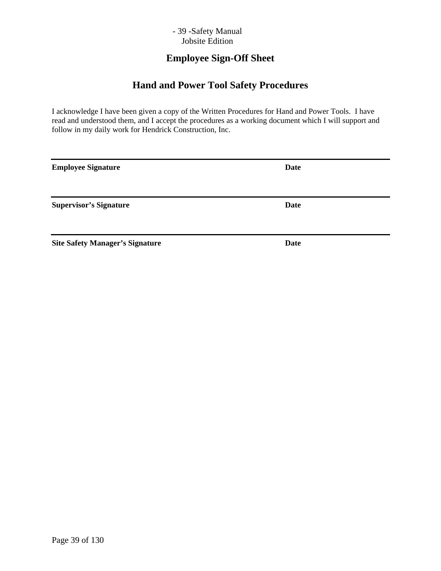### - 39 -Safety Manual Jobsite Edition

# **Employee Sign-Off Sheet**

# **Hand and Power Tool Safety Procedures**

I acknowledge I have been given a copy of the Written Procedures for Hand and Power Tools. I have read and understood them, and I accept the procedures as a working document which I will support and follow in my daily work for Hendrick Construction, Inc.

| <b>Employee Signature</b>              | <b>Date</b> |  |
|----------------------------------------|-------------|--|
|                                        |             |  |
| <b>Supervisor's Signature</b>          | Date        |  |
| <b>Site Safety Manager's Signature</b> | <b>Date</b> |  |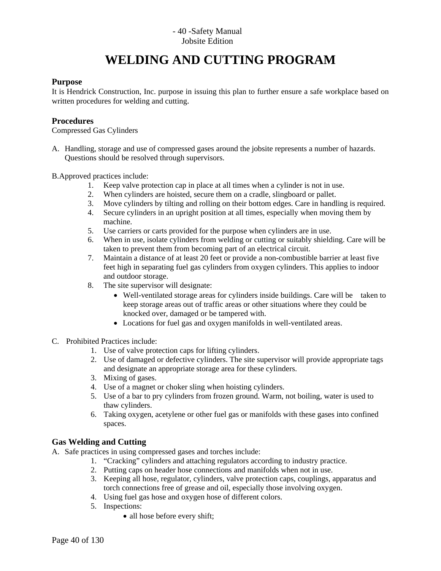#### - 40 -Safety Manual Jobsite Edition

# **WELDING AND CUTTING PROGRAM**

#### **Purpose**

It is Hendrick Construction, Inc. purpose in issuing this plan to further ensure a safe workplace based on written procedures for welding and cutting.

#### **Procedures**

Compressed Gas Cylinders

- A. Handling, storage and use of compressed gases around the jobsite represents a number of hazards. Questions should be resolved through supervisors.
- B.Approved practices include:
	- 1. Keep valve protection cap in place at all times when a cylinder is not in use.
	- 2. When cylinders are hoisted, secure them on a cradle, slingboard or pallet.
	- 3. Move cylinders by tilting and rolling on their bottom edges. Care in handling is required.
	- 4. Secure cylinders in an upright position at all times, especially when moving them by machine.
	- 5. Use carriers or carts provided for the purpose when cylinders are in use.<br>6. When in use, isolate cylinders from welding or cutting or suitably shield
	- When in use, isolate cylinders from welding or cutting or suitably shielding. Care will be taken to prevent them from becoming part of an electrical circuit.
	- 7. Maintain a distance of at least 20 feet or provide a non-combustible barrier at least five feet high in separating fuel gas cylinders from oxygen cylinders. This applies to indoor and outdoor storage.
	- 8. The site supervisor will designate:
		- Well-ventilated storage areas for cylinders inside buildings. Care will be taken to keep storage areas out of traffic areas or other situations where they could be knocked over, damaged or be tampered with.
		- Locations for fuel gas and oxygen manifolds in well-ventilated areas.
- C. Prohibited Practices include:
	- 1. Use of valve protection caps for lifting cylinders.
	- 2. Use of damaged or defective cylinders. The site supervisor will provide appropriate tags and designate an appropriate storage area for these cylinders.
	- 3. Mixing of gases.
	- 4. Use of a magnet or choker sling when hoisting cylinders.
	- 5. Use of a bar to pry cylinders from frozen ground. Warm, not boiling, water is used to thaw cylinders.
	- 6. Taking oxygen, acetylene or other fuel gas or manifolds with these gases into confined spaces.

#### **Gas Welding and Cutting**

- A. Safe practices in using compressed gases and torches include:
	- 1. "Cracking" cylinders and attaching regulators according to industry practice.
	- 2. Putting caps on header hose connections and manifolds when not in use.
	- 3. Keeping all hose, regulator, cylinders, valve protection caps, couplings, apparatus and torch connections free of grease and oil, especially those involving oxygen.
	- 4. Using fuel gas hose and oxygen hose of different colors.
	- 5. Inspections:
		- all hose before every shift;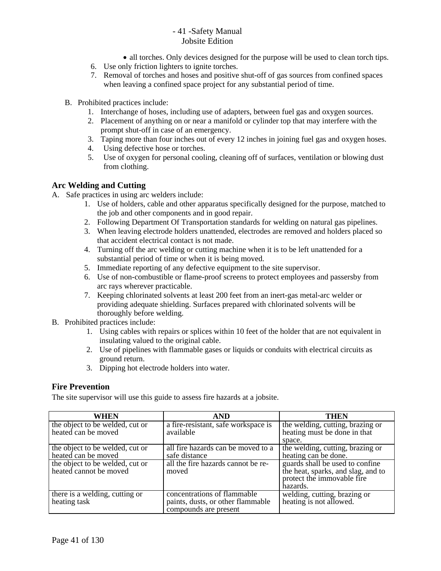# - 41 -Safety Manual Jobsite Edition

- all torches. Only devices designed for the purpose will be used to clean torch tips.
- 6. Use only friction lighters to ignite torches.
- 7. Removal of torches and hoses and positive shut-off of gas sources from confined spaces when leaving a confined space project for any substantial period of time.
- B. Prohibited practices include:
	- 1. Interchange of hoses, including use of adapters, between fuel gas and oxygen sources.
	- 2. Placement of anything on or near a manifold or cylinder top that may interfere with the prompt shut-off in case of an emergency.
	- 3. Taping more than four inches out of every 12 inches in joining fuel gas and oxygen hoses.
	- 4. Using defective hose or torches.
	- 5. Use of oxygen for personal cooling, cleaning off of surfaces, ventilation or blowing dust from clothing.

# **Arc Welding and Cutting**

- A. Safe practices in using arc welders include:
	- 1. Use of holders, cable and other apparatus specifically designed for the purpose, matched to the job and other components and in good repair.
	- 2. Following Department Of Transportation standards for welding on natural gas pipelines.
	- 3. When leaving electrode holders unattended, electrodes are removed and holders placed so that accident electrical contact is not made.
	- 4. Turning off the arc welding or cutting machine when it is to be left unattended for a substantial period of time or when it is being moved.
	- 5. Immediate reporting of any defective equipment to the site supervisor.
	- 6. Use of non-combustible or flame-proof screens to protect employees and passersby from arc rays wherever practicable.
	- 7. Keeping chlorinated solvents at least 200 feet from an inert-gas metal-arc welder or providing adequate shielding. Surfaces prepared with chlorinated solvents will be thoroughly before welding.
- B. Prohibited practices include:
	- 1. Using cables with repairs or splices within 10 feet of the holder that are not equivalent in insulating valued to the original cable.
	- 2. Use of pipelines with flammable gases or liquids or conduits with electrical circuits as ground return.
	- 3. Dipping hot electrode holders into water.

#### **Fire Prevention**

The site supervisor will use this guide to assess fire hazards at a jobsite.

| WHEN                                                      | <b>AND</b>                                                                                | <b>THEN</b>                                                                                                     |
|-----------------------------------------------------------|-------------------------------------------------------------------------------------------|-----------------------------------------------------------------------------------------------------------------|
| the object to be welded, cut or<br>heated can be moved    | a fire-resistant, safe workspace is<br>available                                          | the welding, cutting, brazing or<br>heating must be done in that                                                |
|                                                           |                                                                                           | space.                                                                                                          |
| the object to be welded, cut or                           | all fire hazards can be moved to a                                                        | the welding, cutting, brazing or                                                                                |
| heated can be moved                                       | safe distance                                                                             | heating can be done.                                                                                            |
| the object to be welded, cut or<br>heated cannot be moved | all the fire hazards cannot be re-<br>moved                                               | guards shall be used to confine<br>the heat, sparks, and slag, and to<br>protect the immovable fire<br>hazards. |
| there is a welding, cutting or<br>heating task            | concentrations of flammable<br>paints, dusts, or other flammable<br>compounds are present | welding, cutting, brazing or<br>heating is not allowed.                                                         |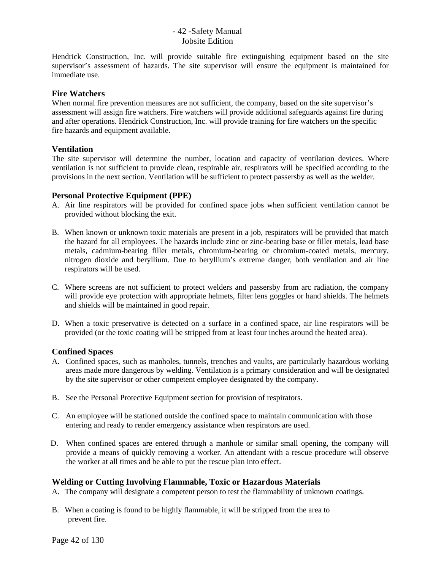### - 42 -Safety Manual Jobsite Edition

Hendrick Construction, Inc. will provide suitable fire extinguishing equipment based on the site supervisor's assessment of hazards. The site supervisor will ensure the equipment is maintained for immediate use.

#### **Fire Watchers**

When normal fire prevention measures are not sufficient, the company, based on the site supervisor's assessment will assign fire watchers. Fire watchers will provide additional safeguards against fire during and after operations. Hendrick Construction, Inc. will provide training for fire watchers on the specific fire hazards and equipment available.

#### **Ventilation**

The site supervisor will determine the number, location and capacity of ventilation devices. Where ventilation is not sufficient to provide clean, respirable air, respirators will be specified according to the provisions in the next section. Ventilation will be sufficient to protect passersby as well as the welder.

#### **Personal Protective Equipment (PPE)**

- A. Air line respirators will be provided for confined space jobs when sufficient ventilation cannot be provided without blocking the exit.
- B. When known or unknown toxic materials are present in a job, respirators will be provided that match the hazard for all employees. The hazards include zinc or zinc-bearing base or filler metals, lead base metals, cadmium-bearing filler metals, chromium-bearing or chromium-coated metals, mercury, nitrogen dioxide and beryllium. Due to beryllium's extreme danger, both ventilation and air line respirators will be used.
- C. Where screens are not sufficient to protect welders and passersby from arc radiation, the company will provide eye protection with appropriate helmets, filter lens goggles or hand shields. The helmets and shields will be maintained in good repair.
- D. When a toxic preservative is detected on a surface in a confined space, air line respirators will be provided (or the toxic coating will be stripped from at least four inches around the heated area).

#### **Confined Spaces**

- A. Confined spaces, such as manholes, tunnels, trenches and vaults, are particularly hazardous working areas made more dangerous by welding. Ventilation is a primary consideration and will be designated by the site supervisor or other competent employee designated by the company.
- B. See the Personal Protective Equipment section for provision of respirators.
- C. An employee will be stationed outside the confined space to maintain communication with those entering and ready to render emergency assistance when respirators are used.
- D. When confined spaces are entered through a manhole or similar small opening, the company will provide a means of quickly removing a worker. An attendant with a rescue procedure will observe the worker at all times and be able to put the rescue plan into effect.

#### **Welding or Cutting Involving Flammable, Toxic or Hazardous Materials**

- A. The company will designate a competent person to test the flammability of unknown coatings.
- B. When a coating is found to be highly flammable, it will be stripped from the area to prevent fire.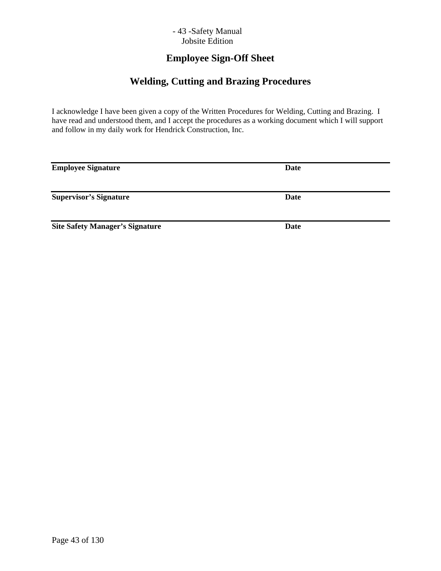### - 43 -Safety Manual Jobsite Edition

# **Employee Sign-Off Sheet**

# **Welding, Cutting and Brazing Procedures**

I acknowledge I have been given a copy of the Written Procedures for Welding, Cutting and Brazing. I have read and understood them, and I accept the procedures as a working document which I will support and follow in my daily work for Hendrick Construction, Inc.

| Date |  |
|------|--|
|      |  |
| Date |  |
|      |  |
| Date |  |
|      |  |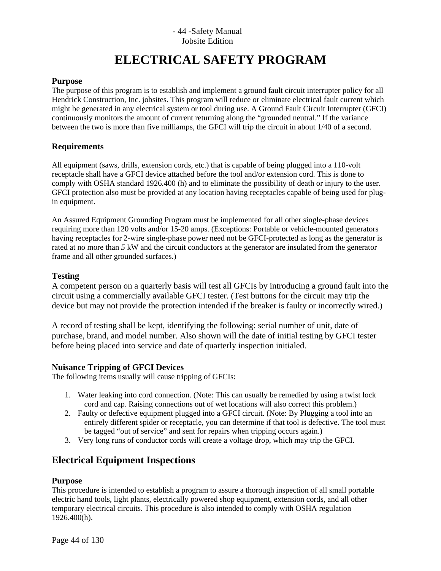### - 44 -Safety Manual Jobsite Edition

# **ELECTRICAL SAFETY PROGRAM**

#### **Purpose**

The purpose of this program is to establish and implement a ground fault circuit interrupter policy for all Hendrick Construction, Inc. jobsites. This program will reduce or eliminate electrical fault current which might be generated in any electrical system or tool during use. A Ground Fault Circuit Interrupter (GFCI) continuously monitors the amount of current returning along the "grounded neutral." If the variance between the two is more than five milliamps, the GFCI will trip the circuit in about 1/40 of a second.

#### **Requirements**

All equipment (saws, drills, extension cords, etc.) that is capable of being plugged into a 110-volt receptacle shall have a GFCI device attached before the tool and/or extension cord. This is done to comply with OSHA standard 1926.400 (h) and to eliminate the possibility of death or injury to the user. GFCI protection also must be provided at any location having receptacles capable of being used for plugin equipment.

An Assured Equipment Grounding Program must be implemented for all other single-phase devices requiring more than 120 volts and/or 15-20 amps. (Exceptions: Portable or vehicle-mounted generators having receptacles for 2-wire single-phase power need not be GFCI-protected as long as the generator is rated at no more than *5* kW and the circuit conductors at the generator are insulated from the generator frame and all other grounded surfaces.)

#### **Testing**

A competent person on a quarterly basis will test all GFCIs by introducing a ground fault into the circuit using a commercially available GFCI tester. (Test buttons for the circuit may trip the device but may not provide the protection intended if the breaker is faulty or incorrectly wired.)

A record of testing shall be kept, identifying the following: serial number of unit, date of purchase, brand, and model number. Also shown will the date of initial testing by GFCI tester before being placed into service and date of quarterly inspection initialed.

#### **Nuisance Tripping of GFCI Devices**

The following items usually will cause tripping of GFCIs:

- 1. Water leaking into cord connection. (Note: This can usually be remedied by using a twist lock cord and cap. Raising connections out of wet locations will also correct this problem.)
- 2. Faulty or defective equipment plugged into a GFCI circuit. (Note: By Plugging a tool into an entirely different spider or receptacle, you can determine if that tool is defective. The tool must be tagged "out of service" and sent for repairs when tripping occurs again.)
- 3. Very long runs of conductor cords will create a voltage drop, which may trip the GFCI.

# **Electrical Equipment Inspections**

#### **Purpose**

This procedure is intended to establish a program to assure a thorough inspection of all small portable electric hand tools, light plants, electrically powered shop equipment, extension cords, and all other temporary electrical circuits. This procedure is also intended to comply with OSHA regulation 1926.400(h).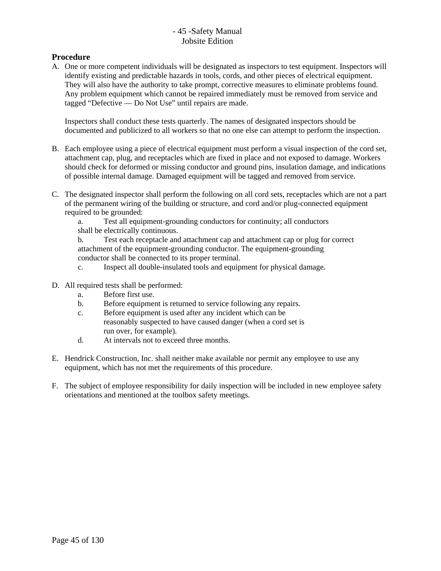# - 45 -Safety Manual Jobsite Edition

#### **Procedure**

A. One or more competent individuals will be designated as inspectors to test equipment. Inspectors will identify existing and predictable hazards in tools, cords, and other pieces of electrical equipment. They will also have the authority to take prompt, corrective measures to eliminate problems found. Any problem equipment which cannot be repaired immediately must be removed from service and tagged "Defective — Do Not Use" until repairs are made.

Inspectors shall conduct these tests quarterly. The names of designated inspectors should be documented and publicized to all workers so that no one else can attempt to perform the inspection.

- B. Each employee using a piece of electrical equipment must perform a visual inspection of the cord set, attachment cap, plug, and receptacles which are fixed in place and not exposed to damage. Workers should check for deformed or missing conductor and ground pins, insulation damage, and indications of possible internal damage. Damaged equipment will be tagged and removed from service.
- C. The designated inspector shall perform the following on all cord sets, receptacles which are not a part of the permanent wiring of the building or structure, and cord and/or plug-connected equipment required to be grounded:

 a. Test all equipment-grounding conductors for continuity; all conductors shall be electrically continuous.

 b. Test each receptacle and attachment cap and attachment cap or plug for correct attachment of the equipment-grounding conductor. The equipment-grounding conductor shall be connected to its proper terminal.

c. Inspect all double-insulated tools and equipment for physical damage.

- D. All required tests shall be performed:
	- a. Before first use.
	- b. Before equipment is returned to service following any repairs.
	- c. Before equipment is used after any incident which can be reasonably suspected to have caused danger (when a cord set is run over, for example).
	- d. At intervals not to exceed three months.
- E. Hendrick Construction, Inc. shall neither make available nor permit any employee to use any equipment, which has not met the requirements of this procedure.
- F. The subject of employee responsibility for daily inspection will be included in new employee safety orientations and mentioned at the toolbox safety meetings.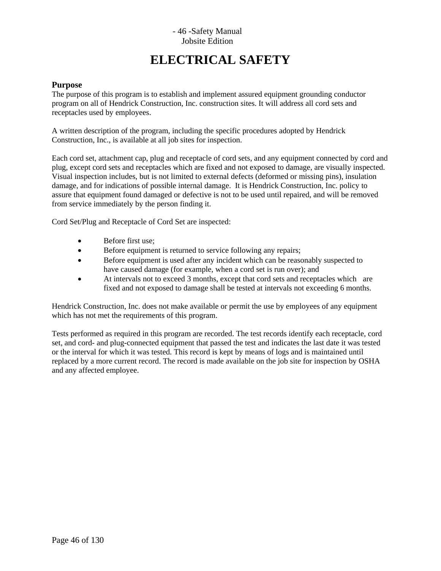# - 46 -Safety Manual Jobsite Edition

# **ELECTRICAL SAFETY**

#### **Purpose**

The purpose of this program is to establish and implement assured equipment grounding conductor program on all of Hendrick Construction, Inc. construction sites. It will address all cord sets and receptacles used by employees.

A written description of the program, including the specific procedures adopted by Hendrick Construction, Inc., is available at all job sites for inspection.

Each cord set, attachment cap, plug and receptacle of cord sets, and any equipment connected by cord and plug, except cord sets and receptacles which are fixed and not exposed to damage, are visually inspected. Visual inspection includes, but is not limited to external defects (deformed or missing pins), insulation damage, and for indications of possible internal damage. It is Hendrick Construction, Inc. policy to assure that equipment found damaged or defective is not to be used until repaired, and will be removed from service immediately by the person finding it.

Cord Set/Plug and Receptacle of Cord Set are inspected:

- Before first use;
- Before equipment is returned to service following any repairs;
- Before equipment is used after any incident which can be reasonably suspected to have caused damage (for example, when a cord set is run over); and
- At intervals not to exceed 3 months, except that cord sets and receptacles which are fixed and not exposed to damage shall be tested at intervals not exceeding 6 months.

Hendrick Construction, Inc. does not make available or permit the use by employees of any equipment which has not met the requirements of this program.

Tests performed as required in this program are recorded. The test records identify each receptacle, cord set, and cord- and plug-connected equipment that passed the test and indicates the last date it was tested or the interval for which it was tested. This record is kept by means of logs and is maintained until replaced by a more current record. The record is made available on the job site for inspection by OSHA and any affected employee.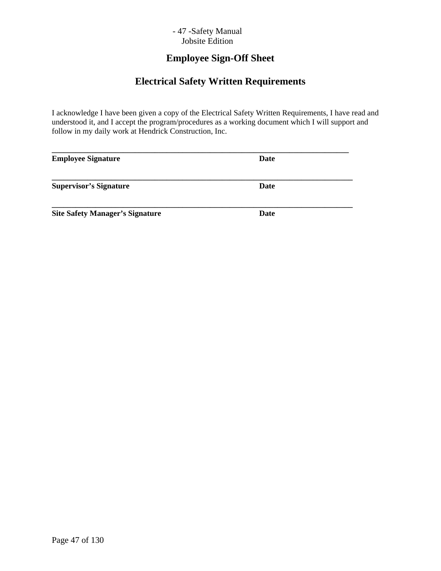## - 47 -Safety Manual Jobsite Edition

# **Employee Sign-Off Sheet**

# **Electrical Safety Written Requirements**

I acknowledge I have been given a copy of the Electrical Safety Written Requirements, I have read and understood it, and I accept the program/procedures as a working document which I will support and follow in my daily work at Hendrick Construction, Inc.

| <b>Employee Signature</b>              | Date        |  |
|----------------------------------------|-------------|--|
| <b>Supervisor's Signature</b>          | <b>Date</b> |  |
| <b>Site Safety Manager's Signature</b> | <b>Date</b> |  |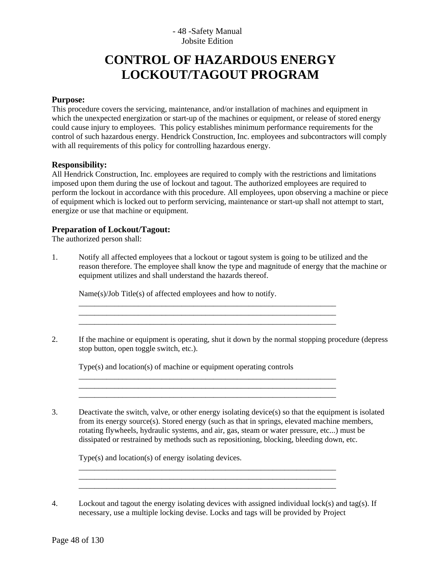- 48 -Safety Manual Jobsite Edition

# **CONTROL OF HAZARDOUS ENERGY LOCKOUT/TAGOUT PROGRAM**

#### **Purpose:**

This procedure covers the servicing, maintenance, and/or installation of machines and equipment in which the unexpected energization or start-up of the machines or equipment, or release of stored energy could cause injury to employees. This policy establishes minimum performance requirements for the control of such hazardous energy. Hendrick Construction, Inc. employees and subcontractors will comply with all requirements of this policy for controlling hazardous energy.

#### **Responsibility:**

All Hendrick Construction, Inc. employees are required to comply with the restrictions and limitations imposed upon them during the use of lockout and tagout. The authorized employees are required to perform the lockout in accordance with this procedure. All employees, upon observing a machine or piece of equipment which is locked out to perform servicing, maintenance or start-up shall not attempt to start, energize or use that machine or equipment.

#### **Preparation of Lockout/Tagout:**

The authorized person shall:

1. Notify all affected employees that a lockout or tagout system is going to be utilized and the reason therefore. The employee shall know the type and magnitude of energy that the machine or equipment utilizes and shall understand the hazards thereof.

Name(s)/Job Title(s) of affected employees and how to notify.

2. If the machine or equipment is operating, shut it down by the normal stopping procedure (depress stop button, open toggle switch, etc.).

\_\_\_\_\_\_\_\_\_\_\_\_\_\_\_\_\_\_\_\_\_\_\_\_\_\_\_\_\_\_\_\_\_\_\_\_\_\_\_\_\_\_\_\_\_\_\_\_\_\_\_\_\_\_\_\_\_\_\_\_\_\_\_\_\_

\_\_\_\_\_\_\_\_\_\_\_\_\_\_\_\_\_\_\_\_\_\_\_\_\_\_\_\_\_\_\_\_\_\_\_\_\_\_\_\_\_\_\_\_\_\_\_\_\_\_\_\_\_\_\_\_\_\_\_\_\_\_\_\_\_

Type(s) and location(s) of machine or equipment operating controls

3. Deactivate the switch, valve, or other energy isolating device(s) so that the equipment is isolated from its energy source(s). Stored energy (such as that in springs, elevated machine members, rotating flywheels, hydraulic systems, and air, gas, steam or water pressure, etc...) must be dissipated or restrained by methods such as repositioning, blocking, bleeding down, etc.

Type(s) and location(s) of energy isolating devices.

4. Lockout and tagout the energy isolating devices with assigned individual lock(s) and tag(s). If necessary, use a multiple locking devise. Locks and tags will be provided by Project

 $\overline{\phantom{a}}$  , and the set of the set of the set of the set of the set of the set of the set of the set of the set of the set of the set of the set of the set of the set of the set of the set of the set of the set of the s

\_\_\_\_\_\_\_\_\_\_\_\_\_\_\_\_\_\_\_\_\_\_\_\_\_\_\_\_\_\_\_\_\_\_\_\_\_\_\_\_\_\_\_\_\_\_\_\_\_\_\_\_\_\_\_\_\_\_\_\_\_\_\_\_\_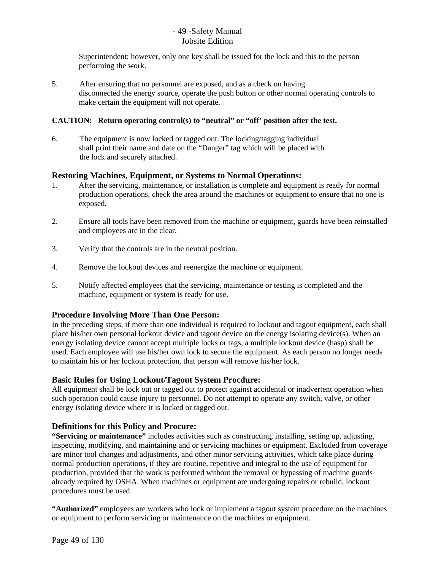# - 49 -Safety Manual Jobsite Edition

Superintendent; however, only one key shall be issued for the lock and this to the person performing the work.

5. After ensuring that no personnel are exposed, and as a check on having disconnected the energy source, operate the push button or other normal operating controls to make certain the equipment will not operate.

#### **CAUTION:** Return operating control(s) to "neutral" or "off" position after the test.

6. The equipment is now locked or tagged out. The locking/tagging individual shall print their name and date on the "Danger" tag which will be placed with the lock and securely attached.

#### **Restoring Machines, Equipment, or Systems to Normal Operations:**

- 1. After the servicing, maintenance, or installation is complete and equipment is ready for normal production operations, check the area around the machines or equipment to ensure that no one is exposed.
- 2. Ensure all tools have been removed from the machine or equipment, guards have been reinstalled and employees are in the clear.
- 3. Verify that the controls are in the neutral position.
- 4. Remove the lockout devices and reenergize the machine or equipment.
- 5. Notify affected employees that the servicing, maintenance or testing is completed and the machine, equipment or system is ready for use.

#### **Procedure Involving More Than One Person:**

In the preceding steps, if more than one individual is required to lockout and tagout equipment, each shall place his/her own personal lockout device and tagout device on the energy isolating device(s). When an energy isolating device cannot accept multiple locks or tags, a multiple lockout device (hasp) shall be used. Each employee will use his/her own lock to secure the equipment. As each person no longer needs to maintain his or her lockout protection, that person will remove his/her lock.

#### **Basic Rules for Using Lockout/Tagout System Procdure:**

All equipment shall be lock out or tagged out to protect against accidental or inadvertent operation when such operation could cause injury to personnel. Do not attempt to operate any switch, valve, or other energy isolating device where it is locked or tagged out.

### **Definitions for this Policy and Procure:**

**"Servicing or maintenance"** includes activities such as constructing, installing, setting up, adjusting, inspecting, modifying, and maintaining and or servicing machines or equipment. Excluded from coverage are minor tool changes and adjustments, and other minor servicing activities, which take place during normal production operations, if they are routine, repetitive and integral to the use of equipment for production, provided that the work is performed without the removal or bypassing of machine guards already required by OSHA. When machines or equipment are undergoing repairs or rebuild, lockout procedures must be used.

**"Authorized"** employees are workers who lock or implement a tagout system procedure on the machines or equipment to perform servicing or maintenance on the machines or equipment.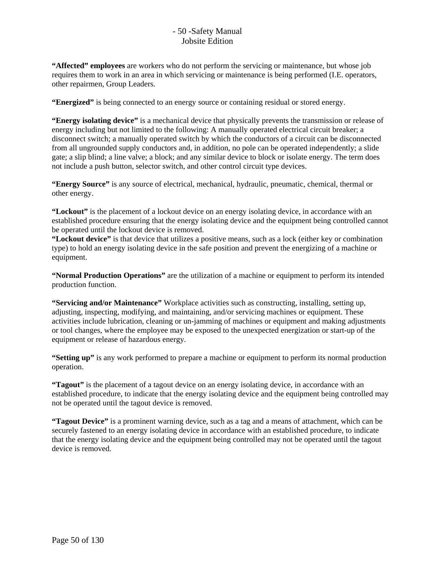# - 50 -Safety Manual Jobsite Edition

**"Affected" employees** are workers who do not perform the servicing or maintenance, but whose job requires them to work in an area in which servicing or maintenance is being performed (I.E. operators, other repairmen, Group Leaders.

**"Energized"** is being connected to an energy source or containing residual or stored energy.

**"Energy isolating device"** is a mechanical device that physically prevents the transmission or release of energy including but not limited to the following: A manually operated electrical circuit breaker; a disconnect switch; a manually operated switch by which the conductors of a circuit can be disconnected from all ungrounded supply conductors and, in addition, no pole can be operated independently; a slide gate; a slip blind; a line valve; a block; and any similar device to block or isolate energy. The term does not include a push button, selector switch, and other control circuit type devices.

**"Energy Source"** is any source of electrical, mechanical, hydraulic, pneumatic, chemical, thermal or other energy.

**"Lockout"** is the placement of a lockout device on an energy isolating device, in accordance with an established procedure ensuring that the energy isolating device and the equipment being controlled cannot be operated until the lockout device is removed.

**"Lockout device"** is that device that utilizes a positive means, such as a lock (either key or combination type) to hold an energy isolating device in the safe position and prevent the energizing of a machine or equipment.

**"Normal Production Operations"** are the utilization of a machine or equipment to perform its intended production function.

**"Servicing and/or Maintenance"** Workplace activities such as constructing, installing, setting up, adjusting, inspecting, modifying, and maintaining, and/or servicing machines or equipment. These activities include lubrication, cleaning or un-jamming of machines or equipment and making adjustments or tool changes, where the employee may be exposed to the unexpected energization or start-up of the equipment or release of hazardous energy.

**"Setting up"** is any work performed to prepare a machine or equipment to perform its normal production operation.

**"Tagout"** is the placement of a tagout device on an energy isolating device, in accordance with an established procedure, to indicate that the energy isolating device and the equipment being controlled may not be operated until the tagout device is removed.

**"Tagout Device"** is a prominent warning device, such as a tag and a means of attachment, which can be securely fastened to an energy isolating device in accordance with an established procedure, to indicate that the energy isolating device and the equipment being controlled may not be operated until the tagout device is removed.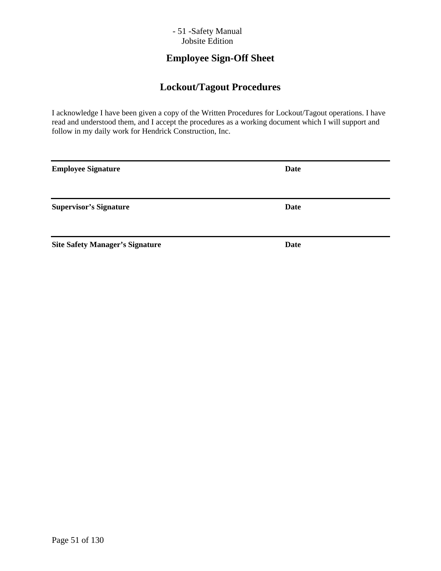### - 51 -Safety Manual Jobsite Edition

# **Employee Sign-Off Sheet**

# **Lockout/Tagout Procedures**

I acknowledge I have been given a copy of the Written Procedures for Lockout/Tagout operations. I have read and understood them, and I accept the procedures as a working document which I will support and follow in my daily work for Hendrick Construction, Inc.

| <b>Employee Signature</b>              | Date |
|----------------------------------------|------|
|                                        |      |
| <b>Supervisor's Signature</b>          | Date |
| <b>Site Safety Manager's Signature</b> | Date |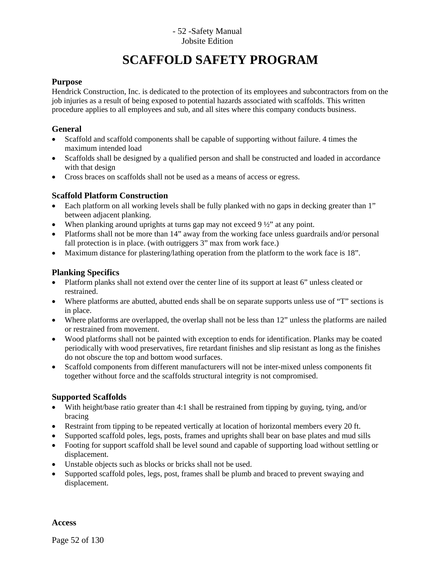# - 52 -Safety Manual Jobsite Edition

# **SCAFFOLD SAFETY PROGRAM**

#### **Purpose**

Hendrick Construction, Inc. is dedicated to the protection of its employees and subcontractors from on the job injuries as a result of being exposed to potential hazards associated with scaffolds. This written procedure applies to all employees and sub, and all sites where this company conducts business.

# **General**

- Scaffold and scaffold components shall be capable of supporting without failure. 4 times the maximum intended load
- Scaffolds shall be designed by a qualified person and shall be constructed and loaded in accordance with that design
- Cross braces on scaffolds shall not be used as a means of access or egress.

# **Scaffold Platform Construction**

- Each platform on all working levels shall be fully planked with no gaps in decking greater than 1" between adjacent planking.
- When planking around uprights at turns gap may not exceed  $9\frac{1}{2}$  at any point.
- Platforms shall not be more than 14" away from the working face unless guardrails and/or personal fall protection is in place. (with outriggers 3" max from work face.)
- Maximum distance for plastering/lathing operation from the platform to the work face is 18".

# **Planking Specifics**

- Platform planks shall not extend over the center line of its support at least 6" unless cleated or restrained.
- Where platforms are abutted, abutted ends shall be on separate supports unless use of "T" sections is in place.
- Where platforms are overlapped, the overlap shall not be less than 12" unless the platforms are nailed or restrained from movement.
- Wood platforms shall not be painted with exception to ends for identification. Planks may be coated periodically with wood preservatives, fire retardant finishes and slip resistant as long as the finishes do not obscure the top and bottom wood surfaces.
- Scaffold components from different manufacturers will not be inter-mixed unless components fit together without force and the scaffolds structural integrity is not compromised.

#### **Supported Scaffolds**

- With height/base ratio greater than 4:1 shall be restrained from tipping by guying, tying, and/or bracing
- Restraint from tipping to be repeated vertically at location of horizontal members every 20 ft.
- Supported scaffold poles, legs, posts, frames and uprights shall bear on base plates and mud sills
- Footing for support scaffold shall be level sound and capable of supporting load without settling or displacement.
- Unstable objects such as blocks or bricks shall not be used.
- Supported scaffold poles, legs, post, frames shall be plumb and braced to prevent swaying and displacement.

**Access**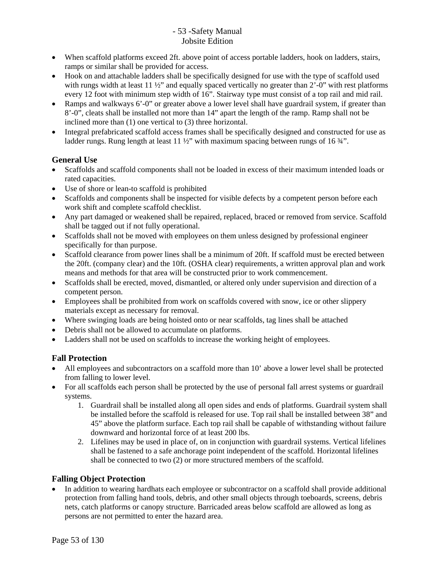# - 53 -Safety Manual Jobsite Edition

- When scaffold platforms exceed 2ft. above point of access portable ladders, hook on ladders, stairs, ramps or similar shall be provided for access.
- Hook on and attachable ladders shall be specifically designed for use with the type of scaffold used with rungs width at least  $11 \frac{1}{2}$ " and equally spaced vertically no greater than 2'-0" with rest platforms every 12 foot with minimum step width of 16". Stairway type must consist of a top rail and mid rail.
- Ramps and walkways 6'-0" or greater above a lower level shall have guardrail system, if greater than 8'-0", cleats shall be installed not more than 14" apart the length of the ramp. Ramp shall not be inclined more than (1) one vertical to (3) three horizontal.
- Integral prefabricated scaffold access frames shall be specifically designed and constructed for use as ladder rungs. Rung length at least  $11\frac{1}{2}$ " with maximum spacing between rungs of  $16\frac{3}{4}$ ".

# **General Use**

- Scaffolds and scaffold components shall not be loaded in excess of their maximum intended loads or rated capacities.
- Use of shore or lean-to scaffold is prohibited
- Scaffolds and components shall be inspected for visible defects by a competent person before each work shift and complete scaffold checklist.
- Any part damaged or weakened shall be repaired, replaced, braced or removed from service. Scaffold shall be tagged out if not fully operational.
- Scaffolds shall not be moved with employees on them unless designed by professional engineer specifically for than purpose.
- Scaffold clearance from power lines shall be a minimum of 20ft. If scaffold must be erected between the 20ft. (company clear) and the 10ft. (OSHA clear) requirements, a written approval plan and work means and methods for that area will be constructed prior to work commencement.
- Scaffolds shall be erected, moved, dismantled, or altered only under supervision and direction of a competent person.
- Employees shall be prohibited from work on scaffolds covered with snow, ice or other slippery materials except as necessary for removal.
- Where swinging loads are being hoisted onto or near scaffolds, tag lines shall be attached
- Debris shall not be allowed to accumulate on platforms.
- Ladders shall not be used on scaffolds to increase the working height of employees.

# **Fall Protection**

- All employees and subcontractors on a scaffold more than 10' above a lower level shall be protected from falling to lower level.
- For all scaffolds each person shall be protected by the use of personal fall arrest systems or guardrail systems.
	- 1. Guardrail shall be installed along all open sides and ends of platforms. Guardrail system shall be installed before the scaffold is released for use. Top rail shall be installed between 38" and 45" above the platform surface. Each top rail shall be capable of withstanding without failure downward and horizontal force of at least 200 lbs.
	- 2. Lifelines may be used in place of, on in conjunction with guardrail systems. Vertical lifelines shall be fastened to a safe anchorage point independent of the scaffold. Horizontal lifelines shall be connected to two (2) or more structured members of the scaffold.

# **Falling Object Protection**

• In addition to wearing hardhats each employee or subcontractor on a scaffold shall provide additional protection from falling hand tools, debris, and other small objects through toeboards, screens, debris nets, catch platforms or canopy structure. Barricaded areas below scaffold are allowed as long as persons are not permitted to enter the hazard area.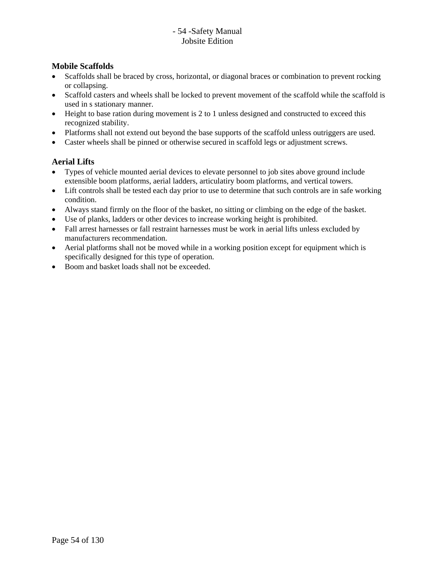# - 54 -Safety Manual Jobsite Edition

#### **Mobile Scaffolds**

- Scaffolds shall be braced by cross, horizontal, or diagonal braces or combination to prevent rocking or collapsing.
- Scaffold casters and wheels shall be locked to prevent movement of the scaffold while the scaffold is used in s stationary manner.
- Height to base ration during movement is 2 to 1 unless designed and constructed to exceed this recognized stability.
- Platforms shall not extend out beyond the base supports of the scaffold unless outriggers are used.
- Caster wheels shall be pinned or otherwise secured in scaffold legs or adjustment screws.

#### **Aerial Lifts**

- Types of vehicle mounted aerial devices to elevate personnel to job sites above ground include extensible boom platforms, aerial ladders, articulatiry boom platforms, and vertical towers.
- Lift controls shall be tested each day prior to use to determine that such controls are in safe working condition.
- Always stand firmly on the floor of the basket, no sitting or climbing on the edge of the basket.
- Use of planks, ladders or other devices to increase working height is prohibited.
- Fall arrest harnesses or fall restraint harnesses must be work in aerial lifts unless excluded by manufacturers recommendation.
- Aerial platforms shall not be moved while in a working position except for equipment which is specifically designed for this type of operation.
- Boom and basket loads shall not be exceeded.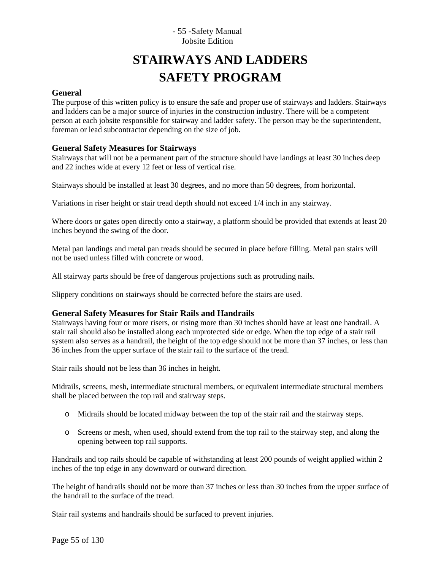# - 55 -Safety Manual Jobsite Edition

# **STAIRWAYS AND LADDERS SAFETY PROGRAM**

#### **General**

The purpose of this written policy is to ensure the safe and proper use of stairways and ladders. Stairways and ladders can be a major source of injuries in the construction industry. There will be a competent person at each jobsite responsible for stairway and ladder safety. The person may be the superintendent, foreman or lead subcontractor depending on the size of job.

#### **General Safety Measures for Stairways**

Stairways that will not be a permanent part of the structure should have landings at least 30 inches deep and 22 inches wide at every 12 feet or less of vertical rise.

Stairways should be installed at least 30 degrees, and no more than 50 degrees, from horizontal.

Variations in riser height or stair tread depth should not exceed 1/4 inch in any stairway.

Where doors or gates open directly onto a stairway, a platform should be provided that extends at least 20 inches beyond the swing of the door.

Metal pan landings and metal pan treads should be secured in place before filling. Metal pan stairs will not be used unless filled with concrete or wood.

All stairway parts should be free of dangerous projections such as protruding nails.

Slippery conditions on stairways should be corrected before the stairs are used.

#### **General Safety Measures for Stair Rails and Handrails**

Stairways having four or more risers, or rising more than 30 inches should have at least one handrail. A stair rail should also be installed along each unprotected side or edge. When the top edge of a stair rail system also serves as a handrail, the height of the top edge should not be more than 37 inches, or less than 36 inches from the upper surface of the stair rail to the surface of the tread.

Stair rails should not be less than 36 inches in height.

Midrails, screens, mesh, intermediate structural members, or equivalent intermediate structural members shall be placed between the top rail and stairway steps.

- o Midrails should be located midway between the top of the stair rail and the stairway steps.
- o Screens or mesh, when used, should extend from the top rail to the stairway step, and along the opening between top rail supports.

Handrails and top rails should be capable of withstanding at least 200 pounds of weight applied within 2 inches of the top edge in any downward or outward direction.

The height of handrails should not be more than 37 inches or less than 30 inches from the upper surface of the handrail to the surface of the tread.

Stair rail systems and handrails should be surfaced to prevent injuries.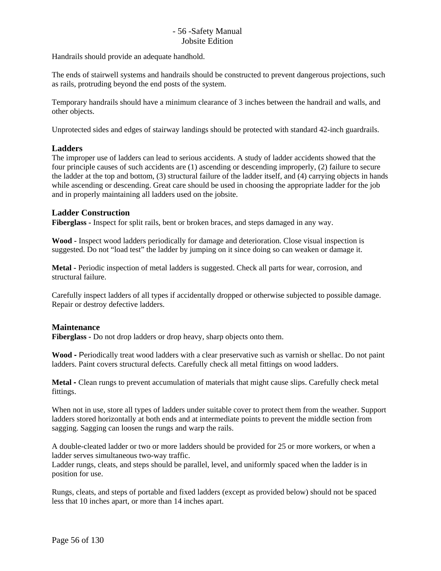# - 56 -Safety Manual Jobsite Edition

Handrails should provide an adequate handhold.

The ends of stairwell systems and handrails should be constructed to prevent dangerous projections, such as rails, protruding beyond the end posts of the system.

Temporary handrails should have a minimum clearance of 3 inches between the handrail and walls, and other objects.

Unprotected sides and edges of stairway landings should be protected with standard 42-inch guardrails.

#### **Ladders**

The improper use of ladders can lead to serious accidents. A study of ladder accidents showed that the four principle causes of such accidents are (1) ascending or descending improperly, (2) failure to secure the ladder at the top and bottom, (3) structural failure of the ladder itself, and (4) carrying objects in hands while ascending or descending. Great care should be used in choosing the appropriate ladder for the job and in properly maintaining all ladders used on the jobsite.

#### **Ladder Construction**

**Fiberglass -** Inspect for split rails, bent or broken braces, and steps damaged in any way.

**Wood -** Inspect wood ladders periodically for damage and deterioration. Close visual inspection is suggested. Do not "load test" the ladder by jumping on it since doing so can weaken or damage it.

**Metal -** Periodic inspection of metal ladders is suggested. Check all parts for wear, corrosion, and structural failure.

Carefully inspect ladders of all types if accidentally dropped or otherwise subjected to possible damage. Repair or destroy defective ladders.

#### **Maintenance**

**Fiberglass -** Do not drop ladders or drop heavy, sharp objects onto them.

**Wood -** Periodically treat wood ladders with a clear preservative such as varnish or shellac. Do not paint ladders. Paint covers structural defects. Carefully check all metal fittings on wood ladders.

**Metal -** Clean rungs to prevent accumulation of materials that might cause slips. Carefully check metal fittings.

When not in use, store all types of ladders under suitable cover to protect them from the weather. Support ladders stored horizontally at both ends and at intermediate points to prevent the middle section from sagging. Sagging can loosen the rungs and warp the rails.

A double-cleated ladder or two or more ladders should be provided for 25 or more workers, or when a ladder serves simultaneous two-way traffic.

Ladder rungs, cleats, and steps should be parallel, level, and uniformly spaced when the ladder is in position for use.

Rungs, cleats, and steps of portable and fixed ladders (except as provided below) should not be spaced less that 10 inches apart, or more than 14 inches apart.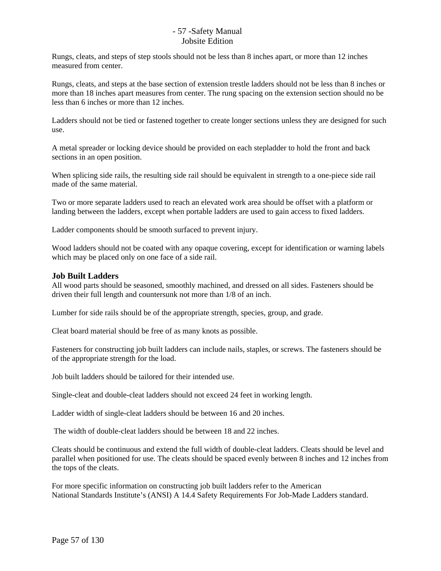# - 57 -Safety Manual Jobsite Edition

Rungs, cleats, and steps of step stools should not be less than 8 inches apart, or more than 12 inches measured from center.

Rungs, cleats, and steps at the base section of extension trestle ladders should not be less than 8 inches or more than 18 inches apart measures from center. The rung spacing on the extension section should no be less than 6 inches or more than 12 inches.

Ladders should not be tied or fastened together to create longer sections unless they are designed for such use.

A metal spreader or locking device should be provided on each stepladder to hold the front and back sections in an open position.

When splicing side rails, the resulting side rail should be equivalent in strength to a one-piece side rail made of the same material.

Two or more separate ladders used to reach an elevated work area should be offset with a platform or landing between the ladders, except when portable ladders are used to gain access to fixed ladders.

Ladder components should be smooth surfaced to prevent injury.

Wood ladders should not be coated with any opaque covering, except for identification or warning labels which may be placed only on one face of a side rail.

#### **Job Built Ladders**

All wood parts should be seasoned, smoothly machined, and dressed on all sides. Fasteners should be driven their full length and countersunk not more than 1/8 of an inch.

Lumber for side rails should be of the appropriate strength, species, group, and grade.

Cleat board material should be free of as many knots as possible.

Fasteners for constructing job built ladders can include nails, staples, or screws. The fasteners should be of the appropriate strength for the load.

Job built ladders should be tailored for their intended use.

Single-cleat and double-cleat ladders should not exceed 24 feet in working length.

Ladder width of single-cleat ladders should be between 16 and 20 inches.

The width of double-cleat ladders should be between 18 and 22 inches.

Cleats should be continuous and extend the full width of double-cleat ladders. Cleats should be level and parallel when positioned for use. The cleats should be spaced evenly between 8 inches and 12 inches from the tops of the cleats.

For more specific information on constructing job built ladders refer to the American National Standards Institute's (ANSI) A 14.4 Safety Requirements For Job-Made Ladders standard.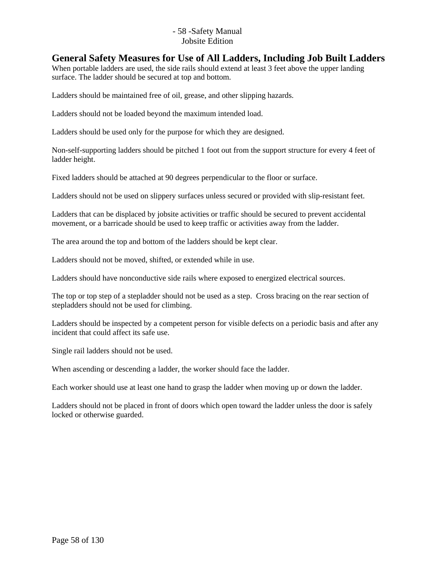# - 58 -Safety Manual Jobsite Edition

# **General Safety Measures for Use of All Ladders, Including Job Built Ladders**

When portable ladders are used, the side rails should extend at least 3 feet above the upper landing surface. The ladder should be secured at top and bottom.

Ladders should be maintained free of oil, grease, and other slipping hazards.

Ladders should not be loaded beyond the maximum intended load.

Ladders should be used only for the purpose for which they are designed.

Non-self-supporting ladders should be pitched 1 foot out from the support structure for every 4 feet of ladder height.

Fixed ladders should be attached at 90 degrees perpendicular to the floor or surface.

Ladders should not be used on slippery surfaces unless secured or provided with slip-resistant feet.

Ladders that can be displaced by jobsite activities or traffic should be secured to prevent accidental movement, or a barricade should be used to keep traffic or activities away from the ladder.

The area around the top and bottom of the ladders should be kept clear.

Ladders should not be moved, shifted, or extended while in use.

Ladders should have nonconductive side rails where exposed to energized electrical sources.

The top or top step of a stepladder should not be used as a step. Cross bracing on the rear section of stepladders should not be used for climbing.

Ladders should be inspected by a competent person for visible defects on a periodic basis and after any incident that could affect its safe use.

Single rail ladders should not be used.

When ascending or descending a ladder, the worker should face the ladder.

Each worker should use at least one hand to grasp the ladder when moving up or down the ladder.

Ladders should not be placed in front of doors which open toward the ladder unless the door is safely locked or otherwise guarded.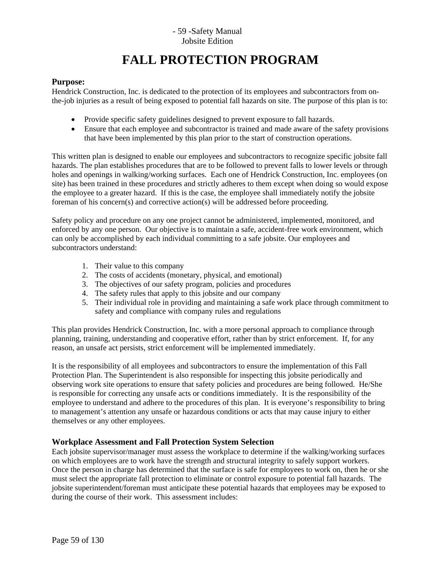# - 59 -Safety Manual Jobsite Edition

# **FALL PROTECTION PROGRAM**

#### **Purpose:**

Hendrick Construction, Inc. is dedicated to the protection of its employees and subcontractors from onthe-job injuries as a result of being exposed to potential fall hazards on site. The purpose of this plan is to:

- Provide specific safety guidelines designed to prevent exposure to fall hazards.
- Ensure that each employee and subcontractor is trained and made aware of the safety provisions that have been implemented by this plan prior to the start of construction operations.

This written plan is designed to enable our employees and subcontractors to recognize specific jobsite fall hazards. The plan establishes procedures that are to be followed to prevent falls to lower levels or through holes and openings in walking/working surfaces. Each one of Hendrick Construction, Inc. employees (on site) has been trained in these procedures and strictly adheres to them except when doing so would expose the employee to a greater hazard. If this is the case, the employee shall immediately notify the jobsite foreman of his concern(s) and corrective action(s) will be addressed before proceeding.

Safety policy and procedure on any one project cannot be administered, implemented, monitored, and enforced by any one person. Our objective is to maintain a safe, accident-free work environment, which can only be accomplished by each individual committing to a safe jobsite. Our employees and subcontractors understand:

- 1. Their value to this company
- 2. The costs of accidents (monetary, physical, and emotional)
- 3. The objectives of our safety program, policies and procedures
- 4. The safety rules that apply to this jobsite and our company
- 5. Their individual role in providing and maintaining a safe work place through commitment to safety and compliance with company rules and regulations

This plan provides Hendrick Construction, Inc. with a more personal approach to compliance through planning, training, understanding and cooperative effort, rather than by strict enforcement. If, for any reason, an unsafe act persists, strict enforcement will be implemented immediately.

It is the responsibility of all employees and subcontractors to ensure the implementation of this Fall Protection Plan. The Superintendent is also responsible for inspecting this jobsite periodically and observing work site operations to ensure that safety policies and procedures are being followed. He/She is responsible for correcting any unsafe acts or conditions immediately. It is the responsibility of the employee to understand and adhere to the procedures of this plan. It is everyone's responsibility to bring to management's attention any unsafe or hazardous conditions or acts that may cause injury to either themselves or any other employees.

#### **Workplace Assessment and Fall Protection System Selection**

Each jobsite supervisor/manager must assess the workplace to determine if the walking/working surfaces on which employees are to work have the strength and structural integrity to safely support workers. Once the person in charge has determined that the surface is safe for employees to work on, then he or she must select the appropriate fall protection to eliminate or control exposure to potential fall hazards. The jobsite superintendent/foreman must anticipate these potential hazards that employees may be exposed to during the course of their work. This assessment includes: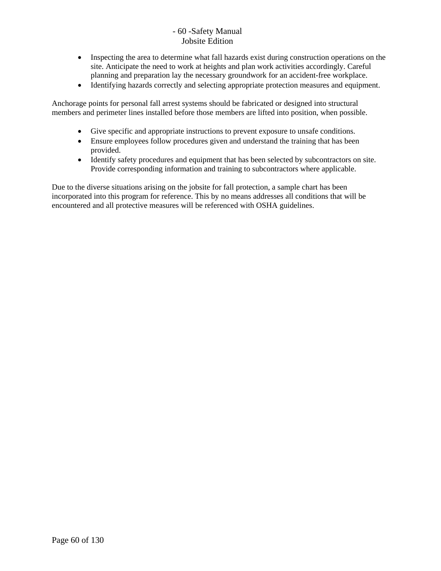# - 60 -Safety Manual Jobsite Edition

- Inspecting the area to determine what fall hazards exist during construction operations on the site. Anticipate the need to work at heights and plan work activities accordingly. Careful planning and preparation lay the necessary groundwork for an accident-free workplace.
- Identifying hazards correctly and selecting appropriate protection measures and equipment.

Anchorage points for personal fall arrest systems should be fabricated or designed into structural members and perimeter lines installed before those members are lifted into position, when possible.

- Give specific and appropriate instructions to prevent exposure to unsafe conditions.
- Ensure employees follow procedures given and understand the training that has been provided.
- Identify safety procedures and equipment that has been selected by subcontractors on site. Provide corresponding information and training to subcontractors where applicable.

Due to the diverse situations arising on the jobsite for fall protection, a sample chart has been incorporated into this program for reference. This by no means addresses all conditions that will be encountered and all protective measures will be referenced with OSHA guidelines.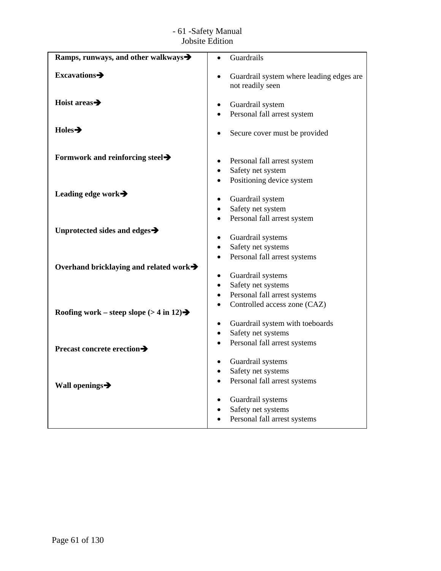# - 61 -Safety Manual Jobsite Edition

| Ramps, runways, and other walkways >                          | Guardrails<br>$\bullet$                   |
|---------------------------------------------------------------|-------------------------------------------|
|                                                               |                                           |
| Excavations $\rightarrow$                                     | Guardrail system where leading edges are  |
|                                                               | not readily seen                          |
|                                                               |                                           |
| Hoist areas $\rightarrow$                                     | Guardrail system<br>٠                     |
|                                                               | Personal fall arrest system<br>$\bullet$  |
| Holes                                                         |                                           |
|                                                               | Secure cover must be provided             |
|                                                               |                                           |
| Formwork and reinforcing steel $\rightarrow$                  | Personal fall arrest system               |
|                                                               | Safety net system<br>$\bullet$            |
|                                                               | Positioning device system<br>$\bullet$    |
|                                                               |                                           |
| Leading edge work $\blacktriangleright$                       | Guardrail system<br>٠                     |
|                                                               | Safety net system                         |
|                                                               | Personal fall arrest system               |
| Unprotected sides and edges $\rightarrow$                     |                                           |
|                                                               | Guardrail systems<br>٠                    |
|                                                               | Safety net systems<br>$\bullet$           |
|                                                               | Personal fall arrest systems              |
| Overhand bricklaying and related work $\rightarrow$           |                                           |
|                                                               | Guardrail systems<br>٠                    |
|                                                               | Safety net systems<br>٠                   |
|                                                               | Personal fall arrest systems<br>$\bullet$ |
|                                                               | Controlled access zone (CAZ)<br>$\bullet$ |
| Roofing work – steep slope $(> 4 \text{ in } 12) \rightarrow$ |                                           |
|                                                               | Guardrail system with toeboards<br>٠      |
|                                                               | Safety net systems<br>٠                   |
| Precast concrete erection <b>→</b>                            | Personal fall arrest systems<br>$\bullet$ |
|                                                               |                                           |
|                                                               | Guardrail systems                         |
|                                                               | Safety net systems                        |
| Wall openings $\rightarrow$                                   | Personal fall arrest systems              |
|                                                               | Guardrail systems                         |
|                                                               | Safety net systems                        |
|                                                               | Personal fall arrest systems              |
|                                                               |                                           |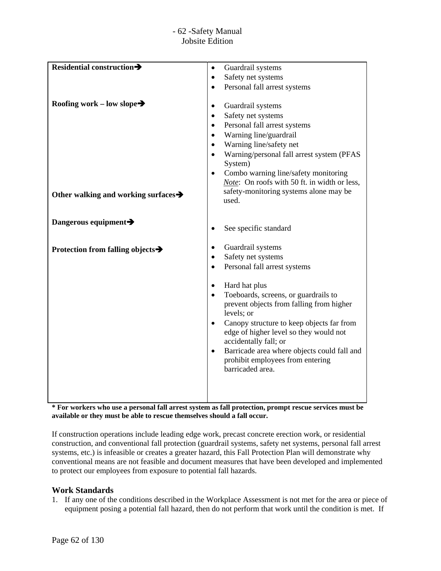# - 62 -Safety Manual Jobsite Edition

| Residential construction               | Guardrail systems<br>$\bullet$                                    |
|----------------------------------------|-------------------------------------------------------------------|
|                                        | Safety net systems<br>$\bullet$                                   |
|                                        | Personal fall arrest systems<br>$\bullet$                         |
| Roofing work – low slope $\rightarrow$ |                                                                   |
|                                        | Guardrail systems<br>$\bullet$                                    |
|                                        | Safety net systems<br>$\bullet$                                   |
|                                        | Personal fall arrest systems<br>$\bullet$                         |
|                                        | Warning line/guardrail<br>$\bullet$                               |
|                                        | Warning line/safety net<br>$\bullet$                              |
|                                        | Warning/personal fall arrest system (PFAS<br>$\bullet$<br>System) |
|                                        | Combo warning line/safety monitoring<br>$\bullet$                 |
|                                        | Note: On roofs with 50 ft. in width or less,                      |
| Other walking and working surfaces >   | safety-monitoring systems alone may be                            |
|                                        | used.                                                             |
|                                        |                                                                   |
| Dangerous equipment >                  |                                                                   |
|                                        | See specific standard<br>٠                                        |
|                                        |                                                                   |
| Protection from falling objects→       | Guardrail systems<br>$\bullet$                                    |
|                                        | Safety net systems<br>$\bullet$<br>Personal fall arrest systems   |
|                                        |                                                                   |
|                                        | Hard hat plus<br>$\bullet$                                        |
|                                        | Toeboards, screens, or guardrails to<br>$\bullet$                 |
|                                        | prevent objects from falling from higher                          |
|                                        | levels; or                                                        |
|                                        | Canopy structure to keep objects far from<br>$\bullet$            |
|                                        | edge of higher level so they would not                            |
|                                        | accidentally fall; or                                             |
|                                        | Barricade area where objects could fall and<br>$\bullet$          |
|                                        | prohibit employees from entering                                  |
|                                        | barricaded area.                                                  |
|                                        |                                                                   |
|                                        |                                                                   |
|                                        |                                                                   |

**\* For workers who use a personal fall arrest system as fall protection, prompt rescue services must be available or they must be able to rescue themselves should a fall occur.** 

If construction operations include leading edge work, precast concrete erection work, or residential construction, and conventional fall protection (guardrail systems, safety net systems, personal fall arrest systems, etc.) is infeasible or creates a greater hazard, this Fall Protection Plan will demonstrate why conventional means are not feasible and document measures that have been developed and implemented to protect our employees from exposure to potential fall hazards.

#### **Work Standards**

1. If any one of the conditions described in the Workplace Assessment is not met for the area or piece of equipment posing a potential fall hazard, then do not perform that work until the condition is met. If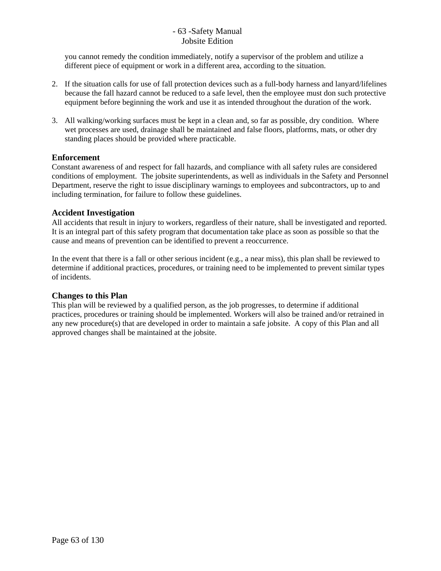# - 63 -Safety Manual Jobsite Edition

you cannot remedy the condition immediately, notify a supervisor of the problem and utilize a different piece of equipment or work in a different area, according to the situation.

- 2. If the situation calls for use of fall protection devices such as a full-body harness and lanyard/lifelines because the fall hazard cannot be reduced to a safe level, then the employee must don such protective equipment before beginning the work and use it as intended throughout the duration of the work.
- 3. All walking/working surfaces must be kept in a clean and, so far as possible, dry condition. Where wet processes are used, drainage shall be maintained and false floors, platforms, mats, or other dry standing places should be provided where practicable.

#### **Enforcement**

Constant awareness of and respect for fall hazards, and compliance with all safety rules are considered conditions of employment. The jobsite superintendents, as well as individuals in the Safety and Personnel Department, reserve the right to issue disciplinary warnings to employees and subcontractors, up to and including termination, for failure to follow these guidelines.

#### **Accident Investigation**

All accidents that result in injury to workers, regardless of their nature, shall be investigated and reported. It is an integral part of this safety program that documentation take place as soon as possible so that the cause and means of prevention can be identified to prevent a reoccurrence.

In the event that there is a fall or other serious incident (e.g., a near miss), this plan shall be reviewed to determine if additional practices, procedures, or training need to be implemented to prevent similar types of incidents.

#### **Changes to this Plan**

This plan will be reviewed by a qualified person, as the job progresses, to determine if additional practices, procedures or training should be implemented. Workers will also be trained and/or retrained in any new procedure(s) that are developed in order to maintain a safe jobsite. A copy of this Plan and all approved changes shall be maintained at the jobsite.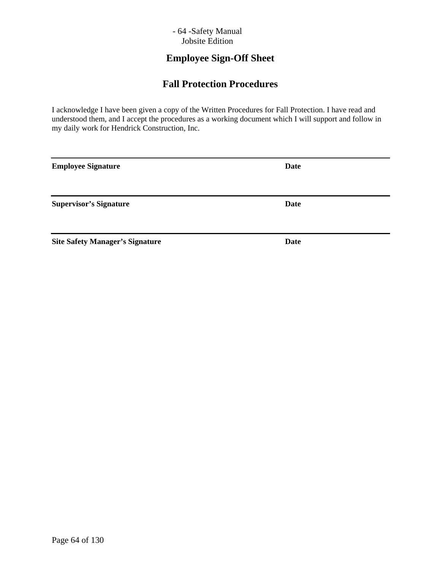### - 64 -Safety Manual Jobsite Edition

# **Employee Sign-Off Sheet**

# **Fall Protection Procedures**

I acknowledge I have been given a copy of the Written Procedures for Fall Protection. I have read and understood them, and I accept the procedures as a working document which I will support and follow in my daily work for Hendrick Construction, Inc.

| <b>Employee Signature</b>              | <b>Date</b> |
|----------------------------------------|-------------|
|                                        |             |
| <b>Supervisor's Signature</b>          | <b>Date</b> |
| <b>Site Safety Manager's Signature</b> | <b>Date</b> |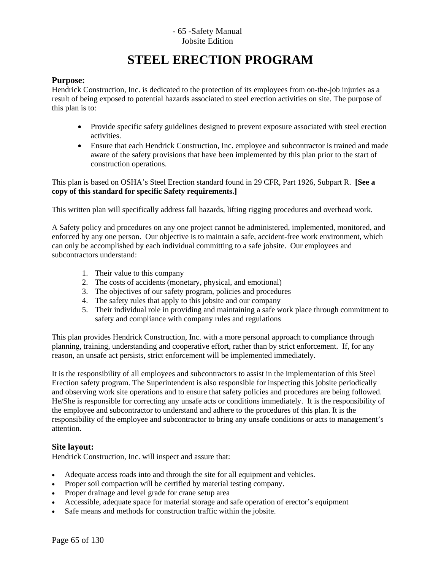# - 65 -Safety Manual Jobsite Edition

# **STEEL ERECTION PROGRAM**

#### **Purpose:**

Hendrick Construction, Inc. is dedicated to the protection of its employees from on-the-job injuries as a result of being exposed to potential hazards associated to steel erection activities on site. The purpose of this plan is to:

- Provide specific safety guidelines designed to prevent exposure associated with steel erection activities.
- Ensure that each Hendrick Construction, Inc. employee and subcontractor is trained and made aware of the safety provisions that have been implemented by this plan prior to the start of construction operations.

This plan is based on OSHA's Steel Erection standard found in 29 CFR, Part 1926, Subpart R. **[See a copy of this standard for specific Safety requirements.]** 

This written plan will specifically address fall hazards, lifting rigging procedures and overhead work.

A Safety policy and procedures on any one project cannot be administered, implemented, monitored, and enforced by any one person. Our objective is to maintain a safe, accident-free work environment, which can only be accomplished by each individual committing to a safe jobsite. Our employees and subcontractors understand:

- 1. Their value to this company
- 2. The costs of accidents (monetary, physical, and emotional)
- 3. The objectives of our safety program, policies and procedures
- 4. The safety rules that apply to this jobsite and our company
- 5. Their individual role in providing and maintaining a safe work place through commitment to safety and compliance with company rules and regulations

This plan provides Hendrick Construction, Inc. with a more personal approach to compliance through planning, training, understanding and cooperative effort, rather than by strict enforcement. If, for any reason, an unsafe act persists, strict enforcement will be implemented immediately.

It is the responsibility of all employees and subcontractors to assist in the implementation of this Steel Erection safety program. The Superintendent is also responsible for inspecting this jobsite periodically and observing work site operations and to ensure that safety policies and procedures are being followed. He/She is responsible for correcting any unsafe acts or conditions immediately. It is the responsibility of the employee and subcontractor to understand and adhere to the procedures of this plan. It is the responsibility of the employee and subcontractor to bring any unsafe conditions or acts to management's attention.

#### **Site layout:**

Hendrick Construction, Inc. will inspect and assure that:

- Adequate access roads into and through the site for all equipment and vehicles.
- Proper soil compaction will be certified by material testing company.
- Proper drainage and level grade for crane setup area
- Accessible, adequate space for material storage and safe operation of erector's equipment
- Safe means and methods for construction traffic within the jobsite.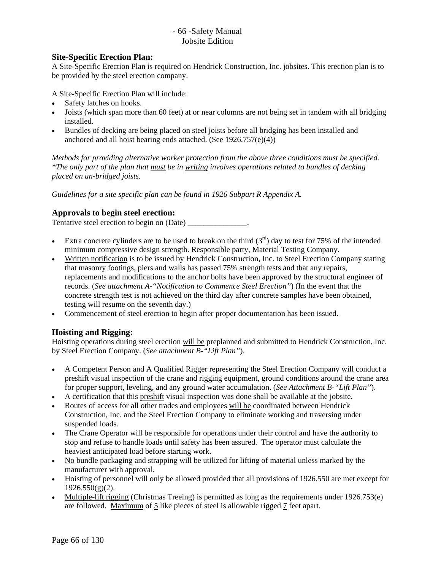# - 66 -Safety Manual Jobsite Edition

#### **Site-Specific Erection Plan:**

A Site-Specific Erection Plan is required on Hendrick Construction, Inc. jobsites. This erection plan is to be provided by the steel erection company.

A Site-Specific Erection Plan will include:

- Safety latches on hooks.
- Joists (which span more than 60 feet) at or near columns are not being set in tandem with all bridging installed.
- Bundles of decking are being placed on steel joists before all bridging has been installed and anchored and all hoist bearing ends attached. (See 1926.757(e)(4))

*Methods for providing alternative worker protection from the above three conditions must be specified. \*The only part of the plan that must be in writing involves operations related to bundles of decking placed on un-bridged joists.* 

*Guidelines for a site specific plan can be found in 1926 Subpart R Appendix A.* 

# **Approvals to begin steel erection:**

Tentative steel erection to begin on (Date) \_\_\_\_\_\_\_\_\_\_\_\_\_\_\_.

- Extra concrete cylinders are to be used to break on the third  $(3<sup>rd</sup>)$  day to test for 75% of the intended minimum compressive design strength. Responsible party, Material Testing Company.
- Written notification is to be issued by Hendrick Construction, Inc. to Steel Erection Company stating that masonry footings, piers and walls has passed 75% strength tests and that any repairs, replacements and modifications to the anchor bolts have been approved by the structural engineer of records. (*See attachment A-"Notification to Commence Steel Erection"*) (In the event that the concrete strength test is not achieved on the third day after concrete samples have been obtained, testing will resume on the seventh day.)
- Commencement of steel erection to begin after proper documentation has been issued.

#### **Hoisting and Rigging:**

Hoisting operations during steel erection will be preplanned and submitted to Hendrick Construction, Inc. by Steel Erection Company. (*See attachment B-"Lift Plan"*).

- A Competent Person and A Qualified Rigger representing the Steel Erection Company will conduct a preshift visual inspection of the crane and rigging equipment, ground conditions around the crane area for proper support, leveling, and any ground water accumulation. (*See Attachment B-"Lift Plan"*).
- A certification that this preshift visual inspection was done shall be available at the jobsite.
- Routes of access for all other trades and employees will be coordinated between Hendrick Construction, Inc. and the Steel Erection Company to eliminate working and traversing under suspended loads.
- The Crane Operator will be responsible for operations under their control and have the authority to stop and refuse to handle loads until safety has been assured. The operator must calculate the heaviest anticipated load before starting work.
- No bundle packaging and strapping will be utilized for lifting of material unless marked by the manufacturer with approval.
- Hoisting of personnel will only be allowed provided that all provisions of 1926.550 are met except for  $1926.550(g)(2)$ .
- Multiple-lift rigging (Christmas Treeing) is permitted as long as the requirements under 1926.753(e) are followed. Maximum of 5 like pieces of steel is allowable rigged 7 feet apart.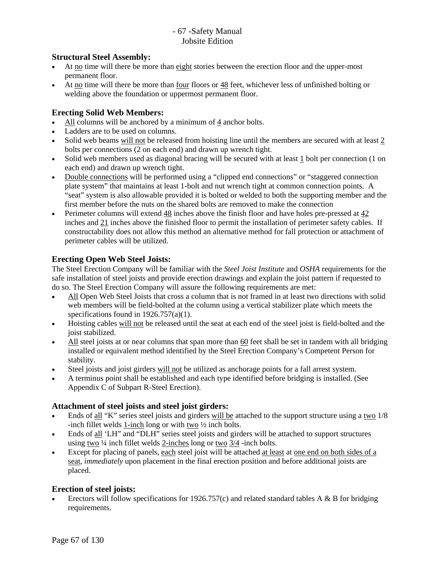# - 67 -Safety Manual Jobsite Edition

#### **Structural Steel Assembly:**

- At no time will there be more than eight stories between the erection floor and the upper-most permanent floor.
- At no time will there be more than four floors or 48 feet, whichever less of unfinished bolting or welding above the foundation or uppermost permanent floor.

#### **Erecting Solid Web Members:**

- All columns will be anchored by a minimum of 4 anchor bolts.
- Ladders are to be used on columns.
- Solid web beams will not be released from hoisting line until the members are secured with at least 2 bolts per connections (2 on each end) and drawn up wrench tight.
- Solid web members used as diagonal bracing will be secured with at least  $1$  bolt per connection (1 on each end) and drawn up wrench tight.
- Double connections will be performed using a "clipped end connections" or "staggered connection plate system" that maintains at least 1-bolt and nut wrench tight at common connection points. A "seat" system is also allowable provided it is bolted or welded to both the supporting member and the first member before the nuts on the shared bolts are removed to make the connection
- Perimeter columns will extend 48 inches above the finish floor and have holes pre-pressed at 42 inches and 21 inches above the finished floor to permit the installation of perimeter safety cables. If constructability does not allow this method an alternative method for fall protection or attachment of perimeter cables will be utilized.

# **Erecting Open Web Steel Joists:**

The Steel Erection Company will be familiar with the *Steel Joist Institute* and *OSHA* requirements for the safe installation of steel joists and provide erection drawings and explain the joist pattern if requested to do so. The Steel Erection Company will assure the following requirements are met:

- All Open Web Steel Joists that cross a column that is not framed in at least two directions with solid web members will be field-bolted at the column using a vertical stabilizer plate which meets the specifications found in 1926.757(a)(1).
- Hoisting cables will not be released until the seat at each end of the steel joist is field-bolted and the joist stabilized.
- All steel joists at or near columns that span more than 60 feet shall be set in tandem with all bridging installed or equivalent method identified by the Steel Erection Company's Competent Person for stability.
- Steel joists and joist girders will not be utilized as anchorage points for a fall arrest system.
- A terminus point shall be established and each type identified before bridging is installed. (See Appendix C of Subpart R-Steel Erection).

#### **Attachment of steel joists and steel joist girders:**

- Ends of all "K" series steel joists and girders will be attached to the support structure using a two  $1/8$ -inch fillet welds 1-inch long or with two ½ inch bolts.
- Ends of all 'LH" and "DLH" series steel joists and girders will be attached to support structures using two ¼ inch fillet welds 2-inches long or two 3/4 -inch bolts.
- Except for placing of panels, each steel joist will be attached at least at one end on both sides of a seat, *immediately* upon placement in the final erection position and before additional joists are placed.

#### **Erection of steel joists:**

Erectors will follow specifications for 1926.757(c) and related standard tables A  $\&$  B for bridging requirements.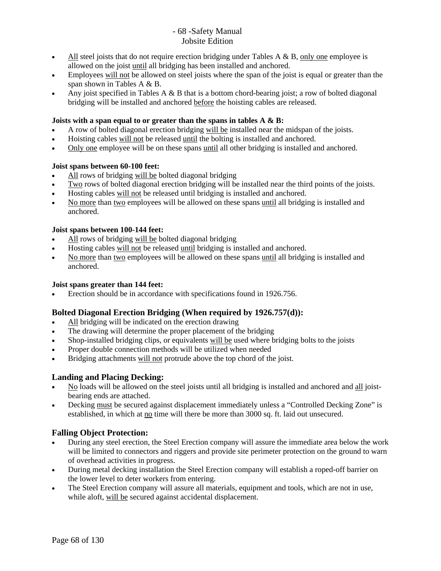# - 68 -Safety Manual Jobsite Edition

- All steel joists that do not require erection bridging under Tables A  $\&$  B, only one employee is allowed on the joist until all bridging has been installed and anchored.
- Employees will not be allowed on steel joists where the span of the joist is equal or greater than the span shown in Tables A & B.
- Any joist specified in Tables A  $\&$  B that is a bottom chord-bearing joist; a row of bolted diagonal bridging will be installed and anchored before the hoisting cables are released.

#### **Joists with a span equal to or greater than the spans in tables A & B:**

- A row of bolted diagonal erection bridging will be installed near the midspan of the joists.
- Hoisting cables will not be released until the bolting is installed and anchored.
- Only one employee will be on these spans until all other bridging is installed and anchored.

#### **Joist spans between 60-100 feet:**

- All rows of bridging will be bolted diagonal bridging
- Two rows of bolted diagonal erection bridging will be installed near the third points of the joists.
- Hosting cables will not be released until bridging is installed and anchored.
- No more than two employees will be allowed on these spans until all bridging is installed and anchored.

#### **Joist spans between 100-144 feet:**

- All rows of bridging will be bolted diagonal bridging
- Hosting cables will not be released until bridging is installed and anchored.
- No more than two employees will be allowed on these spans until all bridging is installed and anchored.

#### **Joist spans greater than 144 feet:**

• Erection should be in accordance with specifications found in 1926.756.

# **Bolted Diagonal Erection Bridging (When required by 1926.757(d)):**

- All bridging will be indicated on the erection drawing
- The drawing will determine the proper placement of the bridging
- Shop-installed bridging clips, or equivalents will be used where bridging bolts to the joists
- Proper double connection methods will be utilized when needed
- Bridging attachments will not protrude above the top chord of the joist.

#### **Landing and Placing Decking:**

- No loads will be allowed on the steel joists until all bridging is installed and anchored and all joistbearing ends are attached.
- Decking must be secured against displacement immediately unless a "Controlled Decking Zone" is established, in which at no time will there be more than 3000 sq. ft. laid out unsecured.

# **Falling Object Protection:**

- During any steel erection, the Steel Erection company will assure the immediate area below the work will be limited to connectors and riggers and provide site perimeter protection on the ground to warn of overhead activities in progress.
- During metal decking installation the Steel Erection company will establish a roped-off barrier on the lower level to deter workers from entering.
- The Steel Erection company will assure all materials, equipment and tools, which are not in use, while aloft, will be secured against accidental displacement.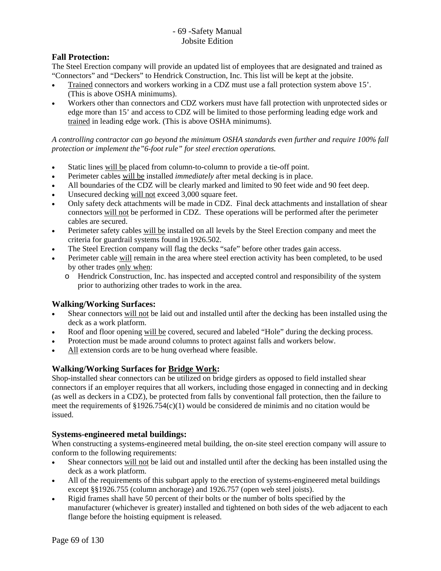# - 69 -Safety Manual Jobsite Edition

### **Fall Protection:**

The Steel Erection company will provide an updated list of employees that are designated and trained as "Connectors" and "Deckers" to Hendrick Construction, Inc. This list will be kept at the jobsite.

- Trained connectors and workers working in a CDZ must use a fall protection system above 15'. (This is above OSHA minimums).
- Workers other than connectors and CDZ workers must have fall protection with unprotected sides or edge more than 15' and access to CDZ will be limited to those performing leading edge work and trained in leading edge work. (This is above OSHA minimums).

*A controlling contractor can go beyond the minimum OSHA standards even further and require 100% fall protection or implement the"6-foot rule" for steel erection operations.* 

- Static lines will be placed from column-to-column to provide a tie-off point.
- Perimeter cables will be installed *immediately* after metal decking is in place.
- All boundaries of the CDZ will be clearly marked and limited to 90 feet wide and 90 feet deep.
- Unsecured decking will not exceed 3,000 square feet.
- Only safety deck attachments will be made in CDZ. Final deck attachments and installation of shear connectors will not be performed in CDZ. These operations will be performed after the perimeter cables are secured.
- Perimeter safety cables will be installed on all levels by the Steel Erection company and meet the criteria for guardrail systems found in 1926.502.
- The Steel Erection company will flag the decks "safe" before other trades gain access.
- Perimeter cable will remain in the area where steel erection activity has been completed, to be used by other trades only when:
	- o Hendrick Construction, Inc. has inspected and accepted control and responsibility of the system prior to authorizing other trades to work in the area.

#### **Walking/Working Surfaces:**

- Shear connectors will not be laid out and installed until after the decking has been installed using the deck as a work platform.
- Roof and floor opening will be covered, secured and labeled "Hole" during the decking process.
- Protection must be made around columns to protect against falls and workers below.
- All extension cords are to be hung overhead where feasible.

#### **Walking/Working Surfaces for Bridge Work:**

Shop-installed shear connectors can be utilized on bridge girders as opposed to field installed shear connectors if an employer requires that all workers, including those engaged in connecting and in decking (as well as deckers in a CDZ), be protected from falls by conventional fall protection, then the failure to meet the requirements of  $\S 1926.754(c)(1)$  would be considered de minimis and no citation would be issued.

#### **Systems-engineered metal buildings:**

When constructing a systems-engineered metal building, the on-site steel erection company will assure to conform to the following requirements:

- Shear connectors will not be laid out and installed until after the decking has been installed using the deck as a work platform.
- All of the requirements of this subpart apply to the erection of systems-engineered metal buildings except §§1926.755 (column anchorage) and 1926.757 (open web steel joists).
- Rigid frames shall have 50 percent of their bolts or the number of bolts specified by the manufacturer (whichever is greater) installed and tightened on both sides of the web adjacent to each flange before the hoisting equipment is released.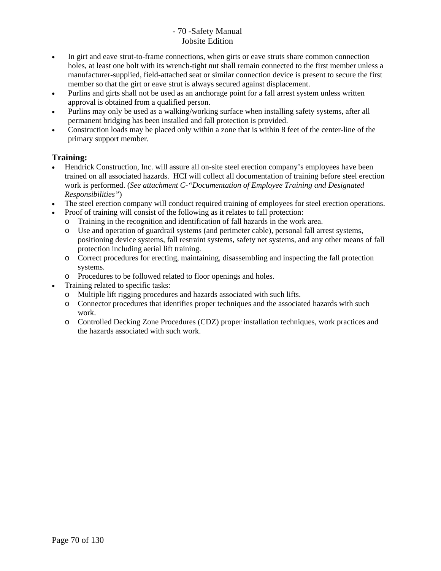# - 70 -Safety Manual Jobsite Edition

- In girt and eave strut-to-frame connections, when girts or eave struts share common connection holes, at least one bolt with its wrench-tight nut shall remain connected to the first member unless a manufacturer-supplied, field-attached seat or similar connection device is present to secure the first member so that the girt or eave strut is always secured against displacement.
- Purlins and girts shall not be used as an anchorage point for a fall arrest system unless written approval is obtained from a qualified person.
- Purlins may only be used as a walking/working surface when installing safety systems, after all permanent bridging has been installed and fall protection is provided.
- Construction loads may be placed only within a zone that is within 8 feet of the center-line of the primary support member.

#### **Training:**

- Hendrick Construction, Inc. will assure all on-site steel erection company's employees have been trained on all associated hazards. HCI will collect all documentation of training before steel erection work is performed. (*See attachment C-"Documentation of Employee Training and Designated Responsibilities"*)
- The steel erection company will conduct required training of employees for steel erection operations.
- Proof of training will consist of the following as it relates to fall protection:
	- o Training in the recognition and identification of fall hazards in the work area.
		- o Use and operation of guardrail systems (and perimeter cable), personal fall arrest systems, positioning device systems, fall restraint systems, safety net systems, and any other means of fall protection including aerial lift training.
		- o Correct procedures for erecting, maintaining, disassembling and inspecting the fall protection systems.
		- o Procedures to be followed related to floor openings and holes.
- Training related to specific tasks:
	- o Multiple lift rigging procedures and hazards associated with such lifts.
	- o Connector procedures that identifies proper techniques and the associated hazards with such work.
	- o Controlled Decking Zone Procedures (CDZ) proper installation techniques, work practices and the hazards associated with such work.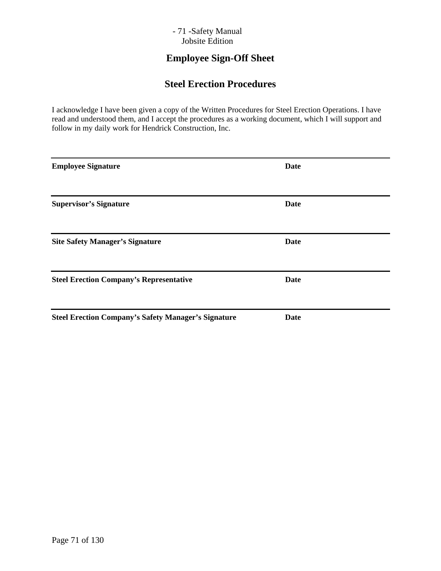### - 71 -Safety Manual Jobsite Edition

# **Employee Sign-Off Sheet**

# **Steel Erection Procedures**

I acknowledge I have been given a copy of the Written Procedures for Steel Erection Operations. I have read and understood them, and I accept the procedures as a working document, which I will support and follow in my daily work for Hendrick Construction, Inc.

| <b>Employee Signature</b>                                  | Date        |
|------------------------------------------------------------|-------------|
| <b>Supervisor's Signature</b>                              | Date        |
| <b>Site Safety Manager's Signature</b>                     | <b>Date</b> |
| <b>Steel Erection Company's Representative</b>             | Date        |
| <b>Steel Erection Company's Safety Manager's Signature</b> | <b>Date</b> |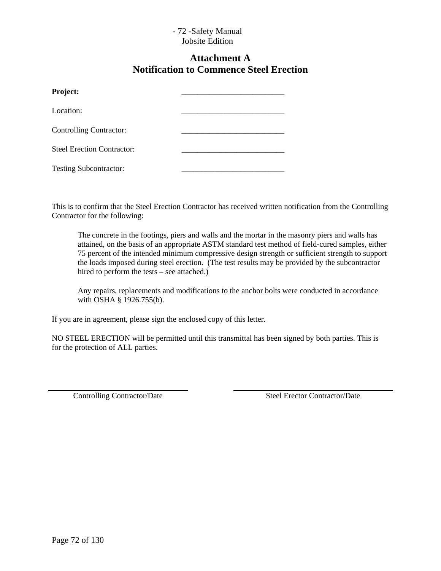# - 72 -Safety Manual Jobsite Edition

# **Attachment A Notification to Commence Steel Erection**

| Project:                          |  |
|-----------------------------------|--|
| Location:                         |  |
| Controlling Contractor:           |  |
| <b>Steel Erection Contractor:</b> |  |
| <b>Testing Subcontractor:</b>     |  |

This is to confirm that the Steel Erection Contractor has received written notification from the Controlling Contractor for the following:

The concrete in the footings, piers and walls and the mortar in the masonry piers and walls has attained, on the basis of an appropriate ASTM standard test method of field-cured samples, either 75 percent of the intended minimum compressive design strength or sufficient strength to support the loads imposed during steel erection. (The test results may be provided by the subcontractor hired to perform the tests – see attached.)

Any repairs, replacements and modifications to the anchor bolts were conducted in accordance with OSHA § 1926.755(b).

If you are in agreement, please sign the enclosed copy of this letter.

NO STEEL ERECTION will be permitted until this transmittal has been signed by both parties. This is for the protection of ALL parties.

Controlling Contractor/Date Steel Erector Contractor/Date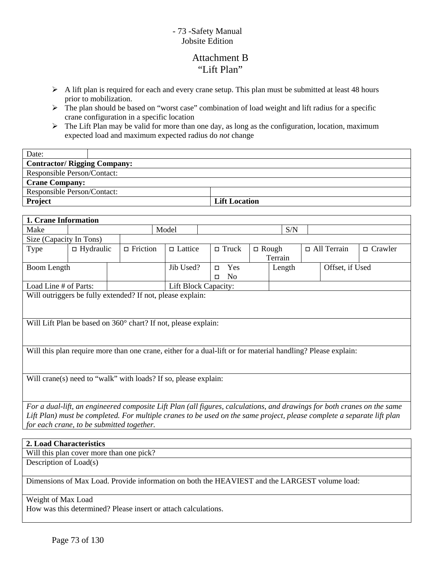#### - 73 -Safety Manual Jobsite Edition

### Attachment B "Lift Plan"

- $\triangleright$  A lift plan is required for each and every crane setup. This plan must be submitted at least 48 hours prior to mobilization.
- $\triangleright$  The plan should be based on "worst case" combination of load weight and lift radius for a specific crane configuration in a specific location
- $\triangleright$  The Lift Plan may be valid for more than one day, as long as the configuration, location, maximum expected load and maximum expected radius do *not* change

| Date:                              |  |                      |  |  |  |  |
|------------------------------------|--|----------------------|--|--|--|--|
| Contractor/ Rigging Company:       |  |                      |  |  |  |  |
| <b>Responsible Person/Contact:</b> |  |                      |  |  |  |  |
| <b>Crane Company:</b>              |  |                      |  |  |  |  |
| <b>Responsible Person/Contact:</b> |  |                      |  |  |  |  |
| <b>Project</b>                     |  | <b>Lift Location</b> |  |  |  |  |

| 1. Crane Information                                                                                                   |                  |                                                                                                                         |                      |               |  |              |  |                    |                |
|------------------------------------------------------------------------------------------------------------------------|------------------|-------------------------------------------------------------------------------------------------------------------------|----------------------|---------------|--|--------------|--|--------------------|----------------|
| Make                                                                                                                   |                  |                                                                                                                         | Model                |               |  | S/N          |  |                    |                |
| Size (Capacity In Tons)                                                                                                |                  |                                                                                                                         |                      |               |  |              |  |                    |                |
| <b>Type</b>                                                                                                            | $\Box$ Hydraulic | $\Box$ Friction                                                                                                         | $\Box$ Lattice       | $\Box$ Truck  |  | $\Box$ Rough |  | $\Box$ All Terrain | $\Box$ Crawler |
|                                                                                                                        |                  |                                                                                                                         |                      |               |  | Terrain      |  |                    |                |
| Boom Length                                                                                                            |                  |                                                                                                                         | Jib Used?            | Yes<br>$\Box$ |  | Length       |  | Offset, if Used    |                |
|                                                                                                                        |                  |                                                                                                                         |                      | No<br>$\Box$  |  |              |  |                    |                |
| Load Line # of Parts:                                                                                                  |                  |                                                                                                                         | Lift Block Capacity: |               |  |              |  |                    |                |
|                                                                                                                        |                  | Will outriggers be fully extended? If not, please explain:                                                              |                      |               |  |              |  |                    |                |
|                                                                                                                        |                  |                                                                                                                         |                      |               |  |              |  |                    |                |
|                                                                                                                        |                  |                                                                                                                         |                      |               |  |              |  |                    |                |
|                                                                                                                        |                  | Will Lift Plan be based on 360° chart? If not, please explain:                                                          |                      |               |  |              |  |                    |                |
|                                                                                                                        |                  |                                                                                                                         |                      |               |  |              |  |                    |                |
|                                                                                                                        |                  |                                                                                                                         |                      |               |  |              |  |                    |                |
|                                                                                                                        |                  | Will this plan require more than one crane, either for a dual-lift or for material handling? Please explain:            |                      |               |  |              |  |                    |                |
|                                                                                                                        |                  |                                                                                                                         |                      |               |  |              |  |                    |                |
|                                                                                                                        |                  |                                                                                                                         |                      |               |  |              |  |                    |                |
|                                                                                                                        |                  | Will crane(s) need to "walk" with loads? If so, please explain:                                                         |                      |               |  |              |  |                    |                |
|                                                                                                                        |                  |                                                                                                                         |                      |               |  |              |  |                    |                |
|                                                                                                                        |                  |                                                                                                                         |                      |               |  |              |  |                    |                |
|                                                                                                                        |                  | For a dual-lift, an engineered composite Lift Plan (all figures, calculations, and drawings for both cranes on the same |                      |               |  |              |  |                    |                |
| Lift Plan) must be completed. For multiple cranes to be used on the same project, please complete a separate lift plan |                  |                                                                                                                         |                      |               |  |              |  |                    |                |
| for each crane, to be submitted together.                                                                              |                  |                                                                                                                         |                      |               |  |              |  |                    |                |
|                                                                                                                        |                  |                                                                                                                         |                      |               |  |              |  |                    |                |
| 2. Load Characteristics                                                                                                |                  |                                                                                                                         |                      |               |  |              |  |                    |                |
|                                                                                                                        |                  | Will this plan cover more than one pick?                                                                                |                      |               |  |              |  |                    |                |
| Description of Load(s)                                                                                                 |                  |                                                                                                                         |                      |               |  |              |  |                    |                |

Dimensions of Max Load. Provide information on both the HEAVIEST and the LARGEST volume load:

#### Weight of Max Load

How was this determined? Please insert or attach calculations.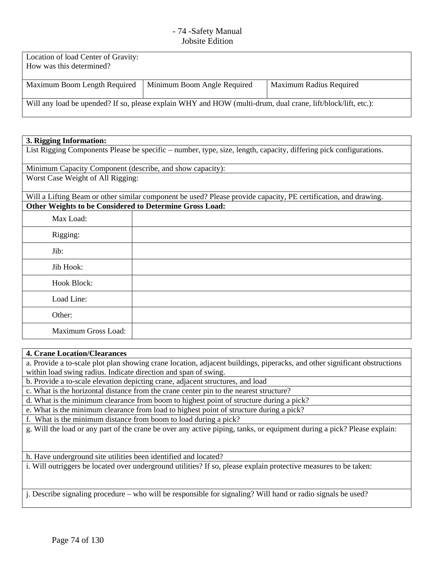#### - 74 -Safety Manual Jobsite Edition

| Location of load Center of Gravity:<br>How was this determined?                                              |                             |                         |  |  |  |  |
|--------------------------------------------------------------------------------------------------------------|-----------------------------|-------------------------|--|--|--|--|
| Maximum Boom Length Required                                                                                 | Minimum Boom Angle Required | Maximum Radius Required |  |  |  |  |
| Will any load be upended? If so, please explain WHY and HOW (multi-drum, dual crane, lift/block/lift, etc.): |                             |                         |  |  |  |  |

| 3. Rigging Information:                                   |                                                                                                                   |
|-----------------------------------------------------------|-------------------------------------------------------------------------------------------------------------------|
|                                                           | List Rigging Components Please be specific – number, type, size, length, capacity, differing pick configurations. |
| Minimum Capacity Component (describe, and show capacity): |                                                                                                                   |
| Worst Case Weight of All Rigging:                         |                                                                                                                   |
|                                                           |                                                                                                                   |
|                                                           | Will a Lifting Beam or other similar component be used? Please provide capacity, PE certification, and drawing.   |
| Other Weights to be Considered to Determine Gross Load:   |                                                                                                                   |
| Max Load:                                                 |                                                                                                                   |
| Rigging:                                                  |                                                                                                                   |
| Jib:                                                      |                                                                                                                   |
| Jib Hook:                                                 |                                                                                                                   |
| Hook Block:                                               |                                                                                                                   |
| Load Line:                                                |                                                                                                                   |
| Other:                                                    |                                                                                                                   |
| Maximum Gross Load:                                       |                                                                                                                   |

#### **4. Crane Location/Clearances**

a. Provide a to-scale plot plan showing crane location, adjacent buildings, piperacks, and other significant obstructions within load swing radius. Indicate direction and span of swing.

b. Provide a to-scale elevation depicting crane, adjacent structures, and load

c. What is the horizontal distance from the crane center pin to the nearest structure?

d. What is the minimum clearance from boom to highest point of structure during a pick?

e. What is the minimum clearance from load to highest point of structure during a pick?

f. What is the minimum distance from boom to load during a pick?

g. Will the load or any part of the crane be over any active piping, tanks, or equipment during a pick? Please explain:

h. Have underground site utilities been identified and located?

i. Will outriggers be located over underground utilities? If so, please explain protective measures to be taken:

j. Describe signaling procedure – who will be responsible for signaling? Will hand or radio signals be used?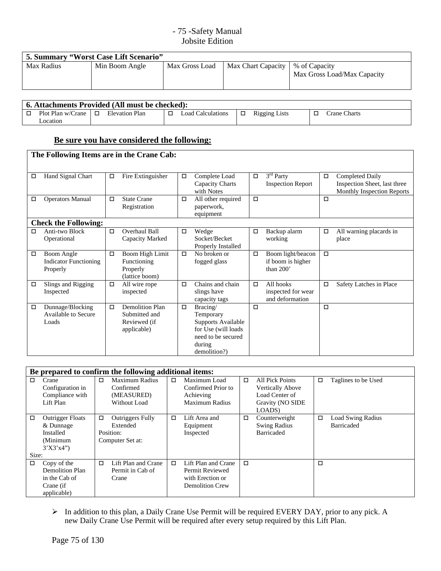#### - 75 -Safety Manual Jobsite Edition

| 5. Summary "Worst Case Lift Scenario" |                |                |                                    |                             |  |  |  |  |  |
|---------------------------------------|----------------|----------------|------------------------------------|-----------------------------|--|--|--|--|--|
| Max Radius                            | Min Boom Angle | Max Gross Load | Max Chart Capacity   % of Capacity | Max Gross Load/Max Capacity |  |  |  |  |  |

#### **6. Attachments Provided (All must be checked):**   $\Box$  Plot Plan w/Crane  $\Box$  Elevation Plan Location  $\Box$  Load Calculations  $\Box$  Rigging Lists  $\Box$  Crane Charts

### **Be sure you have considered the following:**

|   | The Following Items are in the Crane Cab:              |        |                                                                        |        |                                                                                                                     |        |                                                       |        |                                                                                      |
|---|--------------------------------------------------------|--------|------------------------------------------------------------------------|--------|---------------------------------------------------------------------------------------------------------------------|--------|-------------------------------------------------------|--------|--------------------------------------------------------------------------------------|
| □ | Hand Signal Chart                                      | $\Box$ | Fire Extinguisher                                                      | $\Box$ | Complete Load<br>Capacity Charts<br>with Notes                                                                      | $\Box$ | 3 <sup>rd</sup> Party<br><b>Inspection Report</b>     | □      | <b>Completed Daily</b><br>Inspection Sheet, last three<br>Monthly Inspection Reports |
| □ | <b>Operators Manual</b>                                | $\Box$ | <b>State Crane</b><br>Registration                                     | □      | All other required<br>paperwork,<br>equipment                                                                       | $\Box$ |                                                       | □      |                                                                                      |
|   | <b>Check the Following:</b>                            |        |                                                                        |        |                                                                                                                     |        |                                                       |        |                                                                                      |
| □ | Anti-two Block<br>Operational                          | $\Box$ | Overhaul Ball<br>Capacity Marked                                       | $\Box$ | Wedge<br>Socket/Becket<br>Properly Installed                                                                        | □      | Backup alarm<br>working                               | □      | All warning placards in<br>place                                                     |
| □ | Boom Angle<br><b>Indicator Functioning</b><br>Properly | $\Box$ | <b>Boom High Limit</b><br>Functioning<br>Properly<br>(lattice boom)    | $\Box$ | No broken or<br>fogged glass                                                                                        | $\Box$ | Boom light/beacon<br>if boom is higher<br>than $200'$ | $\Box$ |                                                                                      |
| □ | Slings and Rigging<br>Inspected                        | $\Box$ | All wire rope<br>inspected                                             | $\Box$ | Chains and chain<br>slings have<br>capacity tags                                                                    | $\Box$ | All hooks<br>inspected for wear<br>and deformation    | $\Box$ | Safety Latches in Place                                                              |
| □ | Dunnage/Blocking<br>Available to Secure<br>Loads       | $\Box$ | <b>Demolition Plan</b><br>Submitted and<br>Reviewed (if<br>applicable) | $\Box$ | Bracing/<br>Temporary<br>Supports Available<br>for Use (will loads)<br>need to be secured<br>during<br>demolition?) | $\Box$ |                                                       | $\Box$ |                                                                                      |

|            | Be prepared to confirm the following additional items:                      |        |                                                                      |        |                                                                                      |        |                                                                                                   |        |                                               |
|------------|-----------------------------------------------------------------------------|--------|----------------------------------------------------------------------|--------|--------------------------------------------------------------------------------------|--------|---------------------------------------------------------------------------------------------------|--------|-----------------------------------------------|
| □          | Crane<br>Configuration in<br>Compliance with<br>Lift Plan                   | $\Box$ | Maximum Radius<br>Confirmed<br>(MEASURED)<br>Without Load            | $\Box$ | Maximum Load<br>Confirmed Prior to<br>Achieving<br>Maximum Radius                    | $\Box$ | <b>All Pick Points</b><br><b>Vertically Above</b><br>Load Center of<br>Gravity (NO SIDE<br>LOADS) | $\Box$ | Taglines to be Used                           |
| □<br>Size: | <b>Outrigger Floats</b><br>& Dunnage<br>Installed<br>(Minimum<br>3'X3'x4'   | $\Box$ | <b>Outriggers Fully</b><br>Extended<br>Position:<br>Computer Set at: | $\Box$ | Lift Area and<br>Equipment<br>Inspected                                              | □      | Counterweight<br><b>Swing Radius</b><br><b>Barricaded</b>                                         | □      | <b>Load Swing Radius</b><br><b>Barricaded</b> |
| □          | Copy of the<br>Demolition Plan<br>in the Cab of<br>Crane (if<br>applicable) | $\Box$ | Lift Plan and Crane<br>Permit in Cab of<br>Crane                     | $\Box$ | Lift Plan and Crane<br>Permit Reviewed<br>with Erection or<br><b>Demolition Crew</b> | $\Box$ |                                                                                                   | $\Box$ |                                               |

¾ In addition to this plan, a Daily Crane Use Permit will be required EVERY DAY, prior to any pick. A new Daily Crane Use Permit will be required after every setup required by this Lift Plan.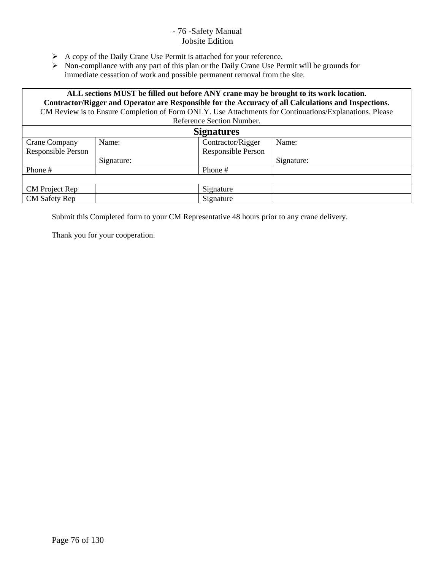#### - 76 -Safety Manual Jobsite Edition

- $\triangleright$  A copy of the Daily Crane Use Permit is attached for your reference.
- $\triangleright$  Non-compliance with any part of this plan or the Daily Crane Use Permit will be grounds for immediate cessation of work and possible permanent removal from the site.

#### **ALL sections MUST be filled out before ANY crane may be brought to its work location. Contractor/Rigger and Operator are Responsible for the Accuracy of all Calculations and Inspections.**  CM Review is to Ensure Completion of Form ONLY. Use Attachments for Continuations/Explanations. Please Reference Section Number. **Signatures**  Crane Company Responsible Person Name: Signature: Contractor/Rigger Responsible Person Name: Signature: Phone # Phone # CM Project Rep  $\vert$  Signature CM Safety Rep Signature

Submit this Completed form to your CM Representative 48 hours prior to any crane delivery.

Thank you for your cooperation.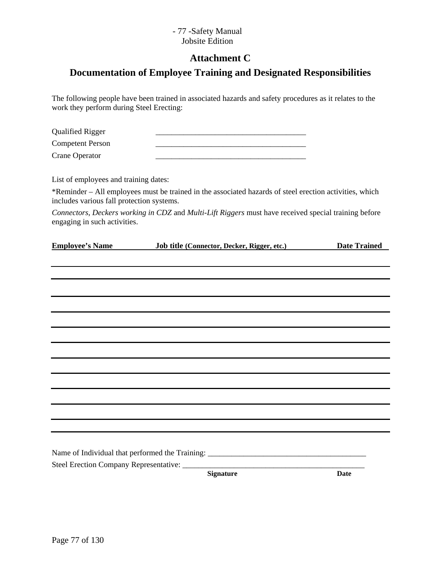#### - 77 -Safety Manual Jobsite Edition

## **Attachment C**

# **Documentation of Employee Training and Designated Responsibilities**

The following people have been trained in associated hazards and safety procedures as it relates to the work they perform during Steel Erecting:

| <b>Qualified Rigger</b> |  |
|-------------------------|--|
| <b>Competent Person</b> |  |
| <b>Crane Operator</b>   |  |

List of employees and training dates:

\*Reminder – All employees must be trained in the associated hazards of steel erection activities, which includes various fall protection systems.

*Connectors*, *Deckers working in CDZ* and *Multi-Lift Riggers* must have received special training before engaging in such activities.

| <b>Employee's Name</b> | <b>Job title (Connector, Decker, Rigger, etc.)</b> | <b>Date Trained</b> |
|------------------------|----------------------------------------------------|---------------------|
|                        |                                                    |                     |
|                        |                                                    |                     |
|                        |                                                    |                     |
|                        |                                                    |                     |
|                        |                                                    |                     |
|                        |                                                    |                     |
|                        |                                                    |                     |
|                        |                                                    |                     |
|                        |                                                    |                     |
|                        |                                                    |                     |
|                        |                                                    |                     |
|                        |                                                    |                     |
|                        |                                                    |                     |
|                        |                                                    |                     |
|                        | <b>Signature</b>                                   | Date                |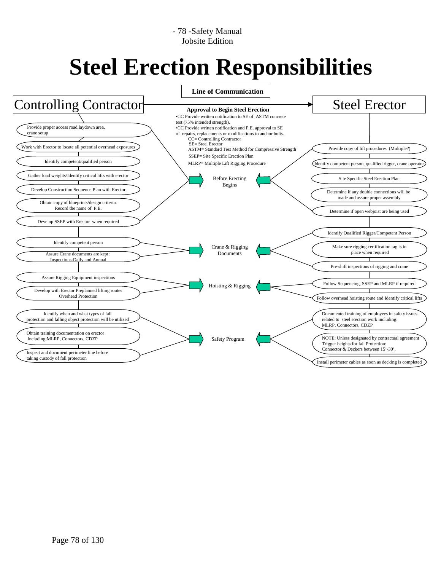#### - 78 -Safety Manual Jobsite Edition

# **Steel Erection Responsibilities**

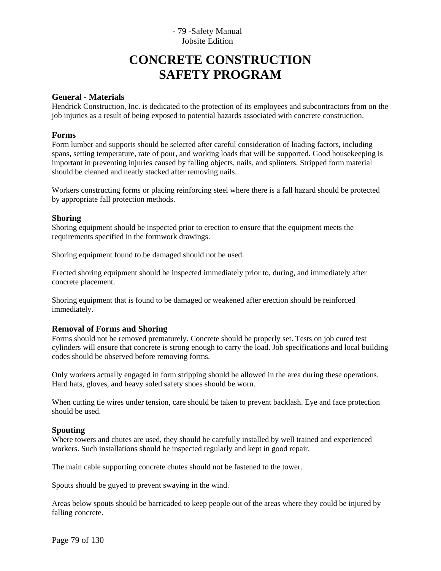#### - 79 -Safety Manual Jobsite Edition

# **CONCRETE CONSTRUCTION SAFETY PROGRAM**

#### **General - Materials**

Hendrick Construction, Inc. is dedicated to the protection of its employees and subcontractors from on the job injuries as a result of being exposed to potential hazards associated with concrete construction.

#### **Forms**

Form lumber and supports should be selected after careful consideration of loading factors, including spans, setting temperature, rate of pour, and working loads that will be supported. Good housekeeping is important in preventing injuries caused by falling objects, nails, and splinters. Stripped form material should be cleaned and neatly stacked after removing nails.

Workers constructing forms or placing reinforcing steel where there is a fall hazard should be protected by appropriate fall protection methods.

#### **Shoring**

Shoring equipment should be inspected prior to erection to ensure that the equipment meets the requirements specified in the formwork drawings.

Shoring equipment found to be damaged should not be used.

Erected shoring equipment should be inspected immediately prior to, during, and immediately after concrete placement.

Shoring equipment that is found to be damaged or weakened after erection should be reinforced immediately.

#### **Removal of Forms and Shoring**

Forms should not be removed prematurely. Concrete should be properly set. Tests on job cured test cylinders will ensure that concrete is strong enough to carry the load. Job specifications and local building codes should be observed before removing forms.

Only workers actually engaged in form stripping should be allowed in the area during these operations. Hard hats, gloves, and heavy soled safety shoes should be worn.

When cutting tie wires under tension, care should be taken to prevent backlash. Eye and face protection should be used.

#### **Spouting**

Where towers and chutes are used, they should be carefully installed by well trained and experienced workers. Such installations should be inspected regularly and kept in good repair.

The main cable supporting concrete chutes should not be fastened to the tower.

Spouts should be guyed to prevent swaying in the wind.

Areas below spouts should be barricaded to keep people out of the areas where they could be injured by falling concrete.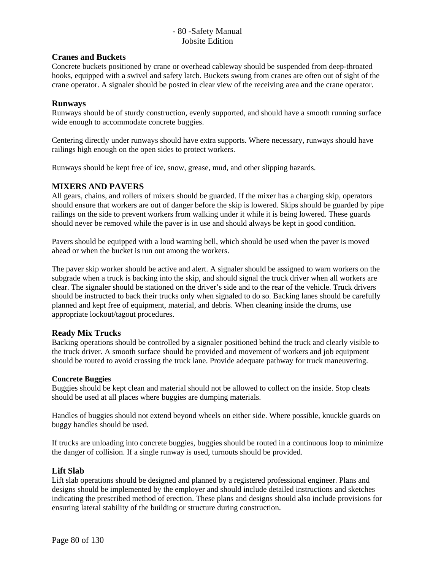#### - 80 -Safety Manual Jobsite Edition

#### **Cranes and Buckets**

Concrete buckets positioned by crane or overhead cableway should be suspended from deep-throated hooks, equipped with a swivel and safety latch. Buckets swung from cranes are often out of sight of the crane operator. A signaler should be posted in clear view of the receiving area and the crane operator.

#### **Runways**

Runways should be of sturdy construction, evenly supported, and should have a smooth running surface wide enough to accommodate concrete buggies.

Centering directly under runways should have extra supports. Where necessary, runways should have railings high enough on the open sides to protect workers.

Runways should be kept free of ice, snow, grease, mud, and other slipping hazards.

#### **MIXERS AND PAVERS**

All gears, chains, and rollers of mixers should be guarded. If the mixer has a charging skip, operators should ensure that workers are out of danger before the skip is lowered. Skips should be guarded by pipe railings on the side to prevent workers from walking under it while it is being lowered. These guards should never be removed while the paver is in use and should always be kept in good condition.

Pavers should be equipped with a loud warning bell, which should be used when the paver is moved ahead or when the bucket is run out among the workers.

The paver skip worker should be active and alert. A signaler should be assigned to warn workers on the subgrade when a truck is backing into the skip, and should signal the truck driver when all workers are clear. The signaler should be stationed on the driver's side and to the rear of the vehicle. Truck drivers should be instructed to back their trucks only when signaled to do so. Backing lanes should be carefully planned and kept free of equipment, material, and debris. When cleaning inside the drums, use appropriate lockout/tagout procedures.

#### **Ready Mix Trucks**

Backing operations should be controlled by a signaler positioned behind the truck and clearly visible to the truck driver. A smooth surface should be provided and movement of workers and job equipment should be routed to avoid crossing the truck lane. Provide adequate pathway for truck maneuvering.

#### **Concrete Buggies**

Buggies should be kept clean and material should not be allowed to collect on the inside. Stop cleats should be used at all places where buggies are dumping materials.

Handles of buggies should not extend beyond wheels on either side. Where possible, knuckle guards on buggy handles should be used.

If trucks are unloading into concrete buggies, buggies should be routed in a continuous loop to minimize the danger of collision. If a single runway is used, turnouts should be provided.

#### **Lift Slab**

Lift slab operations should be designed and planned by a registered professional engineer. Plans and designs should be implemented by the employer and should include detailed instructions and sketches indicating the prescribed method of erection. These plans and designs should also include provisions for ensuring lateral stability of the building or structure during construction.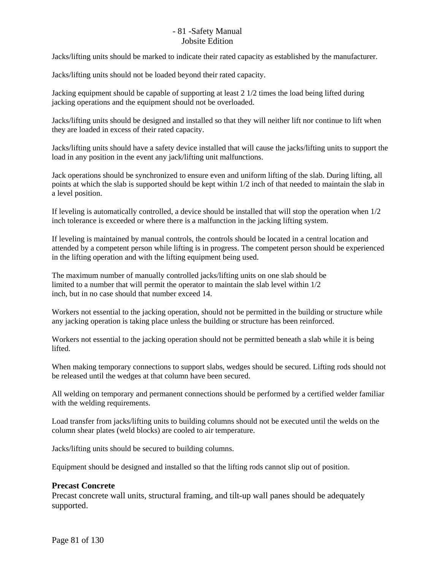#### - 81 -Safety Manual Jobsite Edition

Jacks/lifting units should be marked to indicate their rated capacity as established by the manufacturer.

Jacks/lifting units should not be loaded beyond their rated capacity.

Jacking equipment should be capable of supporting at least 2 1/2 times the load being lifted during jacking operations and the equipment should not be overloaded.

Jacks/lifting units should be designed and installed so that they will neither lift nor continue to lift when they are loaded in excess of their rated capacity.

Jacks/lifting units should have a safety device installed that will cause the jacks/lifting units to support the load in any position in the event any jack/lifting unit malfunctions.

Jack operations should be synchronized to ensure even and uniform lifting of the slab. During lifting, all points at which the slab is supported should be kept within 1/2 inch of that needed to maintain the slab in a level position.

If leveling is automatically controlled, a device should be installed that will stop the operation when  $1/2$ inch tolerance is exceeded or where there is a malfunction in the jacking lifting system.

If leveling is maintained by manual controls, the controls should be located in a central location and attended by a competent person while lifting is in progress. The competent person should be experienced in the lifting operation and with the lifting equipment being used.

The maximum number of manually controlled jacks/lifting units on one slab should be limited to a number that will permit the operator to maintain the slab level within 1/2 inch, but in no case should that number exceed 14.

Workers not essential to the jacking operation, should not be permitted in the building or structure while any jacking operation is taking place unless the building or structure has been reinforced.

Workers not essential to the jacking operation should not be permitted beneath a slab while it is being lifted.

When making temporary connections to support slabs, wedges should be secured. Lifting rods should not be released until the wedges at that column have been secured.

All welding on temporary and permanent connections should be performed by a certified welder familiar with the welding requirements.

Load transfer from jacks/lifting units to building columns should not be executed until the welds on the column shear plates (weld blocks) are cooled to air temperature.

Jacks/lifting units should be secured to building columns.

Equipment should be designed and installed so that the lifting rods cannot slip out of position.

#### **Precast Concrete**

Precast concrete wall units, structural framing, and tilt-up wall panes should be adequately supported.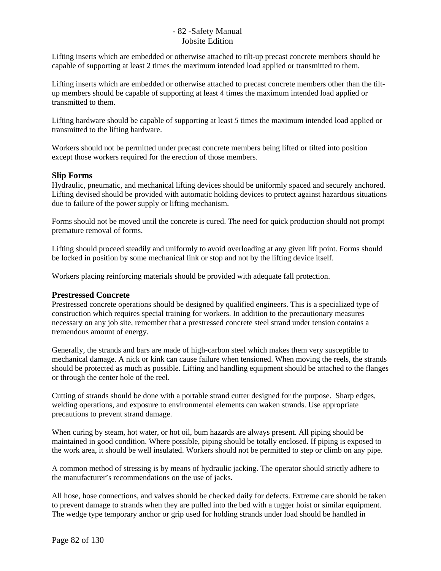#### - 82 -Safety Manual Jobsite Edition

Lifting inserts which are embedded or otherwise attached to tilt-up precast concrete members should be capable of supporting at least 2 times the maximum intended load applied or transmitted to them.

Lifting inserts which are embedded or otherwise attached to precast concrete members other than the tiltup members should be capable of supporting at least 4 times the maximum intended load applied or transmitted to them.

Lifting hardware should be capable of supporting at least *5* times the maximum intended load applied or transmitted to the lifting hardware.

Workers should not be permitted under precast concrete members being lifted or tilted into position except those workers required for the erection of those members.

#### **Slip Forms**

Hydraulic, pneumatic, and mechanical lifting devices should be uniformly spaced and securely anchored. Lifting devised should be provided with automatic holding devices to protect against hazardous situations due to failure of the power supply or lifting mechanism.

Forms should not be moved until the concrete is cured. The need for quick production should not prompt premature removal of forms.

Lifting should proceed steadily and uniformly to avoid overloading at any given lift point. Forms should be locked in position by some mechanical link or stop and not by the lifting device itself.

Workers placing reinforcing materials should be provided with adequate fall protection.

#### **Prestressed Concrete**

Prestressed concrete operations should be designed by qualified engineers. This is a specialized type of construction which requires special training for workers. In addition to the precautionary measures necessary on any job site, remember that a prestressed concrete steel strand under tension contains a tremendous amount of energy.

Generally, the strands and bars are made of high-carbon steel which makes them very susceptible to mechanical damage. A nick or kink can cause failure when tensioned. When moving the reels, the strands should be protected as much as possible. Lifting and handling equipment should be attached to the flanges or through the center hole of the reel.

Cutting of strands should be done with a portable strand cutter designed for the purpose. Sharp edges, welding operations, and exposure to environmental elements can waken strands. Use appropriate precautions to prevent strand damage.

When curing by steam, hot water, or hot oil, bum hazards are always present. All piping should be maintained in good condition. Where possible, piping should be totally enclosed. If piping is exposed to the work area, it should be well insulated. Workers should not be permitted to step or climb on any pipe.

A common method of stressing is by means of hydraulic jacking. The operator should strictly adhere to the manufacturer's recommendations on the use of jacks.

All hose, hose connections, and valves should be checked daily for defects. Extreme care should be taken to prevent damage to strands when they are pulled into the bed with a tugger hoist or similar equipment. The wedge type temporary anchor or grip used for holding strands under load should be handled in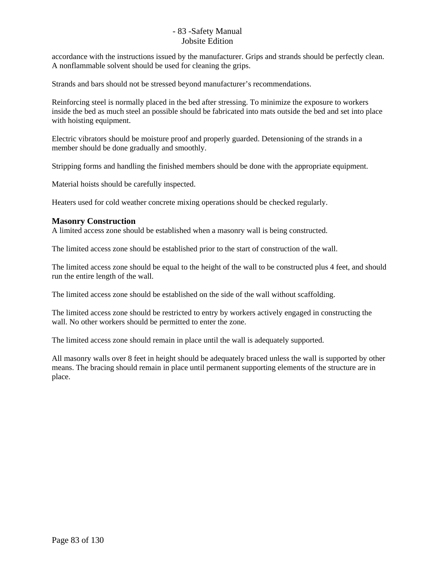#### - 83 -Safety Manual Jobsite Edition

accordance with the instructions issued by the manufacturer. Grips and strands should be perfectly clean. A nonflammable solvent should be used for cleaning the grips.

Strands and bars should not be stressed beyond manufacturer's recommendations.

Reinforcing steel is normally placed in the bed after stressing. To minimize the exposure to workers inside the bed as much steel an possible should be fabricated into mats outside the bed and set into place with hoisting equipment.

Electric vibrators should be moisture proof and properly guarded. Detensioning of the strands in a member should be done gradually and smoothly.

Stripping forms and handling the finished members should be done with the appropriate equipment.

Material hoists should be carefully inspected.

Heaters used for cold weather concrete mixing operations should be checked regularly.

#### **Masonry Construction**

A limited access zone should be established when a masonry wall is being constructed.

The limited access zone should be established prior to the start of construction of the wall.

The limited access zone should be equal to the height of the wall to be constructed plus 4 feet, and should run the entire length of the wall.

The limited access zone should be established on the side of the wall without scaffolding.

The limited access zone should be restricted to entry by workers actively engaged in constructing the wall. No other workers should be permitted to enter the zone.

The limited access zone should remain in place until the wall is adequately supported.

All masonry walls over 8 feet in height should be adequately braced unless the wall is supported by other means. The bracing should remain in place until permanent supporting elements of the structure are in place.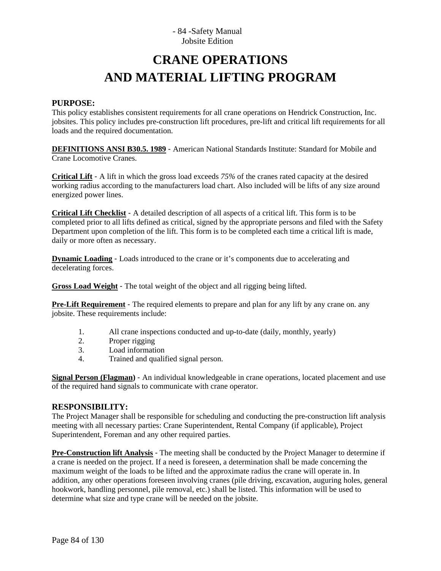#### - 84 -Safety Manual Jobsite Edition

# **CRANE OPERATIONS AND MATERIAL LIFTING PROGRAM**

#### **PURPOSE:**

This policy establishes consistent requirements for all crane operations on Hendrick Construction, Inc. jobsites. This policy includes pre-construction lift procedures, pre-lift and critical lift requirements for all loads and the required documentation.

**DEFINITIONS ANSI B30.5. 1989** - American National Standards Institute: Standard for Mobile and Crane Locomotive Cranes.

**Critical Lift** - A lift in which the gross load exceeds *75%* of the cranes rated capacity at the desired working radius according to the manufacturers load chart. Also included will be lifts of any size around energized power lines.

**Critical Lift Checklist** - A detailed description of all aspects of a critical lift. This form is to be completed prior to all lifts defined as critical, signed by the appropriate persons and filed with the Safety Department upon completion of the lift. This form is to be completed each time a critical lift is made, daily or more often as necessary.

**Dynamic Loading** - Loads introduced to the crane or it's components due to accelerating and decelerating forces.

**Gross Load Weight** - The total weight of the object and all rigging being lifted.

**Pre-Lift Requirement** - The required elements to prepare and plan for any lift by any crane on. any jobsite. These requirements include:

- 1. All crane inspections conducted and up-to-date (daily, monthly, yearly)
- 2. Proper rigging
- 3. Load information
- 4. Trained and qualified signal person.

**Signal Person (Flagman)** - An individual knowledgeable in crane operations, located placement and use of the required hand signals to communicate with crane operator.

#### **RESPONSIBILITY:**

The Project Manager shall be responsible for scheduling and conducting the pre-construction lift analysis meeting with all necessary parties: Crane Superintendent, Rental Company (if applicable), Project Superintendent, Foreman and any other required parties.

**Pre-Construction lift Analysis** - The meeting shall be conducted by the Project Manager to determine if a crane is needed on the project. If a need is foreseen, a determination shall be made concerning the maximum weight of the loads to be lifted and the approximate radius the crane will operate in. In addition, any other operations foreseen involving cranes (pile driving, excavation, auguring holes, general hookwork, handling personnel, pile removal, etc.) shall be listed. This information will be used to determine what size and type crane will be needed on the jobsite.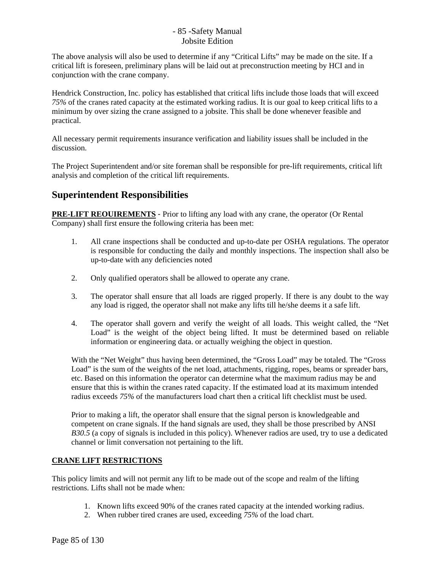The above analysis will also be used to determine if any "Critical Lifts" may be made on the site. If a critical lift is foreseen, preliminary plans will be laid out at preconstruction meeting by HCI and in conjunction with the crane company.

Hendrick Construction, Inc. policy has established that critical lifts include those loads that will exceed *75%* of the cranes rated capacity at the estimated working radius. It is our goal to keep critical lifts to a minimum by over sizing the crane assigned to a jobsite. This shall be done whenever feasible and practical.

All necessary permit requirements insurance verification and liability issues shall be included in the discussion.

The Project Superintendent and/or site foreman shall be responsible for pre-lift requirements, critical lift analysis and completion of the critical lift requirements.

#### **Superintendent Responsibilities**

**PRE-LIFT REOUIREMENTS** - Prior to lifting any load with any crane, the operator (Or Rental Company) shall first ensure the following criteria has been met:

- 1. All crane inspections shall be conducted and up-to-date per OSHA regulations. The operator is responsible for conducting the daily and monthly inspections. The inspection shall also be up-to-date with any deficiencies noted
- 2. Only qualified operators shall be allowed to operate any crane.
- 3. The operator shall ensure that all loads are rigged properly. If there is any doubt to the way any load is rigged, the operator shall not make any lifts till he/she deems it a safe lift.
- 4. The operator shall govern and verify the weight of all loads. This weight called, the "Net Load" is the weight of the object being lifted. It must be determined based on reliable information or engineering data. or actually weighing the object in question.

With the "Net Weight" thus having been determined, the "Gross Load" may be totaled. The "Gross Load" is the sum of the weights of the net load, attachments, rigging, ropes, beams or spreader bars, etc. Based on this information the operator can determine what the maximum radius may be and ensure that this is within the cranes rated capacity. If the estimated load at its maximum intended radius exceeds *75%* of the manufacturers load chart then a critical lift checklist must be used.

Prior to making a lift, the operator shall ensure that the signal person is knowledgeable and competent on crane signals. If the hand signals are used, they shall be those prescribed by ANSI *B30.5* (a copy of signals is included in this policy). Whenever radios are used, try to use a dedicated channel or limit conversation not pertaining to the lift.

#### **CRANE LIFT RESTRICTIONS**

This policy limits and will not permit any lift to be made out of the scope and realm of the lifting restrictions. Lifts shall not be made when:

- 1. Known lifts exceed 90% of the cranes rated capacity at the intended working radius.
- 2. When rubber tired cranes are used, exceeding *75%* of the load chart.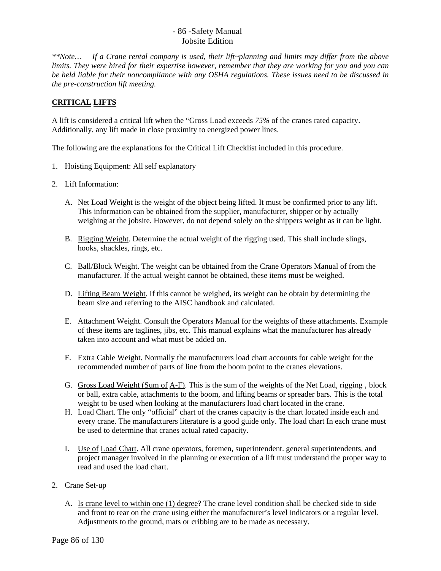#### - 86 -Safety Manual Jobsite Edition

*\*\*Note… If a Crane rental company is used, their lift~planning and limits may differ from the above limits. They were hired for their expertise however, remember that they are working for you and you can be held liable for their noncompliance with any OSHA regulations. These issues need to be discussed in the pre-construction lift meeting.* 

#### **CRITICAL LIFTS**

A lift is considered a critical lift when the "Gross Load exceeds *75%* of the cranes rated capacity. Additionally, any lift made in close proximity to energized power lines.

The following are the explanations for the Critical Lift Checklist included in this procedure.

- 1. Hoisting Equipment: All self explanatory
- 2. Lift Information:
	- A. Net Load Weight is the weight of the object being lifted. It must be confirmed prior to any lift. This information can be obtained from the supplier, manufacturer, shipper or by actually weighing at the jobsite. However, do not depend solely on the shippers weight as it can be light.
	- B. Rigging Weight. Determine the actual weight of the rigging used. This shall include slings, hooks, shackles, rings, etc.
	- C. Ball/Block Weight. The weight can be obtained from the Crane Operators Manual of from the manufacturer. If the actual weight cannot be obtained, these items must be weighed.
	- D. Lifting Beam Weight. If this cannot be weighed, its weight can be obtain by determining the beam size and referring to the AISC handbook and calculated.
	- E. Attachment Weight. Consult the Operators Manual for the weights of these attachments. Example of these items are taglines, jibs, etc. This manual explains what the manufacturer has already taken into account and what must be added on.
	- F. Extra Cable Weight. Normally the manufacturers load chart accounts for cable weight for the recommended number of parts of line from the boom point to the cranes elevations.
	- G. Gross Load Weight (Sum of A-F). This is the sum of the weights of the Net Load, rigging , block or ball, extra cable, attachments to the boom, and lifting beams or spreader bars. This is the total weight to be used when looking at the manufacturers load chart located in the crane.
	- H. Load Chart. The only "official" chart of the cranes capacity is the chart located inside each and every crane. The manufacturers literature is a good guide only. The load chart In each crane must be used to determine that cranes actual rated capacity.
	- I. Use of Load Chart. All crane operators, foremen, superintendent. general superintendents, and project manager involved in the planning or execution of a lift must understand the proper way to read and used the load chart.
- 2. Crane Set-up
	- A. Is crane level to within one (1) degree? The crane level condition shall be checked side to side and front to rear on the crane using either the manufacturer's level indicators or a regular level. Adjustments to the ground, mats or cribbing are to be made as necessary.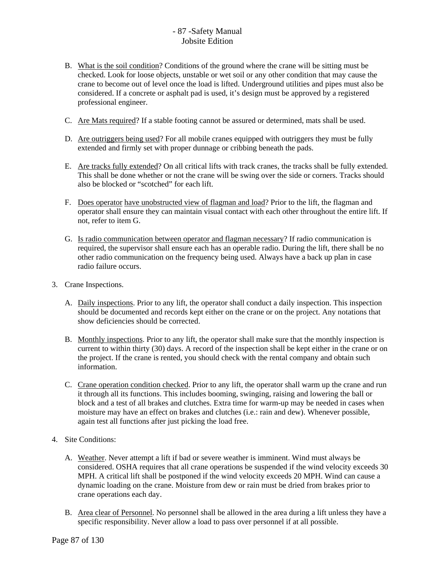#### - 87 -Safety Manual Jobsite Edition

- B. What is the soil condition? Conditions of the ground where the crane will be sitting must be checked. Look for loose objects, unstable or wet soil or any other condition that may cause the crane to become out of level once the load is lifted. Underground utilities and pipes must also be considered. If a concrete or asphalt pad is used, it's design must be approved by a registered professional engineer.
- C. Are Mats required? If a stable footing cannot be assured or determined, mats shall be used.
- D. Are outriggers being used? For all mobile cranes equipped with outriggers they must be fully extended and firmly set with proper dunnage or cribbing beneath the pads.
- E. Are tracks fully extended? On all critical lifts with track cranes, the tracks shall be fully extended. This shall be done whether or not the crane will be swing over the side or corners. Tracks should also be blocked or "scotched" for each lift.
- F. Does operator have unobstructed view of flagman and load? Prior to the lift, the flagman and operator shall ensure they can maintain visual contact with each other throughout the entire lift. If not, refer to item G.
- G. Is radio communication between operator and flagman necessary? If radio communication is required, the supervisor shall ensure each has an operable radio. During the lift, there shall be no other radio communication on the frequency being used. Always have a back up plan in case radio failure occurs.
- 3. Crane Inspections.
	- A. Daily inspections. Prior to any lift, the operator shall conduct a daily inspection. This inspection should be documented and records kept either on the crane or on the project. Any notations that show deficiencies should be corrected.
	- B. Monthly inspections. Prior to any lift, the operator shall make sure that the monthly inspection is current to within thirty (30) days. A record of the inspection shall be kept either in the crane or on the project. If the crane is rented, you should check with the rental company and obtain such information.
	- C. Crane operation condition checked. Prior to any lift, the operator shall warm up the crane and run it through all its functions. This includes booming, swinging, raising and lowering the ball or block and a test of all brakes and clutches. Extra time for warm-up may be needed in cases when moisture may have an effect on brakes and clutches (i.e.: rain and dew). Whenever possible, again test all functions after just picking the load free.
- 4. Site Conditions:
	- A. Weather. Never attempt a lift if bad or severe weather is imminent. Wind must always be considered. OSHA requires that all crane operations be suspended if the wind velocity exceeds 30 MPH. A critical lift shall be postponed if the wind velocity exceeds 20 MPH. Wind can cause a dynamic loading on the crane. Moisture from dew or rain must be dried from brakes prior to crane operations each day.
	- B. Area clear of Personnel. No personnel shall be allowed in the area during a lift unless they have a specific responsibility. Never allow a load to pass over personnel if at all possible.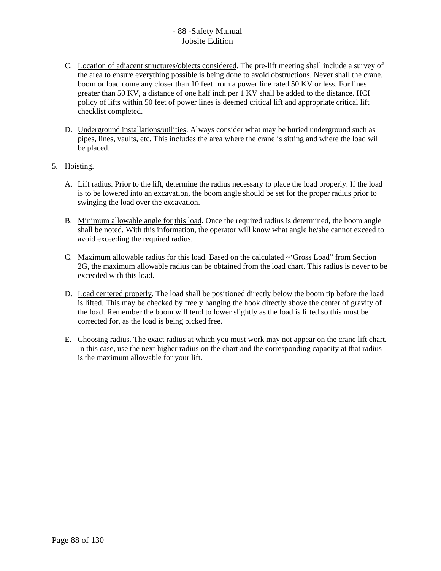#### - 88 -Safety Manual Jobsite Edition

- C. Location of adjacent structures/objects considered. The pre-lift meeting shall include a survey of the area to ensure everything possible is being done to avoid obstructions. Never shall the crane, boom or load come any closer than 10 feet from a power line rated 50 KV or less. For lines greater than 50 KV, a distance of one half inch per 1 KV shall be added to the distance. HCI policy of lifts within 50 feet of power lines is deemed critical lift and appropriate critical lift checklist completed.
- D. Underground installations/utilities. Always consider what may be buried underground such as pipes, lines, vaults, etc. This includes the area where the crane is sitting and where the load will be placed.
- 5. Hoisting.
	- A. Lift radius. Prior to the lift, determine the radius necessary to place the load properly. If the load is to be lowered into an excavation, the boom angle should be set for the proper radius prior to swinging the load over the excavation.
	- B. Minimum allowable angle for this load. Once the required radius is determined, the boom angle shall be noted. With this information, the operator will know what angle he/she cannot exceed to avoid exceeding the required radius.
	- C. Maximum allowable radius for this load. Based on the calculated ~'Gross Load" from Section 2G, the maximum allowable radius can be obtained from the load chart. This radius is never to be exceeded with this load.
	- D. Load centered properly. The load shall be positioned directly below the boom tip before the load is lifted. This may be checked by freely hanging the hook directly above the center of gravity of the load. Remember the boom will tend to lower slightly as the load is lifted so this must be corrected for, as the load is being picked free.
	- E. Choosing radius. The exact radius at which you must work may not appear on the crane lift chart. In this case, use the next higher radius on the chart and the corresponding capacity at that radius is the maximum allowable for your lift.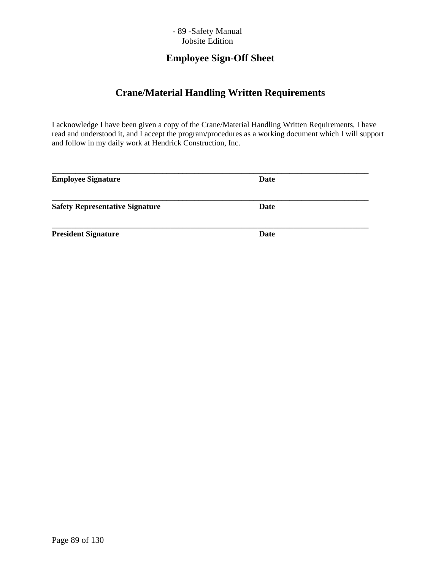# **Employee Sign-Off Sheet**

# **Crane/Material Handling Written Requirements**

I acknowledge I have been given a copy of the Crane/Material Handling Written Requirements, I have read and understood it, and I accept the program/procedures as a working document which I will support and follow in my daily work at Hendrick Construction, Inc.

| <b>Employee Signature</b>              | Date |  |
|----------------------------------------|------|--|
| <b>Safety Representative Signature</b> | Date |  |
| <b>President Signature</b>             | Date |  |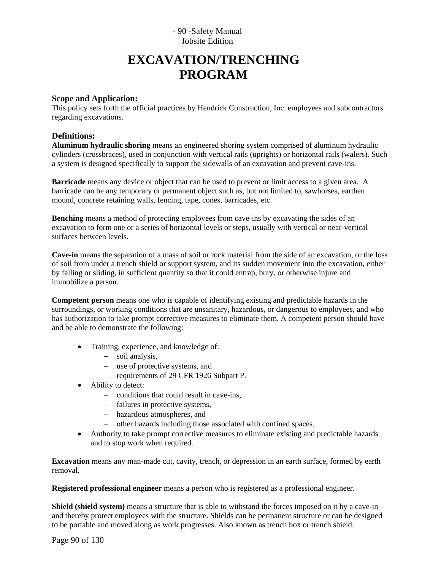- 90 -Safety Manual Jobsite Edition

# **EXCAVATION/TRENCHING PROGRAM**

#### **Scope and Application:**

This policy sets forth the official practices by Hendrick Construction, Inc. employees and subcontractors regarding excavations.

#### **Definitions:**

**Aluminum hydraulic shoring** means an engineered shoring system comprised of aluminum hydraulic cylinders (crossbraces), used in conjunction with vertical rails (uprights) or horizontal rails (walers). Such a system is designed specifically to support the sidewalls of an excavation and prevent cave-ins.

**Barricade** means any device or object that can be used to prevent or limit access to a given area. A barricade can be any temporary or permanent object such as, but not limited to, sawhorses, earthen mound, concrete retaining walls, fencing, tape, cones, barricades, etc.

**Benching** means a method of protecting employees from cave-ins by excavating the sides of an excavation to form one or a series of horizontal levels or steps, usually with vertical or near-vertical surfaces between levels.

**Cave-in** means the separation of a mass of soil or rock material from the side of an excavation, or the loss of soil from under a trench shield or support system, and its sudden movement into the excavation, either by falling or sliding, in sufficient quantity so that it could entrap, bury, or otherwise injure and immobilize a person.

**Competent person** means one who is capable of identifying existing and predictable hazards in the surroundings, or working conditions that are unsanitary, hazardous, or dangerous to employees, and who has authorization to take prompt corrective measures to eliminate them. A competent person should have and be able to demonstrate the following:

- Training, experience, and knowledge of:
	- − soil analysis,
	- − use of protective systems, and
	- − requirements of 29 CFR 1926 Subpart P.
- Ability to detect:
	- − conditions that could result in cave-ins,
	- − failures in protective systems,
	- − hazardous atmospheres, and
	- − other hazards including those associated with confined spaces.
- Authority to take prompt corrective measures to eliminate existing and predictable hazards and to stop work when required.

**Excavation** means any man-made cut, cavity, trench, or depression in an earth surface, formed by earth removal.

**Registered professional engineer** means a person who is registered as a professional engineer.

**Shield (shield system)** means a structure that is able to withstand the forces imposed on it by a cave-in and thereby protect employees with the structure. Shields can be permanent structure or can be designed to be portable and moved along as work progresses. Also known as trench box or trench shield.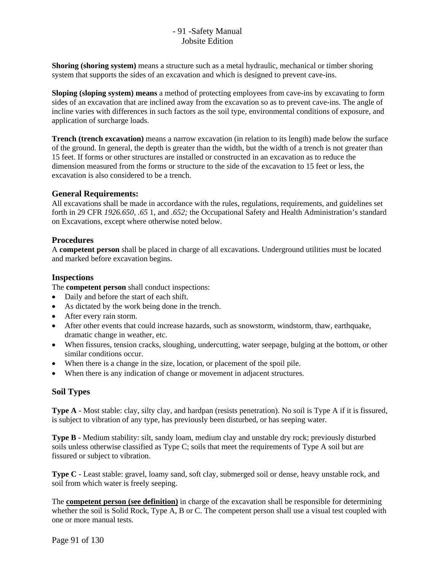#### - 91 -Safety Manual Jobsite Edition

**Shoring (shoring system)** means a structure such as a metal hydraulic, mechanical or timber shoring system that supports the sides of an excavation and which is designed to prevent cave-ins.

**Sloping (sloping system) means** a method of protecting employees from cave-ins by excavating to form sides of an excavation that are inclined away from the excavation so as to prevent cave-ins. The angle of incline varies with differences in such factors as the soil type, environmental conditions of exposure, and application of surcharge loads.

**Trench (trench excavation)** means a narrow excavation (in relation to its length) made below the surface of the ground. In general, the depth is greater than the width, but the width of a trench is not greater than 15 feet. If forms or other structures are installed or constructed in an excavation as to reduce the dimension measured from the forms or structure to the side of the excavation to 15 feet or less, the excavation is also considered to be a trench.

#### **General Requirements:**

All excavations shall be made in accordance with the rules, regulations, requirements, and guidelines set forth in 29 CFR *1926.650, .65* 1, and *.652;* the Occupational Safety and Health Administration's standard on Excavations, except where otherwise noted below.

#### **Procedures**

A **competent person** shall be placed in charge of all excavations. Underground utilities must be located and marked before excavation begins.

#### **Inspections**

The **competent person** shall conduct inspections:

- Daily and before the start of each shift.
- As dictated by the work being done in the trench.
- After every rain storm.
- After other events that could increase hazards, such as snowstorm, windstorm, thaw, earthquake, dramatic change in weather, etc.
- When fissures, tension cracks, sloughing, undercutting, water seepage, bulging at the bottom, or other similar conditions occur.
- When there is a change in the size, location, or placement of the spoil pile.
- When there is any indication of change or movement in adjacent structures.

#### **Soil Types**

**Type A** - Most stable: clay, silty clay, and hardpan (resists penetration). No soil is Type A if it is fissured, is subject to vibration of any type, has previously been disturbed, or has seeping water.

**Type B** - Medium stability: silt, sandy loam, medium clay and unstable dry rock; previously disturbed soils unless otherwise classified as Type C; soils that meet the requirements of Type A soil but are fissured or subject to vibration.

**Type C** - Least stable: gravel, loamy sand, soft clay, submerged soil or dense, heavy unstable rock, and soil from which water is freely seeping.

The **competent person (see definition)** in charge of the excavation shall be responsible for determining whether the soil is Solid Rock, Type A, B or C. The competent person shall use a visual test coupled with one or more manual tests.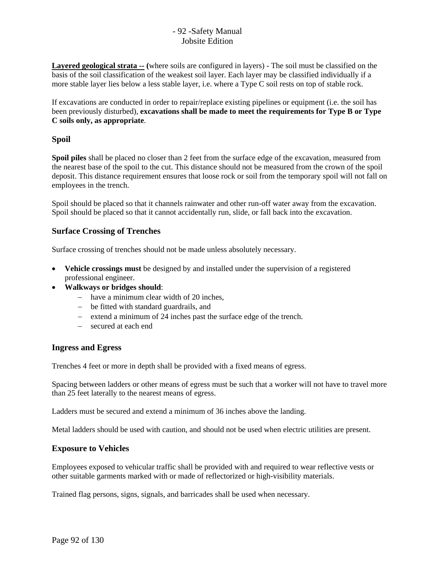#### - 92 -Safety Manual Jobsite Edition

**Layered geological strata -- (**where soils are configured in layers) - The soil must be classified on the basis of the soil classification of the weakest soil layer. Each layer may be classified individually if a more stable layer lies below a less stable layer, i.e. where a Type C soil rests on top of stable rock.

If excavations are conducted in order to repair/replace existing pipelines or equipment (i.e. the soil has been previously disturbed), **excavations shall be made to meet the requirements for Type B or Type C soils only, as appropriate**.

#### **Spoil**

**Spoil piles** shall be placed no closer than 2 feet from the surface edge of the excavation, measured from the nearest base of the spoil to the cut. This distance should not be measured from the crown of the spoil deposit. This distance requirement ensures that loose rock or soil from the temporary spoil will not fall on employees in the trench.

Spoil should be placed so that it channels rainwater and other run-off water away from the excavation. Spoil should be placed so that it cannot accidentally run, slide, or fall back into the excavation.

#### **Surface Crossing of Trenches**

Surface crossing of trenches should not be made unless absolutely necessary.

- **Vehicle crossings must** be designed by and installed under the supervision of a registered professional engineer.
- **Walkways or bridges should**:
	- − have a minimum clear width of 20 inches,
	- − be fitted with standard guardrails, and
	- − extend a minimum of 24 inches past the surface edge of the trench.
	- − secured at each end

#### **Ingress and Egress**

Trenches 4 feet or more in depth shall be provided with a fixed means of egress.

Spacing between ladders or other means of egress must be such that a worker will not have to travel more than 25 feet laterally to the nearest means of egress.

Ladders must be secured and extend a minimum of 36 inches above the landing.

Metal ladders should be used with caution, and should not be used when electric utilities are present.

#### **Exposure to Vehicles**

Employees exposed to vehicular traffic shall be provided with and required to wear reflective vests or other suitable garments marked with or made of reflectorized or high-visibility materials.

Trained flag persons, signs, signals, and barricades shall be used when necessary.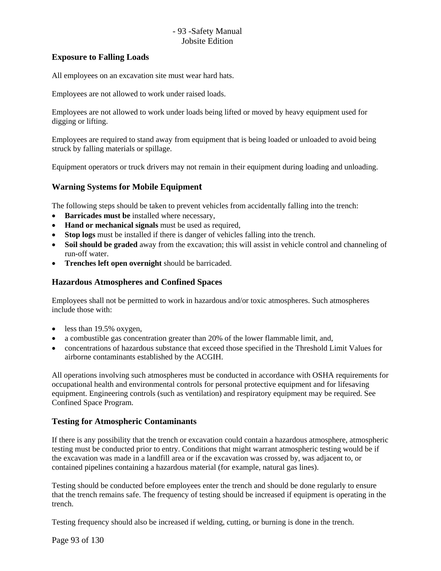#### - 93 -Safety Manual Jobsite Edition

#### **Exposure to Falling Loads**

All employees on an excavation site must wear hard hats.

Employees are not allowed to work under raised loads.

Employees are not allowed to work under loads being lifted or moved by heavy equipment used for digging or lifting.

Employees are required to stand away from equipment that is being loaded or unloaded to avoid being struck by falling materials or spillage.

Equipment operators or truck drivers may not remain in their equipment during loading and unloading.

#### **Warning Systems for Mobile Equipment**

The following steps should be taken to prevent vehicles from accidentally falling into the trench:

- **Barricades must be** installed where necessary,
- **Hand or mechanical signals** must be used as required,
- **Stop logs** must be installed if there is danger of vehicles falling into the trench.
- **Soil should be graded** away from the excavation; this will assist in vehicle control and channeling of run-off water.
- **Trenches left open overnight** should be barricaded.

#### **Hazardous Atmospheres and Confined Spaces**

Employees shall not be permitted to work in hazardous and/or toxic atmospheres. Such atmospheres include those with:

- less than 19.5% oxygen,
- a combustible gas concentration greater than 20% of the lower flammable limit, and,
- concentrations of hazardous substance that exceed those specified in the Threshold Limit Values for airborne contaminants established by the ACGIH.

All operations involving such atmospheres must be conducted in accordance with OSHA requirements for occupational health and environmental controls for personal protective equipment and for lifesaving equipment. Engineering controls (such as ventilation) and respiratory equipment may be required. See Confined Space Program.

#### **Testing for Atmospheric Contaminants**

If there is any possibility that the trench or excavation could contain a hazardous atmosphere, atmospheric testing must be conducted prior to entry. Conditions that might warrant atmospheric testing would be if the excavation was made in a landfill area or if the excavation was crossed by, was adjacent to, or contained pipelines containing a hazardous material (for example, natural gas lines).

Testing should be conducted before employees enter the trench and should be done regularly to ensure that the trench remains safe. The frequency of testing should be increased if equipment is operating in the trench.

Testing frequency should also be increased if welding, cutting, or burning is done in the trench.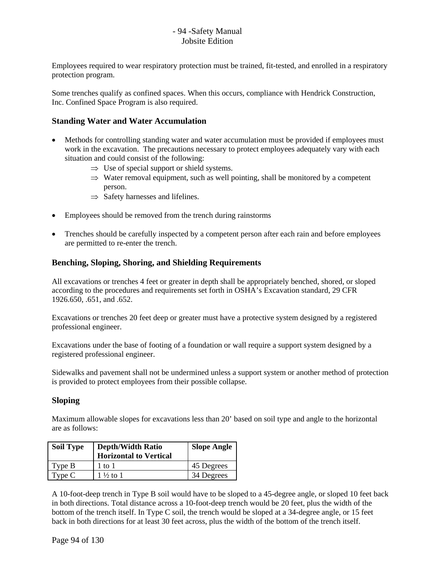Employees required to wear respiratory protection must be trained, fit-tested, and enrolled in a respiratory protection program.

Some trenches qualify as confined spaces. When this occurs, compliance with Hendrick Construction, Inc. Confined Space Program is also required.

#### **Standing Water and Water Accumulation**

- Methods for controlling standing water and water accumulation must be provided if employees must work in the excavation. The precautions necessary to protect employees adequately vary with each situation and could consist of the following:
	- $\Rightarrow$  Use of special support or shield systems.
	- $\Rightarrow$  Water removal equipment, such as well pointing, shall be monitored by a competent person.
	- $\Rightarrow$  Safety harnesses and lifelines.
- Employees should be removed from the trench during rainstorms
- Trenches should be carefully inspected by a competent person after each rain and before employees are permitted to re-enter the trench.

#### **Benching, Sloping, Shoring, and Shielding Requirements**

All excavations or trenches 4 feet or greater in depth shall be appropriately benched, shored, or sloped according to the procedures and requirements set forth in OSHA's Excavation standard, 29 CFR 1926.650, .651, and .652.

Excavations or trenches 20 feet deep or greater must have a protective system designed by a registered professional engineer.

Excavations under the base of footing of a foundation or wall require a support system designed by a registered professional engineer.

Sidewalks and pavement shall not be undermined unless a support system or another method of protection is provided to protect employees from their possible collapse.

#### **Sloping**

Maximum allowable slopes for excavations less than 20' based on soil type and angle to the horizontal are as follows:

| <b>Soil Type</b> | <b>Depth/Width Ratio</b><br><b>Horizontal to Vertical</b> | <b>Slope Angle</b> |
|------------------|-----------------------------------------------------------|--------------------|
| Type B           | 1 to 1                                                    | 45 Degrees         |
| Type C           | $1\frac{1}{2}$ to 1                                       | 34 Degrees         |

A 10-foot-deep trench in Type B soil would have to be sloped to a 45-degree angle, or sloped 10 feet back in both directions. Total distance across a 10-foot-deep trench would be 20 feet, plus the width of the bottom of the trench itself. In Type C soil, the trench would be sloped at a 34-degree angle, or 15 feet back in both directions for at least 30 feet across, plus the width of the bottom of the trench itself.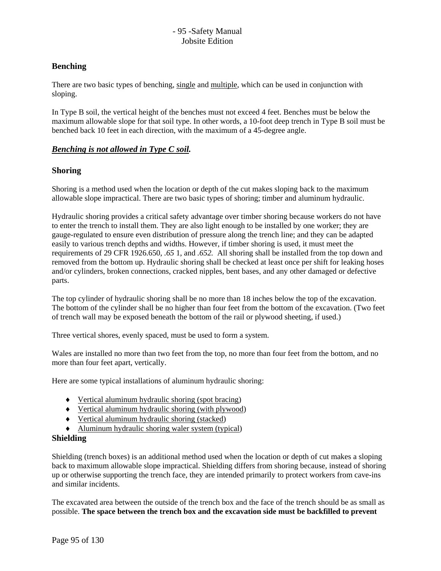#### **Benching**

There are two basic types of benching, single and multiple, which can be used in conjunction with sloping.

In Type B soil, the vertical height of the benches must not exceed 4 feet. Benches must be below the maximum allowable slope for that soil type. In other words, a 10-foot deep trench in Type B soil must be benched back 10 feet in each direction, with the maximum of a 45-degree angle.

#### *Benching is not allowed in Type C soil.*

#### **Shoring**

Shoring is a method used when the location or depth of the cut makes sloping back to the maximum allowable slope impractical. There are two basic types of shoring; timber and aluminum hydraulic.

Hydraulic shoring provides a critical safety advantage over timber shoring because workers do not have to enter the trench to install them. They are also light enough to be installed by one worker; they are gauge-regulated to ensure even distribution of pressure along the trench line; and they can be adapted easily to various trench depths and widths. However, if timber shoring is used, it must meet the requirements of 29 CFR 1926.650, *.65* 1, and *.652.* All shoring shall be installed from the top down and removed from the bottom up. Hydraulic shoring shall be checked at least once per shift for leaking hoses and/or cylinders, broken connections, cracked nipples, bent bases, and any other damaged or defective parts.

The top cylinder of hydraulic shoring shall be no more than 18 inches below the top of the excavation. The bottom of the cylinder shall be no higher than four feet from the bottom of the excavation. (Two feet of trench wall may be exposed beneath the bottom of the rail or plywood sheeting, if used.)

Three vertical shores, evenly spaced, must be used to form a system.

Wales are installed no more than two feet from the top, no more than four feet from the bottom, and no more than four feet apart, vertically.

Here are some typical installations of aluminum hydraulic shoring:

- ♦ Vertical aluminum hydraulic shoring (spot bracing)
- ♦ Vertical aluminum hydraulic shoring (with plywood)
- ♦ Vertical aluminum hydraulic shoring (stacked)
- ♦ Aluminum hydraulic shoring waler system (typical)

#### **Shielding**

Shielding (trench boxes) is an additional method used when the location or depth of cut makes a sloping back to maximum allowable slope impractical. Shielding differs from shoring because, instead of shoring up or otherwise supporting the trench face, they are intended primarily to protect workers from cave-ins and similar incidents.

The excavated area between the outside of the trench box and the face of the trench should be as small as possible. **The space between the trench box and the excavation side must be backfilled to prevent**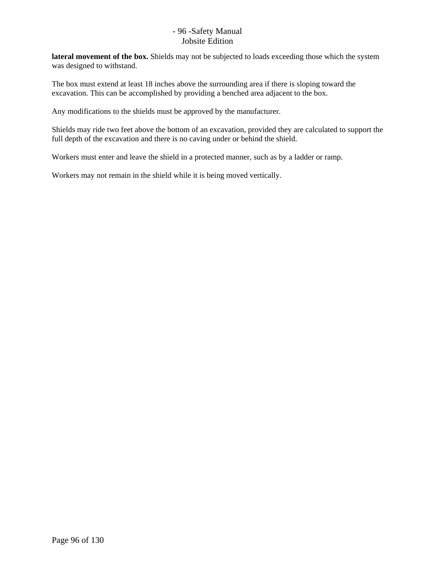#### - 96 -Safety Manual Jobsite Edition

**lateral movement of the box.** Shields may not be subjected to loads exceeding those which the system was designed to withstand.

The box must extend at least 18 inches above the surrounding area if there is sloping toward the excavation. This can be accomplished by providing a benched area adjacent to the box.

Any modifications to the shields must be approved by the manufacturer.

Shields may ride two feet above the bottom of an excavation, provided they are calculated to support the full depth of the excavation and there is no caving under or behind the shield.

Workers must enter and leave the shield in a protected manner, such as by a ladder or ramp.

Workers may not remain in the shield while it is being moved vertically.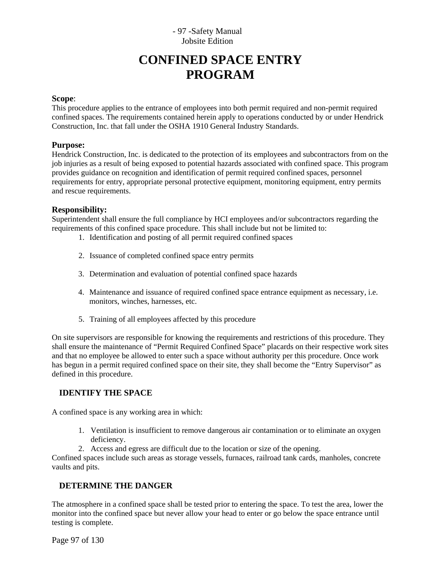#### - 97 -Safety Manual Jobsite Edition

# **CONFINED SPACE ENTRY PROGRAM**

#### **Scope**:

This procedure applies to the entrance of employees into both permit required and non-permit required confined spaces. The requirements contained herein apply to operations conducted by or under Hendrick Construction, Inc. that fall under the OSHA 1910 General Industry Standards.

#### **Purpose:**

Hendrick Construction, Inc. is dedicated to the protection of its employees and subcontractors from on the job injuries as a result of being exposed to potential hazards associated with confined space. This program provides guidance on recognition and identification of permit required confined spaces, personnel requirements for entry, appropriate personal protective equipment, monitoring equipment, entry permits and rescue requirements.

#### **Responsibility:**

Superintendent shall ensure the full compliance by HCI employees and/or subcontractors regarding the requirements of this confined space procedure. This shall include but not be limited to:

- 1. Identification and posting of all permit required confined spaces
- 2. Issuance of completed confined space entry permits
- 3. Determination and evaluation of potential confined space hazards
- 4. Maintenance and issuance of required confined space entrance equipment as necessary, i.e. monitors, winches, harnesses, etc.
- 5. Training of all employees affected by this procedure

On site supervisors are responsible for knowing the requirements and restrictions of this procedure. They shall ensure the maintenance of "Permit Required Confined Space" placards on their respective work sites and that no employee be allowed to enter such a space without authority per this procedure. Once work has begun in a permit required confined space on their site, they shall become the "Entry Supervisor" as defined in this procedure.

#### **IDENTIFY THE SPACE**

A confined space is any working area in which:

- 1. Ventilation is insufficient to remove dangerous air contamination or to eliminate an oxygen deficiency.
- 2. Access and egress are difficult due to the location or size of the opening.

Confined spaces include such areas as storage vessels, furnaces, railroad tank cards, manholes, concrete vaults and pits.

#### **DETERMINE THE DANGER**

The atmosphere in a confined space shall be tested prior to entering the space. To test the area, lower the monitor into the confined space but never allow your head to enter or go below the space entrance until testing is complete.

Page 97 of 130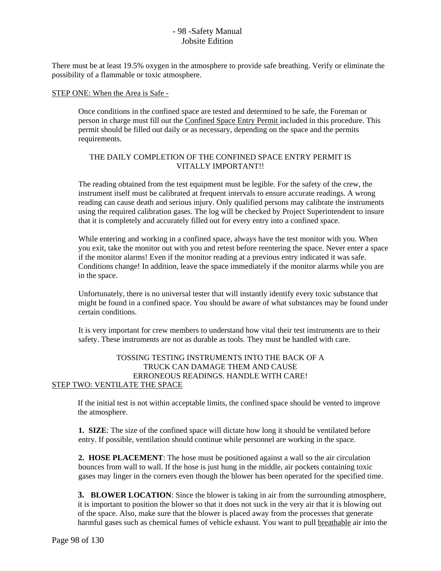#### - 98 -Safety Manual Jobsite Edition

There must be at least 19.5% oxygen in the atmosphere to provide safe breathing. Verify or eliminate the possibility of a flammable or toxic atmosphere.

#### STEP ONE: When the Area is Safe -

Once conditions in the confined space are tested and determined to be safe, the Foreman or person in charge must fill out the Confined Space Entry Permit included in this procedure. This permit should be filled out daily or as necessary, depending on the space and the permits requirements.

#### THE DAILY COMPLETION OF THE CONFINED SPACE ENTRY PERMIT IS VITALLY IMPORTANT!!

The reading obtained from the test equipment must be legible. For the safety of the crew, the instrument itself must be calibrated at frequent intervals to ensure accurate readings. A wrong reading can cause death and serious injury. Only qualified persons may calibrate the instruments using the required calibration gases. The log will be checked by Project Superintendent to insure that it is completely and accurately filled out for every entry into a confined space.

While entering and working in a confined space, always have the test monitor with you. When you exit, take the monitor out with you and retest before reentering the space. Never enter a space if the monitor alarms! Even if the monitor reading at a previous entry indicated it was safe. Conditions change! In addition, leave the space immediately if the monitor alarms while you are in the space.

Unfortunately, there is no universal tester that will instantly identify every toxic substance that might be found in a confined space. You should be aware of what substances may be found under certain conditions.

It is very important for crew members to understand how vital their test instruments are to their safety. These instruments are not as durable as tools. They must be handled with care.

#### TOSSING TESTING INSTRUMENTS INTO THE BACK OF A TRUCK CAN DAMAGE THEM AND CAUSE ERRONEOUS READINGS. HANDLE WITH CARE! STEP TWO: VENTILATE THE SPACE

If the initial test is not within acceptable limits, the confined space should be vented to improve the atmosphere.

**1. SIZE**: The size of the confined space will dictate how long it should be ventilated before entry. If possible, ventilation should continue while personnel are working in the space.

**2. HOSE PLACEMENT**: The hose must be positioned against a wall so the air circulation bounces from wall to wall. If the hose is just hung in the middle, air pockets containing toxic gases may linger in the corners even though the blower has been operated for the specified time.

**3. BLOWER LOCATION:** Since the blower is taking in air from the surrounding atmosphere, it is important to position the blower so that it does not suck in the very air that it is blowing out of the space. Also, make sure that the blower is placed away from the processes that generate harmful gases such as chemical fumes of vehicle exhaust. You want to pull breathable air into the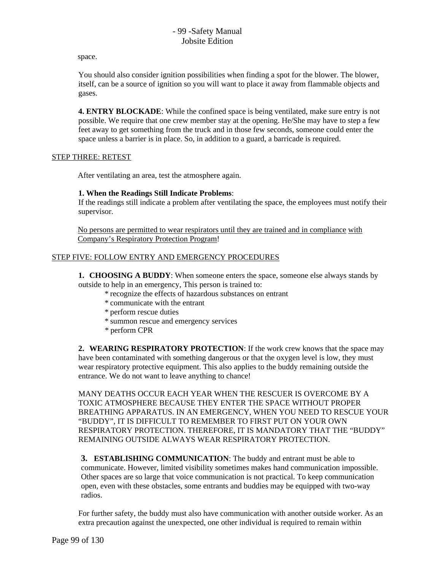space.

You should also consider ignition possibilities when finding a spot for the blower. The blower, itself, can be a source of ignition so you will want to place it away from flammable objects and gases.

**4. ENTRY BLOCKADE**: While the confined space is being ventilated, make sure entry is not possible. We require that one crew member stay at the opening. He/She may have to step a few feet away to get something from the truck and in those few seconds, someone could enter the space unless a barrier is in place. So, in addition to a guard, a barricade is required.

#### STEP THREE: RETEST

After ventilating an area, test the atmosphere again.

#### **1. When the Readings Still Indicate Problems**:

If the readings still indicate a problem after ventilating the space, the employees must notify their supervisor.

No persons are permitted to wear respirators until they are trained and in compliance with Company's Respiratory Protection Program!

#### STEP FIVE: FOLLOW ENTRY AND EMERGENCY PROCEDURES

**1. CHOOSING A BUDDY**: When someone enters the space, someone else always stands by outside to help in an emergency, This person is trained to:

- *\** recognize the effects of hazardous substances on entrant
- *\** communicate with the entrant
- *\** perform rescue duties
- *\** summon rescue and emergency services
- *\** perform CPR

**2. WEARING RESPIRATORY PROTECTION**: If the work crew knows that the space may have been contaminated with something dangerous or that the oxygen level is low, they must wear respiratory protective equipment. This also applies to the buddy remaining outside the entrance. We do not want to leave anything to chance!

MANY DEATHS OCCUR EACH YEAR WHEN THE RESCUER IS OVERCOME BY A TOXIC ATMOSPHERE BECAUSE THEY ENTER THE SPACE WITHOUT PROPER BREATHING APPARATUS. IN AN EMERGENCY, WHEN YOU NEED TO RESCUE YOUR "BUDDY", IT IS DIFFICULT TO REMEMBER TO FIRST PUT ON YOUR OWN RESPIRATORY PROTECTION. THEREFORE, IT IS MANDATORY THAT THE "BUDDY" REMAINING OUTSIDE ALWAYS WEAR RESPIRATORY PROTECTION.

**3. ESTABLISHING COMMUNICATION**: The buddy and entrant must be able to communicate. However, limited visibility sometimes makes hand communication impossible. Other spaces are so large that voice communication is not practical. To keep communication open, even with these obstacles, some entrants and buddies may be equipped with two-way radios.

For further safety, the buddy must also have communication with another outside worker. As an extra precaution against the unexpected, one other individual is required to remain within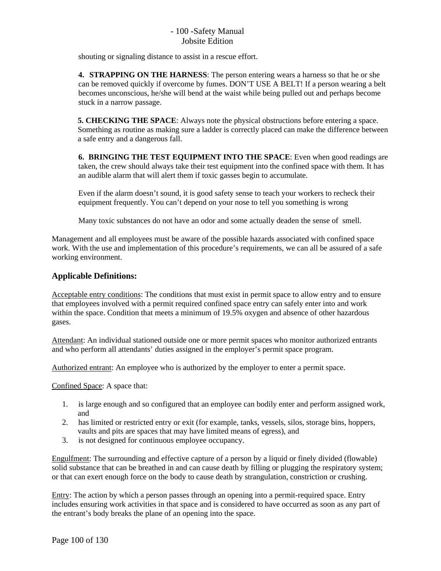#### - 100 -Safety Manual Jobsite Edition

shouting or signaling distance to assist in a rescue effort.

**4. STRAPPING ON THE HARNESS**: The person entering wears a harness so that he or she can be removed quickly if overcome by fumes. DON'T USE A BELT! If a person wearing a belt becomes unconscious, he/she will bend at the waist while being pulled out and perhaps become stuck in a narrow passage.

**5. CHECKING THE SPACE**: Always note the physical obstructions before entering a space. Something as routine as making sure a ladder is correctly placed can make the difference between a safe entry and a dangerous fall.

**6. BRINGING THE TEST EQUIPMENT INTO THE SPACE**: Even when good readings are taken, the crew should always take their test equipment into the confined space with them. It has an audible alarm that will alert them if toxic gasses begin to accumulate.

Even if the alarm doesn't sound, it is good safety sense to teach your workers to recheck their equipment frequently. You can't depend on your nose to tell you something is wrong

Many toxic substances do not have an odor and some actually deaden the sense of smell.

Management and all employees must be aware of the possible hazards associated with confined space work. With the use and implementation of this procedure's requirements, we can all be assured of a safe working environment.

#### **Applicable Definitions:**

Acceptable entry conditions: The conditions that must exist in permit space to allow entry and to ensure that employees involved with a permit required confined space entry can safely enter into and work within the space. Condition that meets a minimum of 19.5% oxygen and absence of other hazardous gases.

Attendant: An individual stationed outside one or more permit spaces who monitor authorized entrants and who perform all attendants' duties assigned in the employer's permit space program.

Authorized entrant: An employee who is authorized by the employer to enter a permit space.

Confined Space: A space that:

- 1. is large enough and so configured that an employee can bodily enter and perform assigned work, and
- 2. has limited or restricted entry or exit (for example, tanks, vessels, silos, storage bins, hoppers, vaults and pits are spaces that may have limited means of egress), and
- 3. is not designed for continuous employee occupancy.

Engulfment: The surrounding and effective capture of a person by a liquid or finely divided (flowable) solid substance that can be breathed in and can cause death by filling or plugging the respiratory system; or that can exert enough force on the body to cause death by strangulation, constriction or crushing.

Entry: The action by which a person passes through an opening into a permit-required space. Entry includes ensuring work activities in that space and is considered to have occurred as soon as any part of the entrant's body breaks the plane of an opening into the space.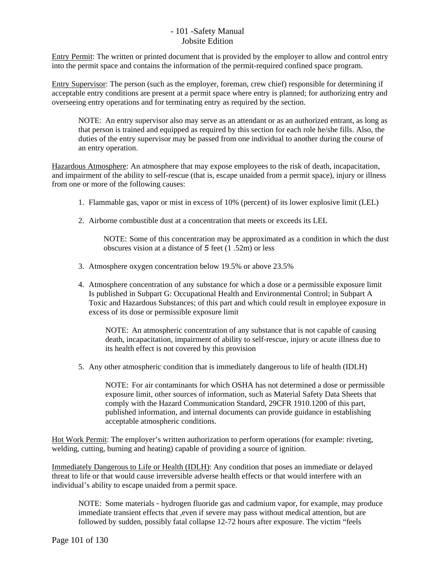#### - 101 -Safety Manual Jobsite Edition

Entry Permit: The written or printed document that is provided by the employer to allow and control entry into the permit space and contains the information of the permit-required confined space program.

Entry Supervisor: The person (such as the employer, foreman, crew chief) responsible for determining if acceptable entry conditions are present at a permit space where entry is planned; for authorizing entry and overseeing entry operations and for terminating entry as required by the section.

NOTE: An entry supervisor also may serve as an attendant or as an authorized entrant, as long as that person is trained and equipped as required by this section for each role he/she fills. Also, the duties of the entry supervisor may be passed from one individual to another during the course of an entry operation.

Hazardous Atmosphere: An atmosphere that may expose employees to the risk of death, incapacitation, and impairment of the ability to self-rescue (that is, escape unaided from a permit space), injury or illness from one or more of the following causes:

- 1. Flammable gas, vapor or mist in excess of 10% (percent) of its lower explosive limit (LEL)
- 2. Airborne combustible dust at a concentration that meets or exceeds its LEL

NOTE: Some of this concentration may be approximated as a condition in which the dust obscures vision at a distance of *5* feet (1 .52m) or less

- 3. Atmosphere oxygen concentration below 19.5% or above 23.5%
- 4. Atmosphere concentration of any substance for which a dose or a permissible exposure limit Is published in Subpart G: Occupational Health and Environmental Control; in Subpart A Toxic and Hazardous Substances; of this part and which could result in employee exposure in excess of its dose or permissible exposure limit

NOTE: An atmospheric concentration of any substance that is not capable of causing death, incapacitation, impairment of ability to self-rescue, injury or acute illness due to its health effect is not covered by this provision

5. Any other atmospheric condition that is immediately dangerous to life of health (IDLH)

NOTE: For air contaminants for which OSHA has not determined a dose or permissible exposure limit, other sources of information, such as Material Safety Data Sheets that comply with the Hazard Communication Standard, 29CFR 1910.1200 of this part, published information, and internal documents can provide guidance in establishing acceptable atmospheric conditions.

Hot Work Permit: The employer's written authorization to perform operations (for example: riveting, welding, cutting, burning and heating) capable of providing a source of ignition.

Immediately Dangerous to Life or Health (IDLH): Any condition that poses an immediate or delayed threat to life or that would cause irreversible adverse health effects or that would interfere with an individual's ability to escape unaided from a permit space.

NOTE: Some materials - hydrogen fluoride gas and cadmium vapor, for example, may produce immediate transient effects that ,even if severe may pass without medical attention, but are followed by sudden, possibly fatal collapse 12-72 hours after exposure. The victim "feels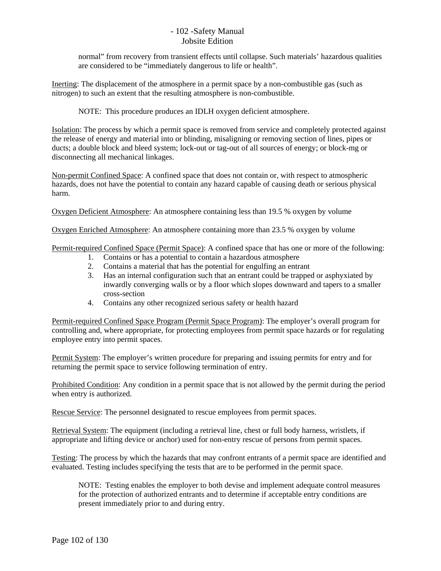#### - 102 -Safety Manual Jobsite Edition

normal" from recovery from transient effects until collapse. Such materials' hazardous qualities are considered to be "immediately dangerous to life or health".

Inerting: The displacement of the atmosphere in a permit space by a non-combustible gas (such as nitrogen) to such an extent that the resulting atmosphere is non-combustible.

NOTE: This procedure produces an IDLH oxygen deficient atmosphere.

Isolation: The process by which a permit space is removed from service and completely protected against the release of energy and material into or blinding, misaligning or removing section of lines, pipes or ducts; a double block and bleed system; lock-out or tag-out of all sources of energy; or block-mg or disconnecting all mechanical linkages.

Non-permit Confined Space: A confined space that does not contain or, with respect to atmospheric hazards, does not have the potential to contain any hazard capable of causing death or serious physical harm.

Oxygen Deficient Atmosphere: An atmosphere containing less than 19.5 % oxygen by volume

Oxygen Enriched Atmosphere: An atmosphere containing more than 23.5 % oxygen by volume

Permit-required Confined Space (Permit Space): A confined space that has one or more of the following:

- 1. Contains or has a potential to contain a hazardous atmosphere
- 2. Contains a material that has the potential for engulfing an entrant
- 3. Has an internal configuration such that an entrant could be trapped or asphyxiated by inwardly converging walls or by a floor which slopes downward and tapers to a smaller cross-section
- 4. Contains any other recognized serious safety or health hazard

Permit-required Confined Space Program (Permit Space Program): The employer's overall program for controlling and, where appropriate, for protecting employees from permit space hazards or for regulating employee entry into permit spaces.

Permit System: The employer's written procedure for preparing and issuing permits for entry and for returning the permit space to service following termination of entry.

Prohibited Condition: Any condition in a permit space that is not allowed by the permit during the period when entry is authorized.

Rescue Service: The personnel designated to rescue employees from permit spaces.

Retrieval System: The equipment (including a retrieval line, chest or full body harness, wristlets, if appropriate and lifting device or anchor) used for non-entry rescue of persons from permit spaces.

Testing: The process by which the hazards that may confront entrants of a permit space are identified and evaluated. Testing includes specifying the tests that are to be performed in the permit space.

NOTE: Testing enables the employer to both devise and implement adequate control measures for the protection of authorized entrants and to determine if acceptable entry conditions are present immediately prior to and during entry.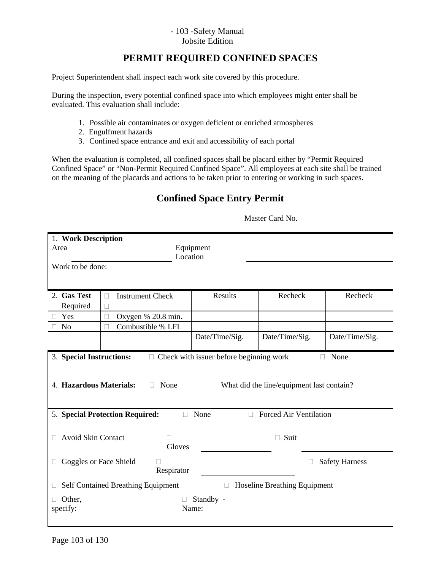#### - 103 -Safety Manual Jobsite Edition

## **PERMIT REQUIRED CONFINED SPACES**

Project Superintendent shall inspect each work site covered by this procedure.

During the inspection, every potential confined space into which employees might enter shall be evaluated. This evaluation shall include:

- 1. Possible air contaminates or oxygen deficient or enriched atmospheres
- 2. Engulfment hazards
- 3. Confined space entrance and exit and accessibility of each portal

When the evaluation is completed, all confined spaces shall be placard either by "Permit Required Confined Space" or "Non-Permit Required Confined Space". All employees at each site shall be trained on the meaning of the placards and actions to be taken prior to entering or working in such spaces.

## **Confined Space Entry Permit**

|                           | 1. Work Description                                                                 |                                                |                                           |                       |  |  |  |  |
|---------------------------|-------------------------------------------------------------------------------------|------------------------------------------------|-------------------------------------------|-----------------------|--|--|--|--|
| Area                      | Equipment                                                                           |                                                |                                           |                       |  |  |  |  |
|                           | Location                                                                            |                                                |                                           |                       |  |  |  |  |
| Work to be done:          |                                                                                     |                                                |                                           |                       |  |  |  |  |
|                           |                                                                                     |                                                |                                           |                       |  |  |  |  |
| 2. Gas Test               | <b>Instrument Check</b>                                                             | Results                                        | Recheck                                   | Recheck               |  |  |  |  |
| Required                  |                                                                                     |                                                |                                           |                       |  |  |  |  |
| Yes                       | Oxygen % 20.8 min.<br>ш                                                             |                                                |                                           |                       |  |  |  |  |
| N <sub>o</sub>            | Combustible % LFL<br>$\Box$                                                         |                                                |                                           |                       |  |  |  |  |
|                           |                                                                                     | Date/Time/Sig.                                 | Date/Time/Sig.                            | Date/Time/Sig.        |  |  |  |  |
|                           |                                                                                     |                                                |                                           |                       |  |  |  |  |
| 3. Special Instructions:  |                                                                                     | $\Box$ Check with issuer before beginning work | П                                         | None                  |  |  |  |  |
|                           |                                                                                     |                                                |                                           |                       |  |  |  |  |
| 4. Hazardous Materials:   | None<br>П                                                                           |                                                |                                           |                       |  |  |  |  |
|                           |                                                                                     |                                                | What did the line/equipment last contain? |                       |  |  |  |  |
|                           |                                                                                     |                                                |                                           |                       |  |  |  |  |
|                           | 5. Special Protection Required:<br>$\Box$                                           | None<br>П.                                     | <b>Forced Air Ventilation</b>             |                       |  |  |  |  |
|                           |                                                                                     |                                                |                                           |                       |  |  |  |  |
| <b>Avoid Skin Contact</b> |                                                                                     |                                                | $\Box$ Suit                               |                       |  |  |  |  |
|                           | Gloves                                                                              |                                                |                                           |                       |  |  |  |  |
|                           |                                                                                     |                                                |                                           |                       |  |  |  |  |
| Goggles or Face Shield    |                                                                                     |                                                |                                           | <b>Safety Harness</b> |  |  |  |  |
| Respirator                |                                                                                     |                                                |                                           |                       |  |  |  |  |
| $\Box$                    | Self Contained Breathing Equipment<br><b>Hoseline Breathing Equipment</b><br>$\Box$ |                                                |                                           |                       |  |  |  |  |
| Other,                    | $\Box$                                                                              | Standby -                                      |                                           |                       |  |  |  |  |
| specify:                  |                                                                                     | Name:                                          |                                           |                       |  |  |  |  |
|                           |                                                                                     |                                                |                                           |                       |  |  |  |  |

Master Card No.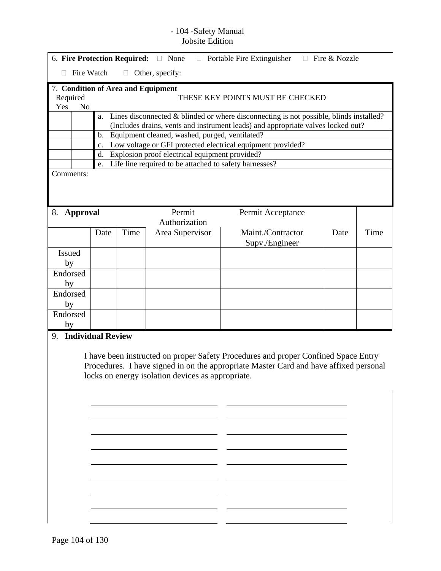#### - 104 -Safety Manual Jobsite Edition

| 6. Fire Protection Required:<br>None<br>Portable Fire Extinguisher<br>Fire & Nozzle<br>$\Box$<br>$\Box$<br>$\Box$ |                                                              |                                                                                                                                                                            |                         |                                     |      |      |  |  |  |
|-------------------------------------------------------------------------------------------------------------------|--------------------------------------------------------------|----------------------------------------------------------------------------------------------------------------------------------------------------------------------------|-------------------------|-------------------------------------|------|------|--|--|--|
| Fire Watch<br>Other, specify:<br>$\Box$                                                                           |                                                              |                                                                                                                                                                            |                         |                                     |      |      |  |  |  |
| 7. Condition of Area and Equipment                                                                                |                                                              |                                                                                                                                                                            |                         |                                     |      |      |  |  |  |
| Required<br>Yes<br>N <sub>o</sub>                                                                                 | THESE KEY POINTS MUST BE CHECKED                             |                                                                                                                                                                            |                         |                                     |      |      |  |  |  |
|                                                                                                                   | a.                                                           | Lines disconnected & blinded or where disconnecting is not possible, blinds installed?<br>(Includes drains, vents and instrument leads) and appropriate valves locked out? |                         |                                     |      |      |  |  |  |
|                                                                                                                   | $\mathbf b$ .                                                | Equipment cleaned, washed, purged, ventilated?                                                                                                                             |                         |                                     |      |      |  |  |  |
|                                                                                                                   | $\mathbf{c}$ .                                               | Low voltage or GFI protected electrical equipment provided?                                                                                                                |                         |                                     |      |      |  |  |  |
|                                                                                                                   | d.                                                           | Explosion proof electrical equipment provided?                                                                                                                             |                         |                                     |      |      |  |  |  |
| Comments:                                                                                                         | Life line required to be attached to safety harnesses?<br>e. |                                                                                                                                                                            |                         |                                     |      |      |  |  |  |
|                                                                                                                   |                                                              |                                                                                                                                                                            |                         |                                     |      |      |  |  |  |
| 8.<br><b>Approval</b>                                                                                             |                                                              |                                                                                                                                                                            | Permit<br>Authorization | Permit Acceptance                   |      |      |  |  |  |
|                                                                                                                   | Date                                                         | Time                                                                                                                                                                       | Area Supervisor         | Maint./Contractor<br>Supv./Engineer | Date | Time |  |  |  |
| <b>Issued</b><br>by                                                                                               |                                                              |                                                                                                                                                                            |                         |                                     |      |      |  |  |  |
| Endorsed<br>by                                                                                                    |                                                              |                                                                                                                                                                            |                         |                                     |      |      |  |  |  |
| Endorsed<br>by                                                                                                    |                                                              |                                                                                                                                                                            |                         |                                     |      |      |  |  |  |
| Endorsed<br>by                                                                                                    |                                                              |                                                                                                                                                                            |                         |                                     |      |      |  |  |  |

#### 9. **Individual Review**

 I have been instructed on proper Safety Procedures and proper Confined Space Entry Procedures. I have signed in on the appropriate Master Card and have affixed personal locks on energy isolation devices as appropriate.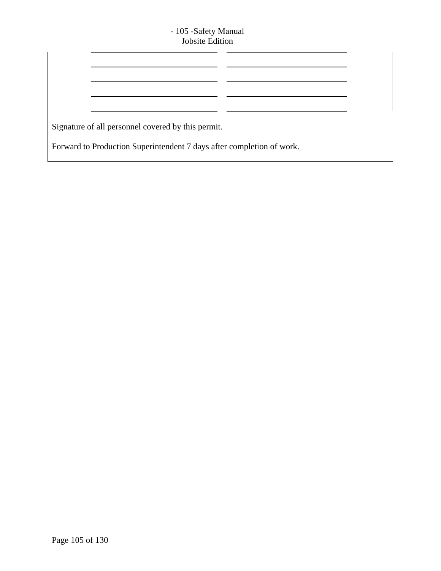#### - 105 -Safety Manual Jobsite Edition

| Signature of all personnel covered by this permit.                    |  |  |  |  |  |
|-----------------------------------------------------------------------|--|--|--|--|--|
| Forward to Production Superintendent 7 days after completion of work. |  |  |  |  |  |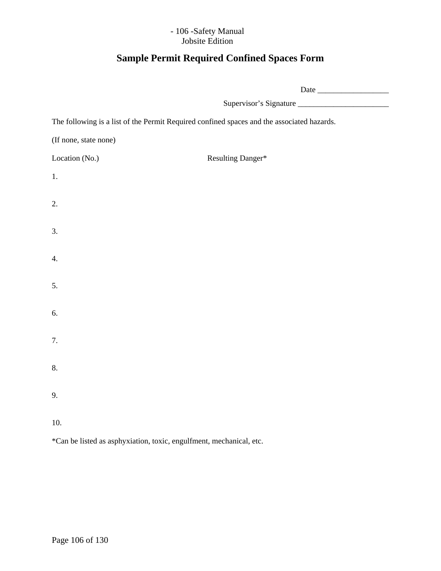#### - 106 -Safety Manual Jobsite Edition

# **Sample Permit Required Confined Spaces Form**

Date \_\_\_\_\_\_\_\_\_\_\_\_\_\_\_\_\_\_

Supervisor's Signature

The following is a list of the Permit Required confined spaces and the associated hazards.

| (If none, state none) |                   |
|-----------------------|-------------------|
| Location (No.)        | Resulting Danger* |
| $1.$                  |                   |
| 2.                    |                   |
| 3.                    |                   |
| 4.                    |                   |
| 5.                    |                   |
| 6.                    |                   |
| 7.                    |                   |
| 8.                    |                   |
| 9.                    |                   |
| $10.$                 |                   |

\*Can be listed as asphyxiation, toxic, engulfment, mechanical, etc.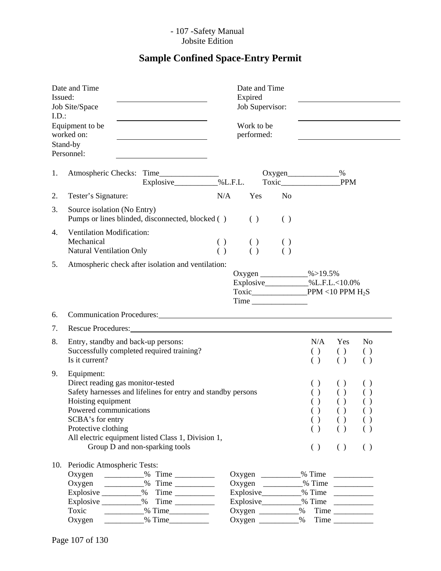#### - 107 -Safety Manual Jobsite Edition

# **Sample Confined Space-Entry Permit**

| Date and Time<br>Issued:<br>Job Site/Space<br>$I.D.$ :<br>the contract of the contract of the contract of the contract of the contract of<br>Equipment to be<br>worked on:<br>Stand-by<br>Personnel: |                                                                                                                                                                                                                                                                                                    | Date and Time<br>Expired<br>Job Supervisor:<br>Work to be<br>performed: |                                        |                           |                                                                                               |                                                              | <u> 1989 - Johann Barbara, martin amerikan basar dan basa dan basa dan basa dalam basa dalam basa dalam basa dala</u>                                                                                                                                |
|------------------------------------------------------------------------------------------------------------------------------------------------------------------------------------------------------|----------------------------------------------------------------------------------------------------------------------------------------------------------------------------------------------------------------------------------------------------------------------------------------------------|-------------------------------------------------------------------------|----------------------------------------|---------------------------|-----------------------------------------------------------------------------------------------|--------------------------------------------------------------|------------------------------------------------------------------------------------------------------------------------------------------------------------------------------------------------------------------------------------------------------|
| 1.                                                                                                                                                                                                   |                                                                                                                                                                                                                                                                                                    |                                                                         |                                        |                           |                                                                                               | %                                                            |                                                                                                                                                                                                                                                      |
|                                                                                                                                                                                                      | Explosive____________%L.F.L.                                                                                                                                                                                                                                                                       |                                                                         |                                        |                           | <b>PPM</b>                                                                                    |                                                              |                                                                                                                                                                                                                                                      |
| 2.                                                                                                                                                                                                   | Tester's Signature:                                                                                                                                                                                                                                                                                | N/A                                                                     | Yes                                    | N <sub>o</sub>            |                                                                                               |                                                              |                                                                                                                                                                                                                                                      |
| 3.                                                                                                                                                                                                   | Source isolation (No Entry)<br>Pumps or lines blinded, disconnected, blocked ()                                                                                                                                                                                                                    |                                                                         | $\left( \quad \right)$                 | $\left( \quad \right)$    |                                                                                               |                                                              |                                                                                                                                                                                                                                                      |
| 4.                                                                                                                                                                                                   | Ventilation Modification:                                                                                                                                                                                                                                                                          |                                                                         |                                        |                           |                                                                                               |                                                              |                                                                                                                                                                                                                                                      |
|                                                                                                                                                                                                      | Mechanical                                                                                                                                                                                                                                                                                         | ( )<br>( )                                                              | $\begin{pmatrix} 1 \\ 0 \end{pmatrix}$ | $\left( \ \right)$<br>( ) |                                                                                               |                                                              |                                                                                                                                                                                                                                                      |
|                                                                                                                                                                                                      | Natural Ventilation Only                                                                                                                                                                                                                                                                           |                                                                         |                                        |                           |                                                                                               |                                                              |                                                                                                                                                                                                                                                      |
| 5.                                                                                                                                                                                                   | Atmospheric check after isolation and ventilation:                                                                                                                                                                                                                                                 |                                                                         |                                        |                           | Oxygen ___________%>19.5%<br>Explosive____________%L.F.L.<10.0%<br>$Toxic$ PPM <10 PPM $H_2S$ |                                                              |                                                                                                                                                                                                                                                      |
| 6.                                                                                                                                                                                                   | Communication Procedures: 2000 and 2000 and 2000 and 2000 and 2000 and 2000 and 2000 and 2000 and 2000 and 200                                                                                                                                                                                     |                                                                         |                                        |                           |                                                                                               |                                                              |                                                                                                                                                                                                                                                      |
| 7.                                                                                                                                                                                                   |                                                                                                                                                                                                                                                                                                    |                                                                         |                                        |                           |                                                                                               |                                                              |                                                                                                                                                                                                                                                      |
| 8.                                                                                                                                                                                                   | Entry, standby and back-up persons:<br>Successfully completed required training?<br>Is it current?                                                                                                                                                                                                 |                                                                         |                                        |                           | N/A<br>( )<br>$\left( \quad \right)$                                                          | Yes<br>( )<br>( )                                            | N <sub>0</sub><br>$\left( \ \right)$<br>$\left( \ \right)$                                                                                                                                                                                           |
| 9.                                                                                                                                                                                                   | Equipment:<br>Direct reading gas monitor-tested<br>Safety harnesses and lifelines for entry and standby persons<br>Hoisting equipment<br>Powered communications<br>SCBA's for entry<br>Protective clothing<br>All electric equipment listed Class 1, Division 1,<br>Group D and non-sparking tools |                                                                         |                                        |                           | ( )<br>( )<br>( )<br>$\left( \ \right)$<br>$\left( \ \right)$<br>( )<br>$\left( \ \right)$    | ( )<br>( )<br>( )<br>$(\ )$<br>( )<br>$\left( \quad \right)$ | $\left( \ \right)$<br>$\left( \begin{array}{c} 1 \end{array} \right)$<br>$\left( \begin{array}{c} 1 \end{array} \right)$<br>$\left( \begin{array}{c} 1 \end{array} \right)$<br>$\left( \begin{array}{c} 1 \end{array} \right)$<br>$\left( \ \right)$ |
|                                                                                                                                                                                                      | 10. Periodic Atmospheric Tests:<br>Oxygen $\_\_\_\_\_$ % Time $\_\_\_\_\_\_\_\_\_\_$<br>$\frac{\ }{\ }$ % Time<br>Toxic                                                                                                                                                                            |                                                                         | Oxygen ___________%<br>Oxygen          |                           | Oxygen $\frac{\ }{\ }$ W Time<br>$%$ Time $\frac{$                                            | Time                                                         |                                                                                                                                                                                                                                                      |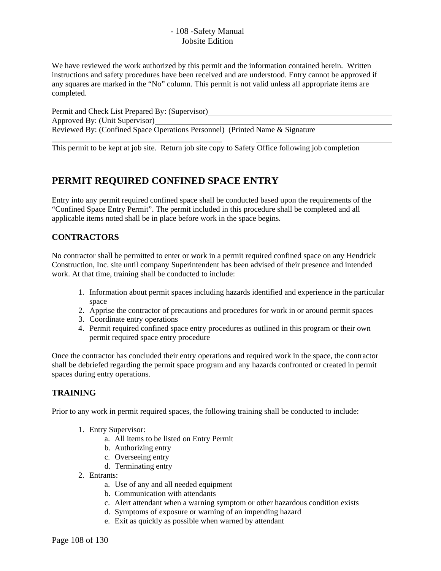#### - 108 -Safety Manual Jobsite Edition

We have reviewed the work authorized by this permit and the information contained herein. Written instructions and safety procedures have been received and are understood. Entry cannot be approved if any squares are marked in the "No" column. This permit is not valid unless all appropriate items are completed.

Permit and Check List Prepared By: (Supervisor) Approved By: (Unit Supervisor) Reviewed By: (Confined Space Operations Personnel) (Printed Name & Signature

This permit to be kept at job site. Return job site copy to Safety Office following job completion

## **PERMIT REQUIRED CONFINED SPACE ENTRY**

\_\_\_\_\_\_\_\_\_\_\_\_\_\_\_\_\_\_\_\_\_\_\_\_\_\_\_\_\_\_\_\_\_\_\_\_\_\_\_\_\_\_\_

Entry into any permit required confined space shall be conducted based upon the requirements of the "Confined Space Entry Permit". The permit included in this procedure shall be completed and all applicable items noted shall be in place before work in the space begins.

#### **CONTRACTORS**

No contractor shall be permitted to enter or work in a permit required confined space on any Hendrick Construction, Inc. site until company Superintendent has been advised of their presence and intended work. At that time, training shall be conducted to include:

- 1. Information about permit spaces including hazards identified and experience in the particular space
- 2. Apprise the contractor of precautions and procedures for work in or around permit spaces
- 3. Coordinate entry operations
- 4. Permit required confined space entry procedures as outlined in this program or their own permit required space entry procedure

Once the contractor has concluded their entry operations and required work in the space, the contractor shall be debriefed regarding the permit space program and any hazards confronted or created in permit spaces during entry operations.

#### **TRAINING**

Prior to any work in permit required spaces, the following training shall be conducted to include:

- 1. Entry Supervisor:
	- a. All items to be listed on Entry Permit
	- b. Authorizing entry
	- c. Overseeing entry
	- d. Terminating entry
- 2. Entrants:
	- a. Use of any and all needed equipment
	- b. Communication with attendants
	- c. Alert attendant when a warning symptom or other hazardous condition exists
	- d. Symptoms of exposure or warning of an impending hazard
	- e. Exit as quickly as possible when warned by attendant

Page 108 of 130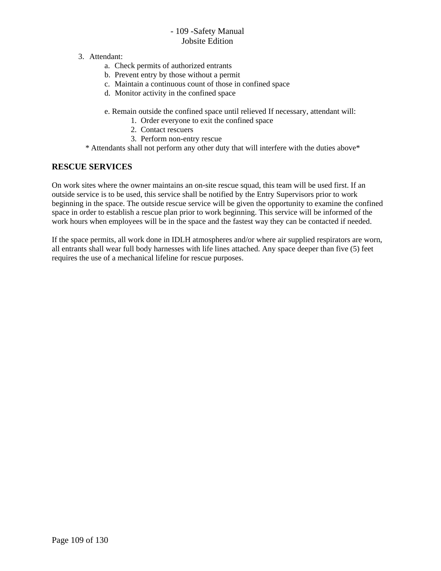## - 109 -Safety Manual Jobsite Edition

- 3. Attendant:
	- a. Check permits of authorized entrants
	- b. Prevent entry by those without a permit
	- c. Maintain a continuous count of those in confined space
	- d. Monitor activity in the confined space
	- e. Remain outside the confined space until relieved If necessary, attendant will:
		- 1. Order everyone to exit the confined space
		- 2. Contact rescuers
		- 3. Perform non-entry rescue
	- *\** Attendants shall not perform any other duty that will interfere with the duties above\*

## **RESCUE SERVICES**

On work sites where the owner maintains an on-site rescue squad, this team will be used first. If an outside service is to be used, this service shall be notified by the Entry Supervisors prior to work beginning in the space. The outside rescue service will be given the opportunity to examine the confined space in order to establish a rescue plan prior to work beginning. This service will be informed of the work hours when employees will be in the space and the fastest way they can be contacted if needed.

If the space permits, all work done in IDLH atmospheres and/or where air supplied respirators are worn, all entrants shall wear full body harnesses with life lines attached. Any space deeper than five (5) feet requires the use of a mechanical lifeline for rescue purposes.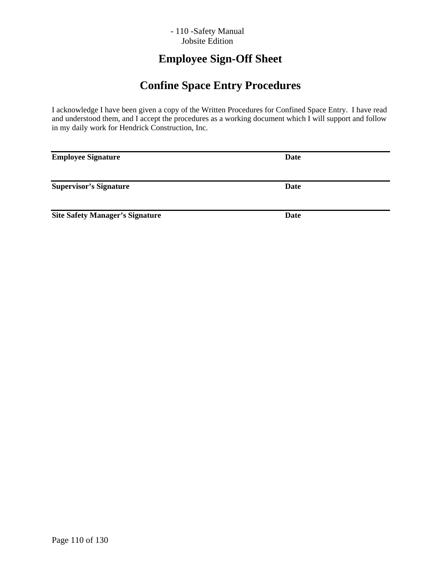## - 110 -Safety Manual Jobsite Edition

# **Employee Sign-Off Sheet**

# **Confine Space Entry Procedures**

I acknowledge I have been given a copy of the Written Procedures for Confined Space Entry. I have read and understood them, and I accept the procedures as a working document which I will support and follow in my daily work for Hendrick Construction, Inc.

| <b>Employee Signature</b>              | Date |  |
|----------------------------------------|------|--|
|                                        |      |  |
| <b>Supervisor's Signature</b>          | Date |  |
|                                        |      |  |
| <b>Site Safety Manager's Signature</b> | Date |  |
|                                        |      |  |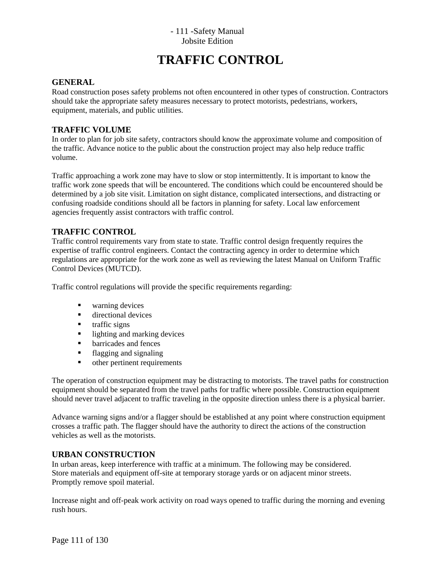## - 111 -Safety Manual Jobsite Edition

# **TRAFFIC CONTROL**

## **GENERAL**

Road construction poses safety problems not often encountered in other types of construction. Contractors should take the appropriate safety measures necessary to protect motorists, pedestrians, workers, equipment, materials, and public utilities.

## **TRAFFIC VOLUME**

In order to plan for job site safety, contractors should know the approximate volume and composition of the traffic. Advance notice to the public about the construction project may also help reduce traffic volume.

Traffic approaching a work zone may have to slow or stop intermittently. It is important to know the traffic work zone speeds that will be encountered. The conditions which could be encountered should be determined by a job site visit. Limitation on sight distance, complicated intersections, and distracting or confusing roadside conditions should all be factors in planning for safety. Local law enforcement agencies frequently assist contractors with traffic control.

## **TRAFFIC CONTROL**

Traffic control requirements vary from state to state. Traffic control design frequently requires the expertise of traffic control engineers. Contact the contracting agency in order to determine which regulations are appropriate for the work zone as well as reviewing the latest Manual on Uniform Traffic Control Devices (MUTCD).

Traffic control regulations will provide the specific requirements regarding:

- warning devices
- directional devices
- traffic signs
- lighting and marking devices
- barricades and fences
- flagging and signaling
- other pertinent requirements

The operation of construction equipment may be distracting to motorists. The travel paths for construction equipment should be separated from the travel paths for traffic where possible. Construction equipment should never travel adjacent to traffic traveling in the opposite direction unless there is a physical barrier.

Advance warning signs and/or a flagger should be established at any point where construction equipment crosses a traffic path. The flagger should have the authority to direct the actions of the construction vehicles as well as the motorists.

## **URBAN CONSTRUCTION**

In urban areas, keep interference with traffic at a minimum. The following may be considered. Store materials and equipment off-site at temporary storage yards or on adjacent minor streets. Promptly remove spoil material.

Increase night and off-peak work activity on road ways opened to traffic during the morning and evening rush hours.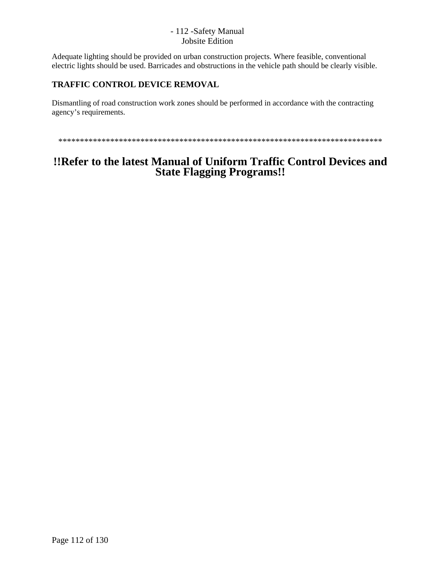## - 112 -Safety Manual Jobsite Edition

Adequate lighting should be provided on urban construction projects. Where feasible, conventional electric lights should be used. Barricades and obstructions in the vehicle path should be clearly visible.

## **TRAFFIC CONTROL DEVICE REMOVAL**

Dismantling of road construction work zones should be performed in accordance with the contracting agency's requirements.

\*\*\*\*\*\*\*\*\*\*\*\*\*\*\*\*\*\*\*\*\*\*\*\*\*\*\*\*\*\*\*\*\*\*\*\*\*\*\*\*\*\*\*\*\*\*\*\*\*\*\*\*\*\*\*\*\*\*\*\*\*\*\*\*\*\*\*\*\*\*\*\*\*\*\*

## **!!Refer to the latest Manual of Uniform Traffic Control Devices and State Flagging Programs!!**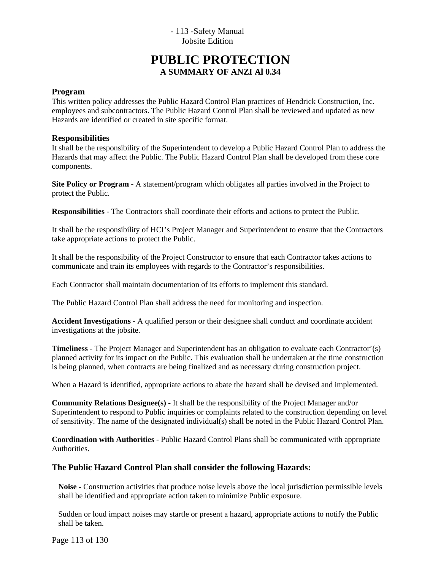## - 113 -Safety Manual Jobsite Edition

# **PUBLIC PROTECTION A SUMMARY OF ANZI Al 0.34**

#### **Program**

This written policy addresses the Public Hazard Control Plan practices of Hendrick Construction, Inc. employees and subcontractors. The Public Hazard Control Plan shall be reviewed and updated as new Hazards are identified or created in site specific format.

#### **Responsibilities**

It shall be the responsibility of the Superintendent to develop a Public Hazard Control Plan to address the Hazards that may affect the Public. The Public Hazard Control Plan shall be developed from these core components.

**Site Policy or Program -** A statement/program which obligates all parties involved in the Project to protect the Public.

**Responsibilities -** The Contractors shall coordinate their efforts and actions to protect the Public.

It shall be the responsibility of HCI's Project Manager and Superintendent to ensure that the Contractors take appropriate actions to protect the Public.

It shall be the responsibility of the Project Constructor to ensure that each Contractor takes actions to communicate and train its employees with regards to the Contractor's responsibilities.

Each Contractor shall maintain documentation of its efforts to implement this standard.

The Public Hazard Control Plan shall address the need for monitoring and inspection.

**Accident Investigations -** A qualified person or their designee shall conduct and coordinate accident investigations at the jobsite.

**Timeliness -** The Project Manager and Superintendent has an obligation to evaluate each Contractor'(s) planned activity for its impact on the Public. This evaluation shall be undertaken at the time construction is being planned, when contracts are being finalized and as necessary during construction project.

When a Hazard is identified, appropriate actions to abate the hazard shall be devised and implemented.

**Community Relations Designee(s) -** It shall be the responsibility of the Project Manager and/or Superintendent to respond to Public inquiries or complaints related to the construction depending on level of sensitivity. The name of the designated individual(s) shall be noted in the Public Hazard Control Plan.

**Coordination with Authorities -** Public Hazard Control Plans shall be communicated with appropriate Authorities.

#### **The Public Hazard Control Plan shall consider the following Hazards:**

**Noise -** Construction activities that produce noise levels above the local jurisdiction permissible levels shall be identified and appropriate action taken to minimize Public exposure.

Sudden or loud impact noises may startle or present a hazard, appropriate actions to notify the Public shall be taken.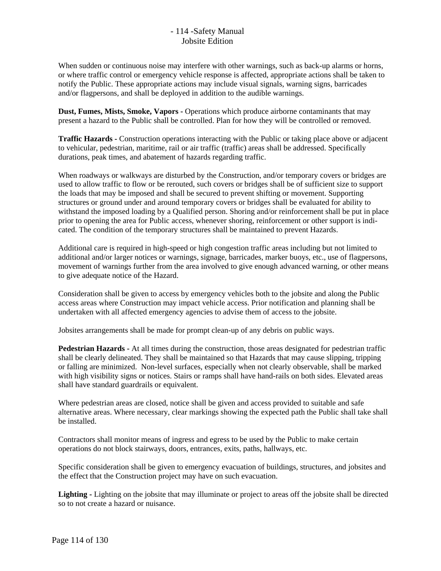When sudden or continuous noise may interfere with other warnings, such as back-up alarms or horns, or where traffic control or emergency vehicle response is affected, appropriate actions shall be taken to notify the Public. These appropriate actions may include visual signals, warning signs, barricades and/or flagpersons, and shall be deployed in addition to the audible warnings.

**Dust, Fumes, Mists, Smoke, Vapors -** Operations which produce airborne contaminants that may present a hazard to the Public shall be controlled. Plan for how they will be controlled or removed.

**Traffic Hazards -** Construction operations interacting with the Public or taking place above or adjacent to vehicular, pedestrian, maritime, rail or air traffic (traffic) areas shall be addressed. Specifically durations, peak times, and abatement of hazards regarding traffic.

When roadways or walkways are disturbed by the Construction, and/or temporary covers or bridges are used to allow traffic to flow or be rerouted, such covers or bridges shall be of sufficient size to support the loads that may be imposed and shall be secured to prevent shifting or movement. Supporting structures or ground under and around temporary covers or bridges shall be evaluated for ability to withstand the imposed loading by a Qualified person. Shoring and/or reinforcement shall be put in place prior to opening the area for Public access, whenever shoring, reinforcement or other support is indicated. The condition of the temporary structures shall be maintained to prevent Hazards.

Additional care is required in high-speed or high congestion traffic areas including but not limited to additional and/or larger notices or warnings, signage, barricades, marker buoys, etc., use of flagpersons, movement of warnings further from the area involved to give enough advanced warning, or other means to give adequate notice of the Hazard.

Consideration shall be given to access by emergency vehicles both to the jobsite and along the Public access areas where Construction may impact vehicle access. Prior notification and planning shall be undertaken with all affected emergency agencies to advise them of access to the jobsite.

Jobsites arrangements shall be made for prompt clean-up of any debris on public ways.

**Pedestrian Hazards -** At all times during the construction, those areas designated for pedestrian traffic shall be clearly delineated. They shall be maintained so that Hazards that may cause slipping, tripping or falling are minimized. Non-level surfaces, especially when not clearly observable, shall be marked with high visibility signs or notices. Stairs or ramps shall have hand-rails on both sides. Elevated areas shall have standard guardrails or equivalent.

Where pedestrian areas are closed, notice shall be given and access provided to suitable and safe alternative areas. Where necessary, clear markings showing the expected path the Public shall take shall be installed.

Contractors shall monitor means of ingress and egress to be used by the Public to make certain operations do not block stairways, doors, entrances, exits, paths, hallways, etc.

Specific consideration shall be given to emergency evacuation of buildings, structures, and jobsites and the effect that the Construction project may have on such evacuation.

**Lighting -** Lighting on the jobsite that may illuminate or project to areas off the jobsite shall be directed so to not create a hazard or nuisance.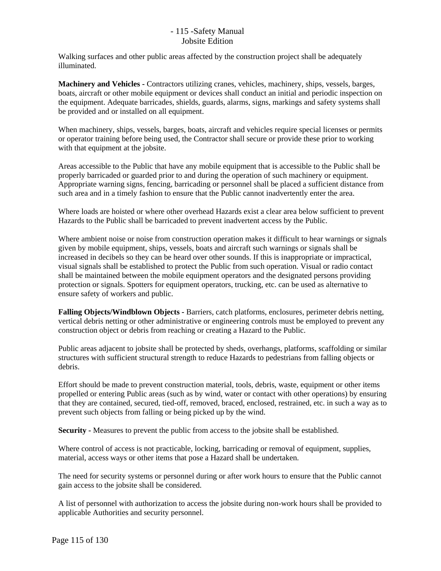## - 115 -Safety Manual Jobsite Edition

Walking surfaces and other public areas affected by the construction project shall be adequately illuminated.

**Machinery and Vehicles -** Contractors utilizing cranes, vehicles, machinery, ships, vessels, barges, boats, aircraft or other mobile equipment or devices shall conduct an initial and periodic inspection on the equipment. Adequate barricades, shields, guards, alarms, signs, markings and safety systems shall be provided and or installed on all equipment.

When machinery, ships, vessels, barges, boats, aircraft and vehicles require special licenses or permits or operator training before being used, the Contractor shall secure or provide these prior to working with that equipment at the jobsite.

Areas accessible to the Public that have any mobile equipment that is accessible to the Public shall be properly barricaded or guarded prior to and during the operation of such machinery or equipment. Appropriate warning signs, fencing, barricading or personnel shall be placed a sufficient distance from such area and in a timely fashion to ensure that the Public cannot inadvertently enter the area.

Where loads are hoisted or where other overhead Hazards exist a clear area below sufficient to prevent Hazards to the Public shall be barricaded to prevent inadvertent access by the Public.

Where ambient noise or noise from construction operation makes it difficult to hear warnings or signals given by mobile equipment, ships, vessels, boats and aircraft such warnings or signals shall be increased in decibels so they can be heard over other sounds. If this is inappropriate or impractical, visual signals shall be established to protect the Public from such operation. Visual or radio contact shall be maintained between the mobile equipment operators and the designated persons providing protection or signals. Spotters for equipment operators, trucking, etc. can be used as alternative to ensure safety of workers and public.

**Falling Objects/Windblown Objects -** Barriers, catch platforms, enclosures, perimeter debris netting, vertical debris netting or other administrative or engineering controls must be employed to prevent any construction object or debris from reaching or creating a Hazard to the Public.

Public areas adjacent to jobsite shall be protected by sheds, overhangs, platforms, scaffolding or similar structures with sufficient structural strength to reduce Hazards to pedestrians from falling objects or debris.

Effort should be made to prevent construction material, tools, debris, waste, equipment or other items propelled or entering Public areas (such as by wind, water or contact with other operations) by ensuring that they are contained, secured, tied-off, removed, braced, enclosed, restrained, etc. in such a way as to prevent such objects from falling or being picked up by the wind.

**Security -** Measures to prevent the public from access to the jobsite shall be established.

Where control of access is not practicable, locking, barricading or removal of equipment, supplies, material, access ways or other items that pose a Hazard shall be undertaken.

The need for security systems or personnel during or after work hours to ensure that the Public cannot gain access to the jobsite shall be considered.

A list of personnel with authorization to access the jobsite during non-work hours shall be provided to applicable Authorities and security personnel.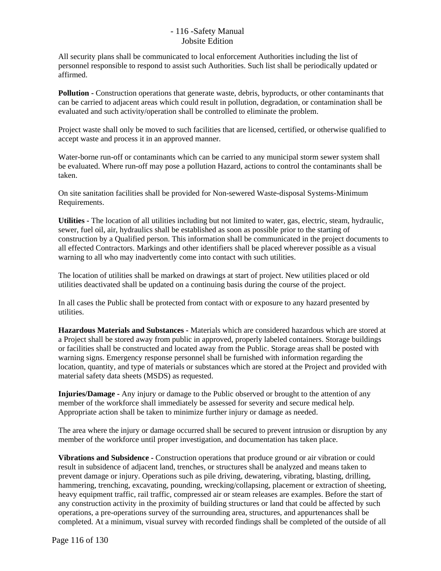## - 116 -Safety Manual Jobsite Edition

All security plans shall be communicated to local enforcement Authorities including the list of personnel responsible to respond to assist such Authorities. Such list shall be periodically updated or affirmed.

**Pollution -** Construction operations that generate waste, debris, byproducts, or other contaminants that can be carried to adjacent areas which could result in pollution, degradation, or contamination shall be evaluated and such activity/operation shall be controlled to eliminate the problem.

Project waste shall only be moved to such facilities that are licensed, certified, or otherwise qualified to accept waste and process it in an approved manner.

Water-borne run-off or contaminants which can be carried to any municipal storm sewer system shall be evaluated. Where run-off may pose a pollution Hazard, actions to control the contaminants shall be taken.

On site sanitation facilities shall be provided for Non-sewered Waste-disposal Systems-Minimum Requirements.

**Utilities -** The location of all utilities including but not limited to water, gas, electric, steam, hydraulic, sewer, fuel oil, air, hydraulics shall be established as soon as possible prior to the starting of construction by a Qualified person. This information shall be communicated in the project documents to all effected Contractors. Markings and other identifiers shall be placed wherever possible as a visual warning to all who may inadvertently come into contact with such utilities.

The location of utilities shall be marked on drawings at start of project. New utilities placed or old utilities deactivated shall be updated on a continuing basis during the course of the project.

In all cases the Public shall be protected from contact with or exposure to any hazard presented by utilities.

**Hazardous Materials and Substances -** Materials which are considered hazardous which are stored at a Project shall be stored away from public in approved, properly labeled containers. Storage buildings or facilities shall be constructed and located away from the Public. Storage areas shall be posted with warning signs. Emergency response personnel shall be furnished with information regarding the location, quantity, and type of materials or substances which are stored at the Project and provided with material safety data sheets (MSDS) as requested.

**Injuries/Damage -** Any injury or damage to the Public observed or brought to the attention of any member of the workforce shall immediately be assessed for severity and secure medical help. Appropriate action shall be taken to minimize further injury or damage as needed.

The area where the injury or damage occurred shall be secured to prevent intrusion or disruption by any member of the workforce until proper investigation, and documentation has taken place.

**Vibrations and Subsidence -** Construction operations that produce ground or air vibration or could result in subsidence of adjacent land, trenches, or structures shall be analyzed and means taken to prevent damage or injury. Operations such as pile driving, dewatering, vibrating, blasting, drilling, hammering, trenching, excavating, pounding, wrecking/collapsing, placement or extraction of sheeting, heavy equipment traffic, rail traffic, compressed air or steam releases are examples. Before the start of any construction activity in the proximity of building structures or land that could be affected by such operations, a pre-operations survey of the surrounding area, structures, and appurtenances shall be completed. At a minimum, visual survey with recorded findings shall be completed of the outside of all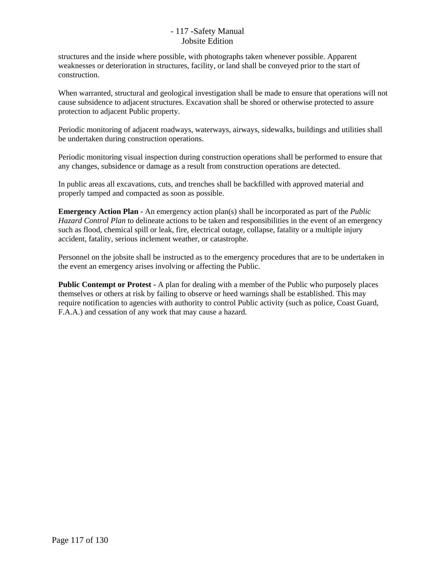## - 117 -Safety Manual Jobsite Edition

structures and the inside where possible, with photographs taken whenever possible. Apparent weaknesses or deterioration in structures, facility, or land shall be conveyed prior to the start of construction.

When warranted, structural and geological investigation shall be made to ensure that operations will not cause subsidence to adjacent structures. Excavation shall be shored or otherwise protected to assure protection to adjacent Public property.

Periodic monitoring of adjacent roadways, waterways, airways, sidewalks, buildings and utilities shall be undertaken during construction operations.

Periodic monitoring visual inspection during construction operations shall be performed to ensure that any changes, subsidence or damage as a result from construction operations are detected.

In public areas all excavations, cuts, and trenches shall be backfilled with approved material and properly tamped and compacted as soon as possible.

**Emergency Action Plan -** An emergency action plan(s) shall be incorporated as part of the *Public Hazard Control Plan* to delineate actions to be taken and responsibilities in the event of an emergency such as flood, chemical spill or leak, fire, electrical outage, collapse, fatality or a multiple injury accident, fatality, serious inclement weather, or catastrophe.

Personnel on the jobsite shall be instructed as to the emergency procedures that are to be undertaken in the event an emergency arises involving or affecting the Public.

**Public Contempt or Protest -** A plan for dealing with a member of the Public who purposely places themselves or others at risk by failing to observe or heed warnings shall be established. This may require notification to agencies with authority to control Public activity (such as police, Coast Guard, F.A.A.) and cessation of any work that may cause a hazard.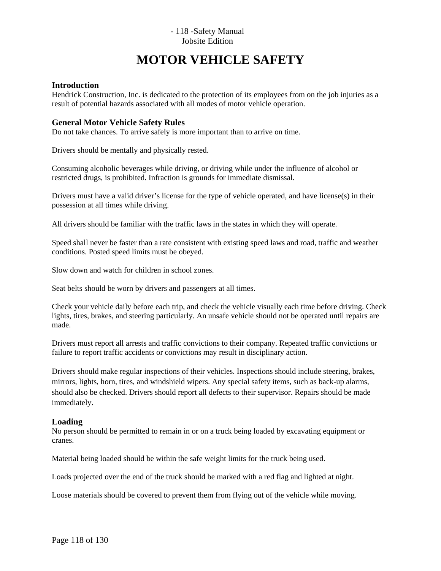## - 118 -Safety Manual Jobsite Edition

# **MOTOR VEHICLE SAFETY**

#### **Introduction**

Hendrick Construction, Inc. is dedicated to the protection of its employees from on the job injuries as a result of potential hazards associated with all modes of motor vehicle operation.

### **General Motor Vehicle Safety Rules**

Do not take chances. To arrive safely is more important than to arrive on time.

Drivers should be mentally and physically rested.

Consuming alcoholic beverages while driving, or driving while under the influence of alcohol or restricted drugs, is prohibited. Infraction is grounds for immediate dismissal.

Drivers must have a valid driver's license for the type of vehicle operated, and have license(s) in their possession at all times while driving.

All drivers should be familiar with the traffic laws in the states in which they will operate.

Speed shall never be faster than a rate consistent with existing speed laws and road, traffic and weather conditions. Posted speed limits must be obeyed.

Slow down and watch for children in school zones.

Seat belts should be worn by drivers and passengers at all times.

Check your vehicle daily before each trip, and check the vehicle visually each time before driving. Check lights, tires, brakes, and steering particularly. An unsafe vehicle should not be operated until repairs are made.

Drivers must report all arrests and traffic convictions to their company. Repeated traffic convictions or failure to report traffic accidents or convictions may result in disciplinary action.

Drivers should make regular inspections of their vehicles. Inspections should include steering, brakes, mirrors, lights, horn, tires, and windshield wipers. Any special safety items, such as back-up alarms, should also be checked. Drivers should report all defects to their supervisor. Repairs should be made immediately.

#### **Loading**

No person should be permitted to remain in or on a truck being loaded by excavating equipment or cranes.

Material being loaded should be within the safe weight limits for the truck being used.

Loads projected over the end of the truck should be marked with a red flag and lighted at night.

Loose materials should be covered to prevent them from flying out of the vehicle while moving.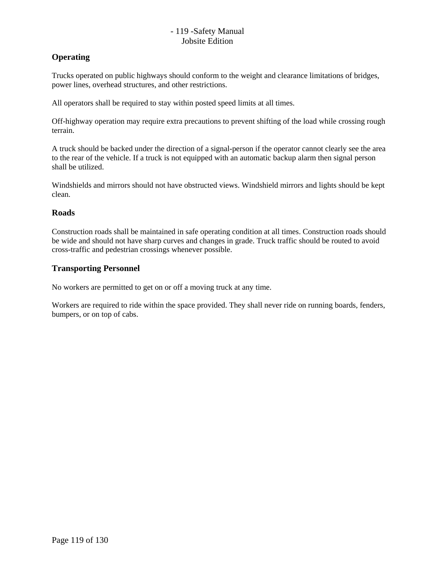## - 119 -Safety Manual Jobsite Edition

## **Operating**

Trucks operated on public highways should conform to the weight and clearance limitations of bridges, power lines, overhead structures, and other restrictions.

All operators shall be required to stay within posted speed limits at all times.

Off-highway operation may require extra precautions to prevent shifting of the load while crossing rough terrain.

A truck should be backed under the direction of a signal-person if the operator cannot clearly see the area to the rear of the vehicle. If a truck is not equipped with an automatic backup alarm then signal person shall be utilized.

Windshields and mirrors should not have obstructed views. Windshield mirrors and lights should be kept clean.

## **Roads**

Construction roads shall be maintained in safe operating condition at all times. Construction roads should be wide and should not have sharp curves and changes in grade. Truck traffic should be routed to avoid cross-traffic and pedestrian crossings whenever possible.

## **Transporting Personnel**

No workers are permitted to get on or off a moving truck at any time.

Workers are required to ride within the space provided. They shall never ride on running boards, fenders, bumpers, or on top of cabs.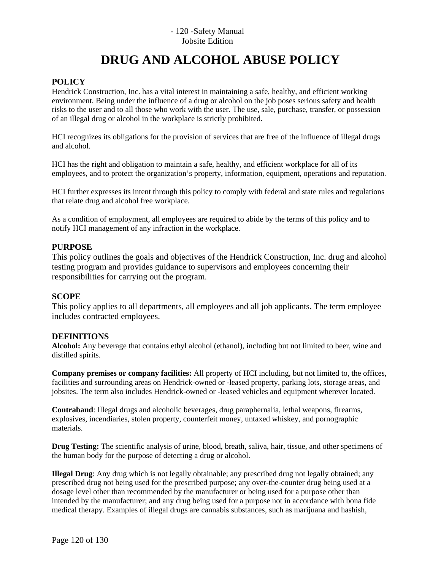# **DRUG AND ALCOHOL ABUSE POLICY**

## **POLICY**

Hendrick Construction, Inc. has a vital interest in maintaining a safe, healthy, and efficient working environment. Being under the influence of a drug or alcohol on the job poses serious safety and health risks to the user and to all those who work with the user. The use, sale, purchase, transfer, or possession of an illegal drug or alcohol in the workplace is strictly prohibited.

HCI recognizes its obligations for the provision of services that are free of the influence of illegal drugs and alcohol.

HCI has the right and obligation to maintain a safe, healthy, and efficient workplace for all of its employees, and to protect the organization's property, information, equipment, operations and reputation.

HCI further expresses its intent through this policy to comply with federal and state rules and regulations that relate drug and alcohol free workplace.

As a condition of employment, all employees are required to abide by the terms of this policy and to notify HCI management of any infraction in the workplace.

## **PURPOSE**

This policy outlines the goals and objectives of the Hendrick Construction, Inc. drug and alcohol testing program and provides guidance to supervisors and employees concerning their responsibilities for carrying out the program.

## **SCOPE**

This policy applies to all departments, all employees and all job applicants. The term employee includes contracted employees.

## **DEFINITIONS**

**Alcohol:** Any beverage that contains ethyl alcohol (ethanol), including but not limited to beer, wine and distilled spirits.

**Company premises or company facilities:** All property of HCI including, but not limited to, the offices, facilities and surrounding areas on Hendrick-owned or -leased property, parking lots, storage areas, and jobsites. The term also includes Hendrick-owned or -leased vehicles and equipment wherever located.

**Contraband**: Illegal drugs and alcoholic beverages, drug paraphernalia, lethal weapons, firearms, explosives, incendiaries, stolen property, counterfeit money, untaxed whiskey, and pornographic materials.

**Drug Testing:** The scientific analysis of urine, blood, breath, saliva, hair, tissue, and other specimens of the human body for the purpose of detecting a drug or alcohol.

**Illegal Drug**: Any drug which is not legally obtainable; any prescribed drug not legally obtained; any prescribed drug not being used for the prescribed purpose; any over-the-counter drug being used at a dosage level other than recommended by the manufacturer or being used for a purpose other than intended by the manufacturer; and any drug being used for a purpose not in accordance with bona fide medical therapy. Examples of illegal drugs are cannabis substances, such as marijuana and hashish,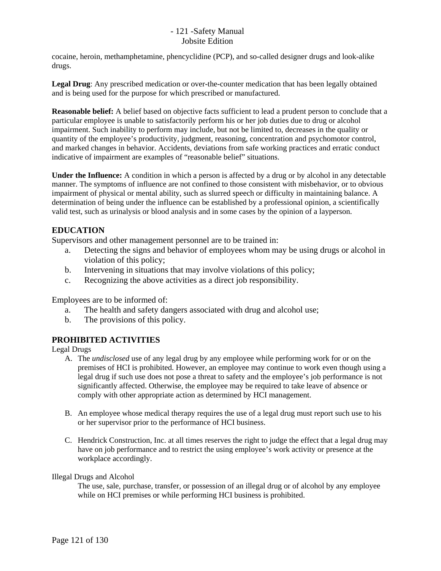## - 121 -Safety Manual Jobsite Edition

cocaine, heroin, methamphetamine, phencyclidine (PCP), and so-called designer drugs and look-alike drugs.

**Legal Drug**: Any prescribed medication or over-the-counter medication that has been legally obtained and is being used for the purpose for which prescribed or manufactured.

**Reasonable belief:** A belief based on objective facts sufficient to lead a prudent person to conclude that a particular employee is unable to satisfactorily perform his or her job duties due to drug or alcohol impairment. Such inability to perform may include, but not be limited to, decreases in the quality or quantity of the employee's productivity, judgment, reasoning, concentration and psychomotor control, and marked changes in behavior. Accidents, deviations from safe working practices and erratic conduct indicative of impairment are examples of "reasonable belief" situations.

**Under the Influence:** A condition in which a person is affected by a drug or by alcohol in any detectable manner. The symptoms of influence are not confined to those consistent with misbehavior, or to obvious impairment of physical or mental ability, such as slurred speech or difficulty in maintaining balance. A determination of being under the influence can be established by a professional opinion, a scientifically valid test, such as urinalysis or blood analysis and in some cases by the opinion of a layperson.

## **EDUCATION**

Supervisors and other management personnel are to be trained in:

- a. Detecting the signs and behavior of employees whom may be using drugs or alcohol in violation of this policy;
- b. Intervening in situations that may involve violations of this policy;
- c. Recognizing the above activities as a direct job responsibility.

Employees are to be informed of:

- a. The health and safety dangers associated with drug and alcohol use;
- b. The provisions of this policy.

## **PROHIBITED ACTIVITIES**

Legal Drugs

- A. The *undisclosed* use of any legal drug by any employee while performing work for or on the premises of HCI is prohibited. However, an employee may continue to work even though using a legal drug if such use does not pose a threat to safety and the employee's job performance is not significantly affected. Otherwise, the employee may be required to take leave of absence or comply with other appropriate action as determined by HCI management.
- B. An employee whose medical therapy requires the use of a legal drug must report such use to his or her supervisor prior to the performance of HCI business.
- C. Hendrick Construction, Inc. at all times reserves the right to judge the effect that a legal drug may have on job performance and to restrict the using employee's work activity or presence at the workplace accordingly.

Illegal Drugs and Alcohol

The use, sale, purchase, transfer, or possession of an illegal drug or of alcohol by any employee while on HCI premises or while performing HCI business is prohibited.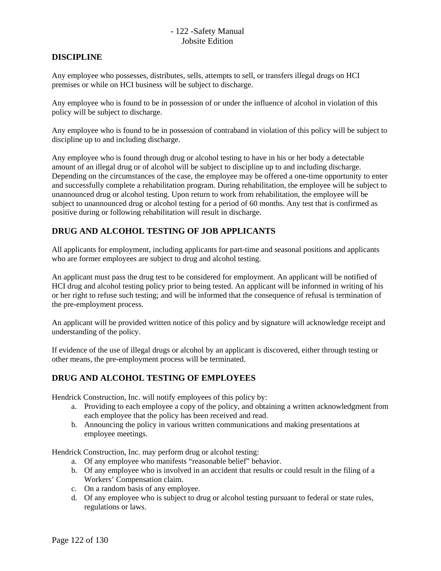## - 122 -Safety Manual Jobsite Edition

### **DISCIPLINE**

Any employee who possesses, distributes, sells, attempts to sell, or transfers illegal drugs on HCI premises or while on HCI business will be subject to discharge.

Any employee who is found to be in possession of or under the influence of alcohol in violation of this policy will be subject to discharge.

Any employee who is found to be in possession of contraband in violation of this policy will be subject to discipline up to and including discharge.

Any employee who is found through drug or alcohol testing to have in his or her body a detectable amount of an illegal drug or of alcohol will be subject to discipline up to and including discharge. Depending on the circumstances of the case, the employee may be offered a one-time opportunity to enter and successfully complete a rehabilitation program. During rehabilitation, the employee will be subject to unannounced drug or alcohol testing. Upon return to work from rehabilitation, the employee will be subject to unannounced drug or alcohol testing for a period of 60 months. Any test that is confirmed as positive during or following rehabilitation will result in discharge.

## **DRUG AND ALCOHOL TESTING OF JOB APPLICANTS**

All applicants for employment, including applicants for part-time and seasonal positions and applicants who are former employees are subject to drug and alcohol testing.

An applicant must pass the drug test to be considered for employment. An applicant will be notified of HCI drug and alcohol testing policy prior to being tested. An applicant will be informed in writing of his or her right to refuse such testing; and will be informed that the consequence of refusal is termination of the pre-employment process.

An applicant will be provided written notice of this policy and by signature will acknowledge receipt and understanding of the policy.

If evidence of the use of illegal drugs or alcohol by an applicant is discovered, either through testing or other means, the pre-employment process will be terminated.

## **DRUG AND ALCOHOL TESTING OF EMPLOYEES**

Hendrick Construction, Inc. will notify employees of this policy by:

- a. Providing to each employee a copy of the policy, and obtaining a written acknowledgment from each employee that the policy has been received and read.
- b. Announcing the policy in various written communications and making presentations at employee meetings.

Hendrick Construction, Inc. may perform drug or alcohol testing:

- a. Of any employee who manifests "reasonable belief" behavior.
- b. Of any employee who is involved in an accident that results or could result in the filing of a Workers' Compensation claim.
- c. On a random basis of any employee.
- d. Of any employee who is subject to drug or alcohol testing pursuant to federal or state rules, regulations or laws.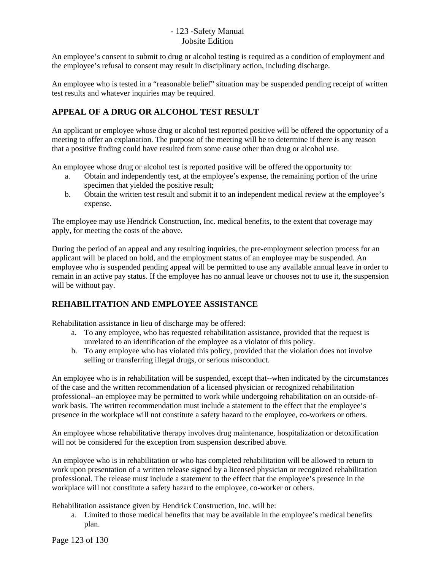## - 123 -Safety Manual Jobsite Edition

An employee's consent to submit to drug or alcohol testing is required as a condition of employment and the employee's refusal to consent may result in disciplinary action, including discharge.

An employee who is tested in a "reasonable belief" situation may be suspended pending receipt of written test results and whatever inquiries may be required.

## **APPEAL OF A DRUG OR ALCOHOL TEST RESULT**

An applicant or employee whose drug or alcohol test reported positive will be offered the opportunity of a meeting to offer an explanation. The purpose of the meeting will be to determine if there is any reason that a positive finding could have resulted from some cause other than drug or alcohol use.

An employee whose drug or alcohol test is reported positive will be offered the opportunity to:

- a. Obtain and independently test, at the employee's expense, the remaining portion of the urine specimen that yielded the positive result;
- b. Obtain the written test result and submit it to an independent medical review at the employee's expense.

The employee may use Hendrick Construction, Inc. medical benefits, to the extent that coverage may apply, for meeting the costs of the above.

During the period of an appeal and any resulting inquiries, the pre-employment selection process for an applicant will be placed on hold, and the employment status of an employee may be suspended. An employee who is suspended pending appeal will be permitted to use any available annual leave in order to remain in an active pay status. If the employee has no annual leave or chooses not to use it, the suspension will be without pay.

## **REHABILITATION AND EMPLOYEE ASSISTANCE**

Rehabilitation assistance in lieu of discharge may be offered:

- a. To any employee, who has requested rehabilitation assistance, provided that the request is unrelated to an identification of the employee as a violator of this policy.
- b. To any employee who has violated this policy, provided that the violation does not involve selling or transferring illegal drugs, or serious misconduct.

An employee who is in rehabilitation will be suspended, except that--when indicated by the circumstances of the case and the written recommendation of a licensed physician or recognized rehabilitation professional--an employee may be permitted to work while undergoing rehabilitation on an outside-ofwork basis. The written recommendation must include a statement to the effect that the employee's presence in the workplace will not constitute a safety hazard to the employee, co-workers or others.

An employee whose rehabilitative therapy involves drug maintenance, hospitalization or detoxification will not be considered for the exception from suspension described above.

An employee who is in rehabilitation or who has completed rehabilitation will be allowed to return to work upon presentation of a written release signed by a licensed physician or recognized rehabilitation professional. The release must include a statement to the effect that the employee's presence in the workplace will not constitute a safety hazard to the employee, co-worker or others.

Rehabilitation assistance given by Hendrick Construction, Inc. will be:

a. Limited to those medical benefits that may be available in the employee's medical benefits plan.

Page 123 of 130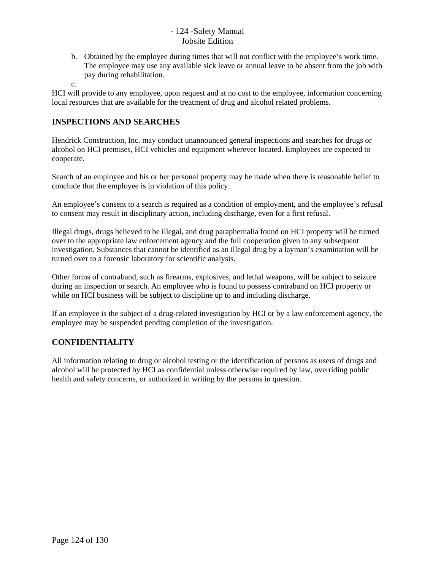## - 124 -Safety Manual Jobsite Edition

b. Obtained by the employee during times that will not conflict with the employee's work time. The employee may use any available sick leave or annual leave to be absent from the job with pay during rehabilitation.

c.

HCI will provide to any employee, upon request and at no cost to the employee, information concerning local resources that are available for the treatment of drug and alcohol related problems.

## **INSPECTIONS AND SEARCHES**

Hendrick Construction, Inc. may conduct unannounced general inspections and searches for drugs or alcohol on HCI premises, HCI vehicles and equipment wherever located. Employees are expected to cooperate.

Search of an employee and his or her personal property may be made when there is reasonable belief to conclude that the employee is in violation of this policy.

An employee's consent to a search is required as a condition of employment, and the employee's refusal to consent may result in disciplinary action, including discharge, even for a first refusal.

Illegal drugs, drugs believed to be illegal, and drug paraphernalia found on HCI property will be turned over to the appropriate law enforcement agency and the full cooperation given to any subsequent investigation. Substances that cannot be identified as an illegal drug by a layman's examination will be turned over to a forensic laboratory for scientific analysis.

Other forms of contraband, such as firearms, explosives, and lethal weapons, will be subject to seizure during an inspection or search. An employee who is found to possess contraband on HCI property or while on HCI business will be subject to discipline up to and including discharge.

If an employee is the subject of a drug-related investigation by HCI or by a law enforcement agency, the employee may be suspended pending completion of the investigation.

## **CONFIDENTIALITY**

All information relating to drug or alcohol testing or the identification of persons as users of drugs and alcohol will be protected by HCI as confidential unless otherwise required by law, overriding public health and safety concerns, or authorized in writing by the persons in question.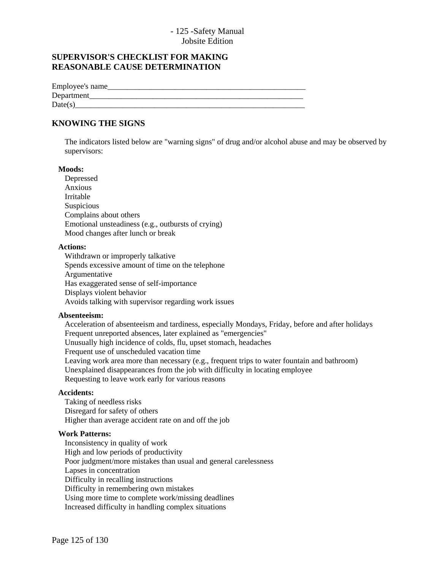## - 125 -Safety Manual Jobsite Edition

## **SUPERVISOR'S CHECKLIST FOR MAKING REASONABLE CAUSE DETERMINATION**

| Employee's name_ |  |  |
|------------------|--|--|
| Department_      |  |  |
| Date(s)          |  |  |

## **KNOWING THE SIGNS**

The indicators listed below are "warning signs" of drug and/or alcohol abuse and may be observed by supervisors:

#### **Moods:**

Depressed Anxious Irritable **Suspicious** Complains about others Emotional unsteadiness (e.g., outbursts of crying) Mood changes after lunch or break

#### **Actions:**

Withdrawn or improperly talkative Spends excessive amount of time on the telephone Argumentative Has exaggerated sense of self-importance Displays violent behavior Avoids talking with supervisor regarding work issues

#### **Absenteeism:**

Acceleration of absenteeism and tardiness, especially Mondays, Friday, before and after holidays Frequent unreported absences, later explained as "emergencies" Unusually high incidence of colds, flu, upset stomach, headaches Frequent use of unscheduled vacation time Leaving work area more than necessary (e.g., frequent trips to water fountain and bathroom) Unexplained disappearances from the job with difficulty in locating employee Requesting to leave work early for various reasons

#### **Accidents:**

Taking of needless risks Disregard for safety of others Higher than average accident rate on and off the job

#### **Work Patterns:**

Inconsistency in quality of work High and low periods of productivity Poor judgment/more mistakes than usual and general carelessness Lapses in concentration Difficulty in recalling instructions Difficulty in remembering own mistakes Using more time to complete work/missing deadlines Increased difficulty in handling complex situations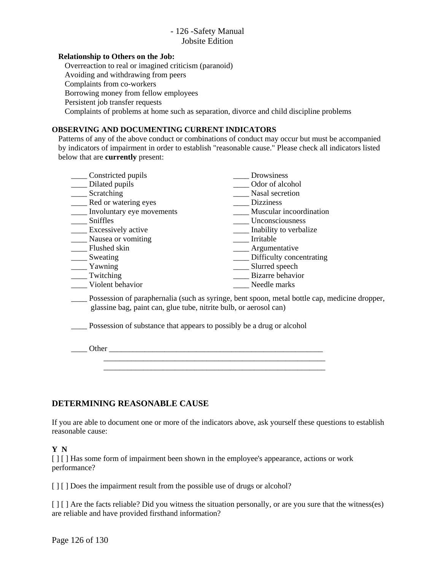## - 126 -Safety Manual Jobsite Edition

#### **Relationship to Others on the Job:**

Overreaction to real or imagined criticism (paranoid) Avoiding and withdrawing from peers Complaints from co-workers Borrowing money from fellow employees Persistent job transfer requests Complaints of problems at home such as separation, divorce and child discipline problems

#### **OBSERVING AND DOCUMENTING CURRENT INDICATORS**

Patterns of any of the above conduct or combinations of conduct may occur but must be accompanied by indicators of impairment in order to establish "reasonable cause." Please check all indicators listed below that are **currently** present:

| Constricted pupils        | Drowsiness               |
|---------------------------|--------------------------|
| Dilated pupils            | Odor of alcohol          |
| Scratching                | Nasal secretion          |
| Red or watering eyes      | <b>Dizziness</b>         |
| Involuntary eye movements | Muscular incoordination  |
| Sniffles                  | Unconsciousness          |
| Excessively active        | Inability to verbalize   |
| Nausea or vomiting        | Irritable                |
| Flushed skin              | Argumentative            |
| Sweating                  | Difficulty concentrating |
| Yawning                   | Slurred speech           |
| Twitching                 | Bizarre behavior         |
| Violent behavior          | Needle marks             |

\_\_\_\_ Possession of paraphernalia (such as syringe, bent spoon, metal bottle cap, medicine dropper, glassine bag, paint can, glue tube, nitrite bulb, or aerosol can)

\_\_\_\_ Possession of substance that appears to possibly be a drug or alcohol

\_\_\_\_\_\_\_\_\_\_\_\_\_\_\_\_\_\_\_\_\_\_\_\_\_\_\_\_\_\_\_\_\_\_\_\_\_\_\_\_\_\_\_\_\_\_\_\_\_\_\_\_\_\_\_\_

\_\_\_\_ Other \_\_\_\_\_\_\_\_\_\_\_\_\_\_\_\_\_\_\_\_\_\_\_\_\_\_\_\_\_\_\_\_\_\_\_\_\_\_\_\_\_\_\_\_\_\_\_\_\_\_\_\_\_\_

## **DETERMINING REASONABLE CAUSE**

If you are able to document one or more of the indicators above, ask yourself these questions to establish reasonable cause:

#### **Y N**

[ ] [ ] Has some form of impairment been shown in the employee's appearance, actions or work performance?

[ ] [ ] Does the impairment result from the possible use of drugs or alcohol?

[ ] [ ] Are the facts reliable? Did you witness the situation personally, or are you sure that the witness(es) are reliable and have provided firsthand information?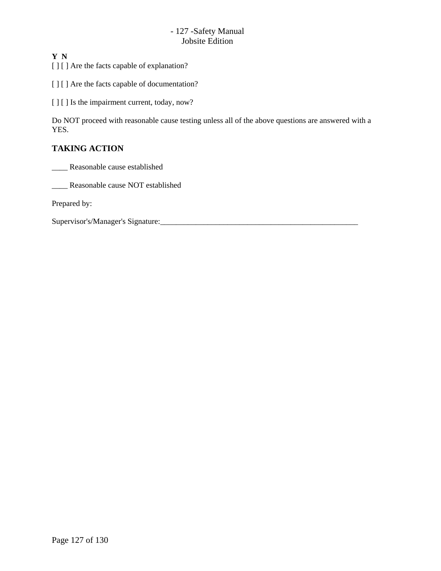**Y N** 

[ ] [ ] Are the facts capable of explanation?

[ ] [ ] Are the facts capable of documentation?

[ ] [ ] Is the impairment current, today, now?

Do NOT proceed with reasonable cause testing unless all of the above questions are answered with a YES.

## **TAKING ACTION**

\_\_\_\_ Reasonable cause established

\_\_\_\_ Reasonable cause NOT established

Prepared by:

Supervisor's/Manager's Signature:\_\_\_\_\_\_\_\_\_\_\_\_\_\_\_\_\_\_\_\_\_\_\_\_\_\_\_\_\_\_\_\_\_\_\_\_\_\_\_\_\_\_\_\_\_\_\_\_\_\_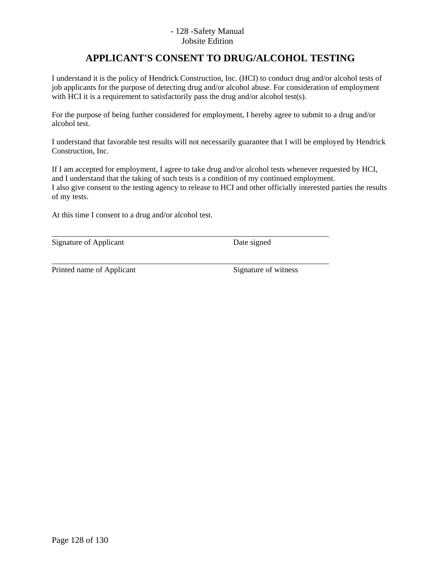## - 128 -Safety Manual Jobsite Edition

## **APPLICANT'S CONSENT TO DRUG/ALCOHOL TESTING**

I understand it is the policy of Hendrick Construction, Inc. (HCI) to conduct drug and/or alcohol tests of job applicants for the purpose of detecting drug and/or alcohol abuse. For consideration of employment with HCI it is a requirement to satisfactorily pass the drug and/or alcohol test(s).

For the purpose of being further considered for employment, I hereby agree to submit to a drug and/or alcohol test.

I understand that favorable test results will not necessarily guarantee that I will be employed by Hendrick Construction, Inc.

If I am accepted for employment, I agree to take drug and/or alcohol tests whenever requested by HCI, and I understand that the taking of such tests is a condition of my continued employment. I also give consent to the testing agency to release to HCI and other officially interested parties the results of my tests.

\_\_\_\_\_\_\_\_\_\_\_\_\_\_\_\_\_\_\_\_\_\_\_\_\_\_\_\_\_\_\_\_\_\_\_\_\_\_\_\_\_\_\_\_\_\_\_\_\_\_\_\_\_\_\_\_\_\_\_\_\_\_\_\_\_\_\_\_\_\_

\_\_\_\_\_\_\_\_\_\_\_\_\_\_\_\_\_\_\_\_\_\_\_\_\_\_\_\_\_\_\_\_\_\_\_\_\_\_\_\_\_\_\_\_\_\_\_\_\_\_\_\_\_\_\_\_\_\_\_\_\_\_\_\_\_\_\_\_\_\_

At this time I consent to a drug and/or alcohol test.

Signature of Applicant Date signed

Printed name of Applicant Signature of witness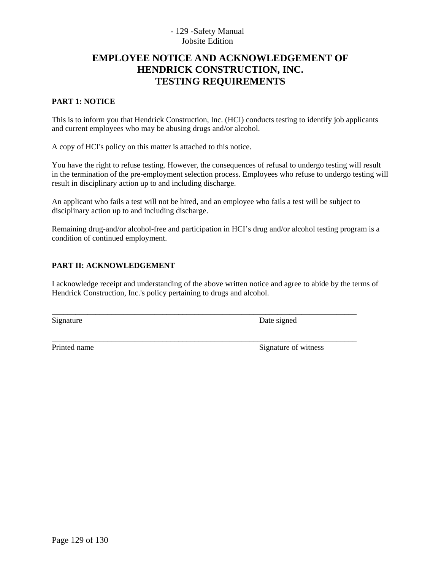## - 129 -Safety Manual Jobsite Edition

## **EMPLOYEE NOTICE AND ACKNOWLEDGEMENT OF HENDRICK CONSTRUCTION, INC. TESTING REQUIREMENTS**

#### **PART 1: NOTICE**

This is to inform you that Hendrick Construction, Inc. (HCI) conducts testing to identify job applicants and current employees who may be abusing drugs and/or alcohol.

A copy of HCI's policy on this matter is attached to this notice.

You have the right to refuse testing. However, the consequences of refusal to undergo testing will result in the termination of the pre-employment selection process. Employees who refuse to undergo testing will result in disciplinary action up to and including discharge.

An applicant who fails a test will not be hired, and an employee who fails a test will be subject to disciplinary action up to and including discharge.

Remaining drug-and/or alcohol-free and participation in HCI's drug and/or alcohol testing program is a condition of continued employment.

#### **PART II: ACKNOWLEDGEMENT**

I acknowledge receipt and understanding of the above written notice and agree to abide by the terms of Hendrick Construction, Inc.'s policy pertaining to drugs and alcohol.

\_\_\_\_\_\_\_\_\_\_\_\_\_\_\_\_\_\_\_\_\_\_\_\_\_\_\_\_\_\_\_\_\_\_\_\_\_\_\_\_\_\_\_\_\_\_\_\_\_\_\_\_\_\_\_\_\_\_\_\_\_\_\_\_\_\_\_\_\_\_\_\_\_\_\_\_\_

\_\_\_\_\_\_\_\_\_\_\_\_\_\_\_\_\_\_\_\_\_\_\_\_\_\_\_\_\_\_\_\_\_\_\_\_\_\_\_\_\_\_\_\_\_\_\_\_\_\_\_\_\_\_\_\_\_\_\_\_\_\_\_\_\_\_\_\_\_\_\_\_\_\_\_\_\_

Signature Date signed

Printed name Signature of witness